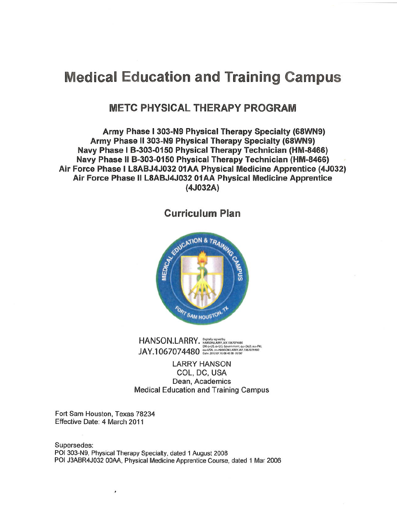# **Medical Education and Training Campus**

# **METC PHYSICAL THERAPY PROGRAM**

Army Phase I 303-N9 Physical Therapy Specialty (68WN9) Army Phase II 303-N9 Physical Therapy Specialty (68WN9) Navy Phase I B-303-0150 Physical Therapy Technician (HM-8466) Navy Phase II B-303-0150 Physical Therapy Technician (HM-8466) Air Force Phase I L8ABJ4J032 01AA Physical Medicine Apprentice (4J032) Air Force Phase II L8ABJ4J032 01AA Physical Medicine Apprentice  $(AJO32A)$ 

**Curriculum Plan** 



 $HANSON.LARRY. 199181419143671474304480  
1916-815, 60001448050144367141374136767074480  
1916-815, 60001454, 6000145487414871487113686974480  
1916-20120716084038 05001  
1916-20120716084038 05001  
1916-20120716084038 05001$ 

**LARRY HANSON** COL, DC, USA Dean, Academics **Medical Education and Training Campus** 

Fort Sam Houston, Texas 78234 Effective Date: 4 March 2011

Supersedes: POI 303-N9, Physical Therapy Specialty, dated 1 August 2008 POI J3ABR4J032 00AA, Physical Medicine Apprentice Course, dated 1 Mar 2006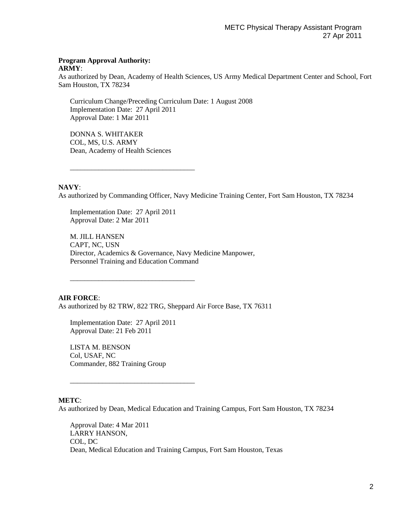#### **Program Approval Authority: ARMY**:

As authorized by Dean, Academy of Health Sciences, US Army Medical Department Center and School, Fort Sam Houston, TX 78234

Curriculum Change/Preceding Curriculum Date: 1 August 2008 Implementation Date: 27 April 2011 Approval Date: 1 Mar 2011

DONNA S. WHITAKER COL, MS, U.S. ARMY Dean, Academy of Health Sciences

\_\_\_\_\_\_\_\_\_\_\_\_\_\_\_\_\_\_\_\_\_\_\_\_\_\_\_\_\_\_\_\_\_\_\_

#### **NAVY**:

As authorized by Commanding Officer, Navy Medicine Training Center, Fort Sam Houston, TX 78234

Implementation Date: 27 April 2011 Approval Date: 2 Mar 2011

M. JILL HANSEN CAPT, NC, USN Director, Academics & Governance, Navy Medicine Manpower, Personnel Training and Education Command

#### **AIR FORCE**:

As authorized by 82 TRW, 822 TRG, Sheppard Air Force Base, TX 76311

Implementation Date: 27 April 2011 Approval Date: 21 Feb 2011

\_\_\_\_\_\_\_\_\_\_\_\_\_\_\_\_\_\_\_\_\_\_\_\_\_\_\_\_\_\_\_\_\_\_\_

LISTA M. BENSON Col, USAF, NC Commander, 882 Training Group

\_\_\_\_\_\_\_\_\_\_\_\_\_\_\_\_\_\_\_\_\_\_\_\_\_\_\_\_\_\_\_\_\_\_\_

#### **METC**:

As authorized by Dean, Medical Education and Training Campus, Fort Sam Houston, TX 78234

Approval Date: 4 Mar 2011 LARRY HANSON, COL, DC Dean, Medical Education and Training Campus, Fort Sam Houston, Texas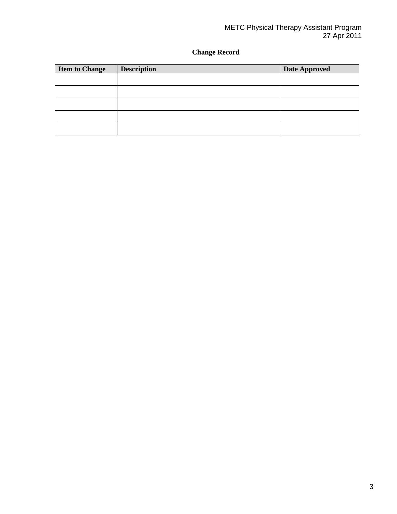# **Change Record**

| <b>Item to Change</b> | <b>Description</b> | <b>Date Approved</b> |
|-----------------------|--------------------|----------------------|
|                       |                    |                      |
|                       |                    |                      |
|                       |                    |                      |
|                       |                    |                      |
|                       |                    |                      |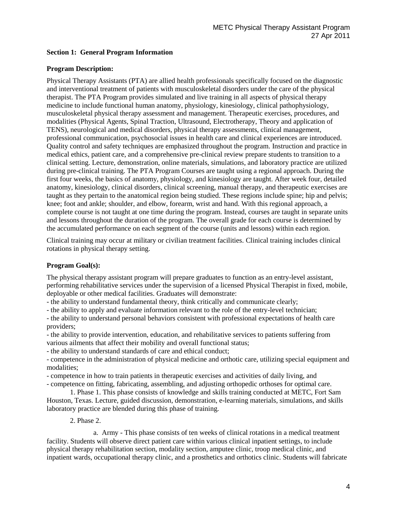#### **Section 1: General Program Information**

#### **Program Description:**

Physical Therapy Assistants (PTA) are allied health professionals specifically focused on the diagnostic and interventional treatment of patients with musculoskeletal disorders under the care of the physical therapist. The PTA Program provides simulated and live training in all aspects of physical therapy medicine to include functional human anatomy, physiology, kinesiology, clinical pathophysiology, musculoskeletal physical therapy assessment and management. Therapeutic exercises, procedures, and modalities (Physical Agents, Spinal Traction, Ultrasound, Electrotherapy, Theory and application of TENS), neurological and medical disorders, physical therapy assessments, clinical management, professional communication, psychosocial issues in health care and clinical experiences are introduced. Quality control and safety techniques are emphasized throughout the program. Instruction and practice in medical ethics, patient care, and a comprehensive pre-clinical review prepare students to transition to a clinical setting. Lecture, demonstration, online materials, simulations, and laboratory practice are utilized during pre-clinical training. The PTA Program Courses are taught using a regional approach. During the first four weeks, the basics of anatomy, physiology, and kinesiology are taught. After week four, detailed anatomy, kinesiology, clinical disorders, clinical screening, manual therapy, and therapeutic exercises are taught as they pertain to the anatomical region being studied. These regions include spine; hip and pelvis; knee; foot and ankle; shoulder, and elbow, forearm, wrist and hand. With this regional approach, a complete course is not taught at one time during the program. Instead, courses are taught in separate units and lessons throughout the duration of the program. The overall grade for each course is determined by the accumulated performance on each segment of the course (units and lessons) within each region.

Clinical training may occur at military or civilian treatment facilities. Clinical training includes clinical rotations in physical therapy setting.

#### **Program Goal(s):**

The physical therapy assistant program will prepare graduates to function as an entry-level assistant, performing rehabilitative services under the supervision of a licensed Physical Therapist in fixed, mobile, deployable or other medical facilities. Graduates will demonstrate:

- the ability to understand fundamental theory, think critically and communicate clearly;

- the ability to apply and evaluate information relevant to the role of the entry-level technician;

- the ability to understand personal behaviors consistent with professional expectations of health care providers;

- the ability to provide intervention, education, and rehabilitative services to patients suffering from various ailments that affect their mobility and overall functional status;

- the ability to understand standards of care and ethical conduct;

- competence in the administration of physical medicine and orthotic care, utilizing special equipment and modalities;

- competence in how to train patients in therapeutic exercises and activities of daily living, and

- competence on fitting, fabricating, assembling, and adjusting orthopedic orthoses for optimal care.

1. Phase 1. This phase consists of knowledge and skills training conducted at METC, Fort Sam Houston, Texas. Lecture, guided discussion, demonstration, e-learning materials, simulations, and skills laboratory practice are blended during this phase of training.

#### 2. Phase 2.

a. Army - This phase consists of ten weeks of clinical rotations in a medical treatment facility. Students will observe direct patient care within various clinical inpatient settings, to include physical therapy rehabilitation section, modality section, amputee clinic, troop medical clinic, and inpatient wards, occupational therapy clinic, and a prosthetics and orthotics clinic. Students will fabricate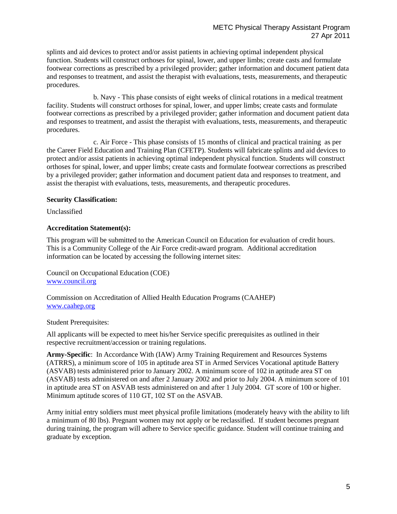splints and aid devices to protect and/or assist patients in achieving optimal independent physical function. Students will construct orthoses for spinal, lower, and upper limbs; create casts and formulate footwear corrections as prescribed by a privileged provider; gather information and document patient data and responses to treatment, and assist the therapist with evaluations, tests, measurements, and therapeutic procedures.

b. Navy - This phase consists of eight weeks of clinical rotations in a medical treatment facility. Students will construct orthoses for spinal, lower, and upper limbs; create casts and formulate footwear corrections as prescribed by a privileged provider; gather information and document patient data and responses to treatment, and assist the therapist with evaluations, tests, measurements, and therapeutic procedures.

c. Air Force - This phase consists of 15 months of clinical and practical training as per the Career Field Education and Training Plan (CFETP). Students will fabricate splints and aid devices to protect and/or assist patients in achieving optimal independent physical function. Students will construct orthoses for spinal, lower, and upper limbs; create casts and formulate footwear corrections as prescribed by a privileged provider; gather information and document patient data and responses to treatment, and assist the therapist with evaluations, tests, measurements, and therapeutic procedures.

#### **Security Classification:**

Unclassified

#### **Accreditation Statement(s):**

This program will be submitted to the American Council on Education for evaluation of credit hours. This is a Community College of the Air Force credit-award program. Additional accreditation information can be located by accessing the following internet sites:

Council on Occupational Education (COE) [www.council.org](http://www.council.org/)

Commission on Accreditation of Allied Health Education Programs (CAAHEP) [www.caahep.org](http://www.caahep.org/)

Student Prerequisites:

All applicants will be expected to meet his/her Service specific prerequisites as outlined in their respective recruitment/accession or training regulations.

**Army-Specific**: In Accordance With (IAW) Army Training Requirement and Resources Systems (ATRRS), a minimum score of 105 in aptitude area ST in Armed Services Vocational aptitude Battery (ASVAB) tests administered prior to January 2002. A minimum score of 102 in aptitude area ST on (ASVAB) tests administered on and after 2 January 2002 and prior to July 2004. A minimum score of 101 in aptitude area ST on ASVAB tests administered on and after 1 July 2004. GT score of 100 or higher. Minimum aptitude scores of 110 GT, 102 ST on the ASVAB.

Army initial entry soldiers must meet physical profile limitations (moderately heavy with the ability to lift a minimum of 80 lbs). Pregnant women may not apply or be reclassified. If student becomes pregnant during training, the program will adhere to Service specific guidance. Student will continue training and graduate by exception.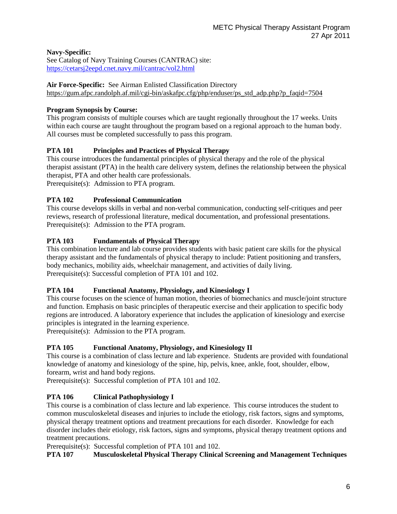# **Navy-Specific:**

See Catalog of Navy Training Courses (CANTRAC) site: <https://cetarsj2eepd.cnet.navy.mil/cantrac/vol2.html>

# **Air Force-Specific:** See Airman Enlisted Classification Directory

[https://gum.afpc.randolph.af.mil/cgi-bin/askafpc.cfg/php/enduser/ps\\_std\\_adp.php?p\\_faqid=7504](https://gum.afpc.randolph.af.mil/cgi-bin/askafpc.cfg/php/enduser/ps_std_adp.php?p_faqid=7504)

# **Program Synopsis by Course:**

This program consists of multiple courses which are taught regionally throughout the 17 weeks. Units within each course are taught throughout the program based on a regional approach to the human body. All courses must be completed successfully to pass this program.

# **PTA 101 Principles and Practices of Physical Therapy**

This course introduces the fundamental principles of physical therapy and the role of the physical therapist assistant (PTA) in the health care delivery system, defines the relationship between the physical therapist, PTA and other health care professionals.

Prerequisite(s): Admission to PTA program.

# **PTA 102 Professional Communication**

This course develops skills in verbal and non-verbal communication, conducting self-critiques and peer reviews, research of professional literature, medical documentation, and professional presentations. Prerequisite(s): Admission to the PTA program.

# **PTA 103 Fundamentals of Physical Therapy**

This combination lecture and lab course provides students with basic patient care skills for the physical therapy assistant and the fundamentals of physical therapy to include: Patient positioning and transfers, body mechanics, mobility aids, wheelchair management, and activities of daily living. Prerequisite(s): Successful completion of PTA 101 and 102.

# **PTA 104 Functional Anatomy, Physiology, and Kinesiology I**

This course focuses on the science of human motion, theories of biomechanics and muscle/joint structure and function. Emphasis on basic principles of therapeutic exercise and their application to specific body regions are introduced. A laboratory experience that includes the application of kinesiology and exercise principles is integrated in the learning experience.

Prerequisite(s): Admission to the PTA program.

# **PTA 105 Functional Anatomy, Physiology, and Kinesiology II**

This course is a combination of class lecture and lab experience. Students are provided with foundational knowledge of anatomy and kinesiology of the spine, hip, pelvis, knee, ankle, foot, shoulder, elbow, forearm, wrist and hand body regions.

Prerequisite(s): Successful completion of PTA 101 and 102.

# **PTA 106 Clinical Pathophysiology I**

This course is a combination of class lecture and lab experience. This course introduces the student to common musculoskeletal diseases and injuries to include the etiology, risk factors, signs and symptoms, physical therapy treatment options and treatment precautions for each disorder. Knowledge for each disorder includes their etiology, risk factors, signs and symptoms, physical therapy treatment options and treatment precautions.

Prerequisite(s): Successful completion of PTA 101 and 102.

# **PTA 107 Musculoskeletal Physical Therapy Clinical Screening and Management Techniques**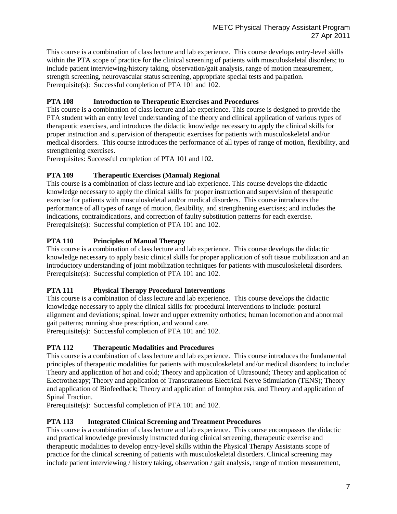This course is a combination of class lecture and lab experience. This course develops entry-level skills within the PTA scope of practice for the clinical screening of patients with musculoskeletal disorders; to include patient interviewing/history taking, observation/gait analysis, range of motion measurement, strength screening, neurovascular status screening, appropriate special tests and palpation. Prerequisite(s): Successful completion of PTA 101 and 102.

# **PTA 108 Introduction to Therapeutic Exercises and Procedures**

This course is a combination of class lecture and lab experience. This course is designed to provide the PTA student with an entry level understanding of the theory and clinical application of various types of therapeutic exercises, and introduces the didactic knowledge necessary to apply the clinical skills for proper instruction and supervision of therapeutic exercises for patients with musculoskeletal and/or medical disorders. This course introduces the performance of all types of range of motion, flexibility, and strengthening exercises.

Prerequisites: Successful completion of PTA 101 and 102.

# **PTA 109 Therapeutic Exercises (Manual) Regional**

This course is a combination of class lecture and lab experience. This course develops the didactic knowledge necessary to apply the clinical skills for proper instruction and supervision of therapeutic exercise for patients with musculoskeletal and/or medical disorders. This course introduces the performance of all types of range of motion, flexibility, and strengthening exercises; and includes the indications, contraindications, and correction of faulty substitution patterns for each exercise. Prerequisite(s): Successful completion of PTA 101 and 102.

# **PTA 110 Principles of Manual Therapy**

This course is a combination of class lecture and lab experience. This course develops the didactic knowledge necessary to apply basic clinical skills for proper application of soft tissue mobilization and an introductory understanding of joint mobilization techniques for patients with musculoskeletal disorders. Prerequisite(s): Successful completion of PTA 101 and 102.

# **PTA 111 Physical Therapy Procedural Interventions**

This course is a combination of class lecture and lab experience. This course develops the didactic knowledge necessary to apply the clinical skills for procedural interventions to include: postural alignment and deviations; spinal, lower and upper extremity orthotics; human locomotion and abnormal gait patterns; running shoe prescription, and wound care.

Prerequisite(s): Successful completion of PTA 101 and 102.

# **PTA 112 Therapeutic Modalities and Procedures**

This course is a combination of class lecture and lab experience. This course introduces the fundamental principles of therapeutic modalities for patients with musculoskeletal and/or medical disorders; to include: Theory and application of hot and cold; Theory and application of Ultrasound; Theory and application of Electrotherapy; Theory and application of Transcutaneous Electrical Nerve Stimulation (TENS); Theory and application of Biofeedback; Theory and application of Iontophoresis, and Theory and application of Spinal Traction.

Prerequisite(s): Successful completion of PTA 101 and 102.

# **PTA 113 Integrated Clinical Screening and Treatment Procedures**

This course is a combination of class lecture and lab experience. This course encompasses the didactic and practical knowledge previously instructed during clinical screening, therapeutic exercise and therapeutic modalities to develop entry-level skills within the Physical Therapy Assistants scope of practice for the clinical screening of patients with musculoskeletal disorders. Clinical screening may include patient interviewing / history taking, observation / gait analysis, range of motion measurement,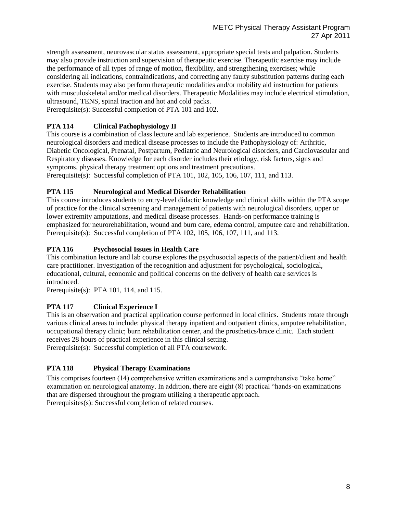strength assessment, neurovascular status assessment, appropriate special tests and palpation. Students may also provide instruction and supervision of therapeutic exercise. Therapeutic exercise may include the performance of all types of range of motion, flexibility, and strengthening exercises; while considering all indications, contraindications, and correcting any faulty substitution patterns during each exercise. Students may also perform therapeutic modalities and/or mobility aid instruction for patients with musculoskeletal and/or medical disorders. Therapeutic Modalities may include electrical stimulation, ultrasound, TENS, spinal traction and hot and cold packs.

Prerequisite(s): Successful completion of PTA 101 and 102.

# **PTA 114 Clinical Pathophysiology II**

This course is a combination of class lecture and lab experience. Students are introduced to common neurological disorders and medical disease processes to include the Pathophysiology of: Arthritic, Diabetic Oncological, Prenatal, Postpartum, Pediatric and Neurological disorders, and Cardiovascular and Respiratory diseases. Knowledge for each disorder includes their etiology, risk factors, signs and symptoms, physical therapy treatment options and treatment precautions. Prerequisite(s): Successful completion of PTA 101, 102, 105, 106, 107, 111, and 113.

# **PTA 115 Neurological and Medical Disorder Rehabilitation**

This course introduces students to entry-level didactic knowledge and clinical skills within the PTA scope of practice for the clinical screening and management of patients with neurological disorders, upper or lower extremity amputations, and medical disease processes. Hands-on performance training is emphasized for neurorehabilitation, wound and burn care, edema control, amputee care and rehabilitation. Prerequisite(s): Successful completion of PTA 102, 105, 106, 107, 111, and 113.

# **PTA 116 Psychosocial Issues in Health Care**

This combination lecture and lab course explores the psychosocial aspects of the patient/client and health care practitioner. Investigation of the recognition and adjustment for psychological, sociological, educational, cultural, economic and political concerns on the delivery of health care services is introduced.

Prerequisite(s): PTA 101, 114, and 115.

# **PTA 117 Clinical Experience I**

This is an observation and practical application course performed in local clinics. Students rotate through various clinical areas to include: physical therapy inpatient and outpatient clinics, amputee rehabilitation, occupational therapy clinic; burn rehabilitation center, and the prosthetics/brace clinic. Each student receives 28 hours of practical experience in this clinical setting.

Prerequisite(s): Successful completion of all PTA coursework.

# **PTA 118 Physical Therapy Examinations**

This comprises fourteen (14) comprehensive written examinations and a comprehensive "take home" examination on neurological anatomy. In addition, there are eight (8) practical "hands-on examinations that are dispersed throughout the program utilizing a therapeutic approach. Prerequisites(s): Successful completion of related courses.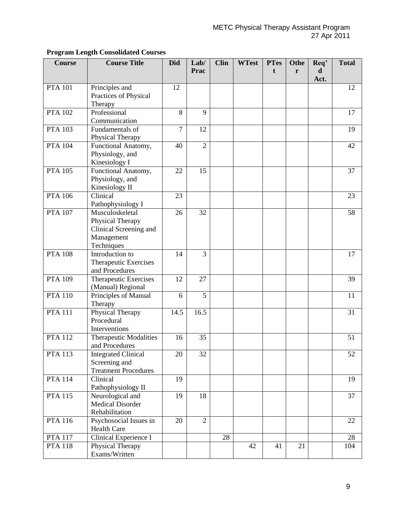| <b>Course</b>        | <b>Course Title</b>               | <b>Did</b>     | Lab/           | <b>Clin</b> | <b>WTest</b> | <b>PTes</b> | Othe | Req'      | <b>Total</b> |
|----------------------|-----------------------------------|----------------|----------------|-------------|--------------|-------------|------|-----------|--------------|
|                      |                                   |                | Prac           |             |              | t           | r    | d<br>Act. |              |
| <b>PTA 101</b>       | Principles and                    | 12             |                |             |              |             |      |           | 12           |
|                      | Practices of Physical             |                |                |             |              |             |      |           |              |
| <b>PTA 102</b>       | Therapy<br>Professional           | 8              | 9              |             |              |             |      |           | 17           |
|                      | Communication                     |                |                |             |              |             |      |           |              |
| <b>PTA 103</b>       | Fundamentals of                   | $\overline{7}$ | 12             |             |              |             |      |           | 19           |
|                      | Physical Therapy                  |                |                |             |              |             |      |           |              |
| <b>PTA 104</b>       | Functional Anatomy,               | 40             | $\overline{2}$ |             |              |             |      |           | 42           |
|                      | Physiology, and                   |                |                |             |              |             |      |           |              |
|                      | Kinesiology I                     |                |                |             |              |             |      |           |              |
| <b>PTA 105</b>       | Functional Anatomy,               | 22             | 15             |             |              |             |      |           | 37           |
|                      | Physiology, and<br>Kinesiology II |                |                |             |              |             |      |           |              |
| <b>PTA 106</b>       | Clinical                          | 23             |                |             |              |             |      |           | 23           |
|                      | Pathophysiology I                 |                |                |             |              |             |      |           |              |
| <b>PTA 107</b>       | Musculoskeletal                   | 26             | 32             |             |              |             |      |           | 58           |
|                      | Physical Therapy                  |                |                |             |              |             |      |           |              |
|                      | Clinical Screening and            |                |                |             |              |             |      |           |              |
|                      | Management                        |                |                |             |              |             |      |           |              |
| $PTA$ 108            | Techniques<br>Introduction to     | 14             | 3              |             |              |             |      |           | 17           |
|                      | Therapeutic Exercises             |                |                |             |              |             |      |           |              |
|                      | and Procedures                    |                |                |             |              |             |      |           |              |
| <b>PTA 109</b>       | Therapeutic Exercises             | 12             | 27             |             |              |             |      |           | 39           |
|                      | (Manual) Regional                 |                |                |             |              |             |      |           |              |
| <b>PTA 110</b>       | Principles of Manual              | 6              | 5              |             |              |             |      |           | 11           |
| PTA $1\overline{11}$ | Therapy                           |                |                |             |              |             |      |           |              |
|                      | Physical Therapy<br>Procedural    | 14.5           | 16.5           |             |              |             |      |           | 31           |
|                      | Interventions                     |                |                |             |              |             |      |           |              |
| <b>PTA 112</b>       | <b>Therapeutic Modalities</b>     | 16             | 35             |             |              |             |      |           | 51           |
|                      | and Procedures                    |                |                |             |              |             |      |           |              |
| <b>PTA 113</b>       | <b>Integrated Clinical</b>        | 20             | 32             |             |              |             |      |           | 52           |
|                      | Screening and                     |                |                |             |              |             |      |           |              |
|                      | <b>Treatment Procedures</b>       |                |                |             |              |             |      |           |              |
| <b>PTA 114</b>       | Clinical<br>Pathophysiology II    | 19             |                |             |              |             |      |           | 19           |
| <b>PTA 115</b>       | Neurological and                  | 19             | 18             |             |              |             |      |           | 37           |
|                      | <b>Medical Disorder</b>           |                |                |             |              |             |      |           |              |
|                      | Rehabilitation                    |                |                |             |              |             |      |           |              |
| <b>PTA 116</b>       | Psychosocial Issues in            | 20             | $\overline{2}$ |             |              |             |      |           | 22           |
|                      | <b>Health Care</b>                |                |                |             |              |             |      |           |              |
| <b>PTA 117</b>       | Clinical Experience I             |                |                | 28          |              |             |      |           | 28           |
| <b>PTA 118</b>       | Physical Therapy                  |                |                |             | 42           | 41          | 21   |           | 104          |
|                      | Exams/Written                     |                |                |             |              |             |      |           |              |

# **Program Length Consolidated Courses**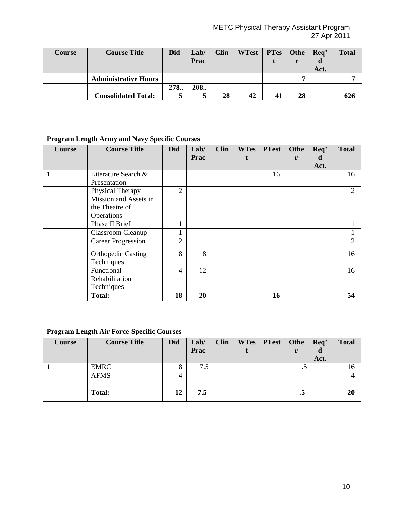| <b>Course</b> | <b>Course Title</b>         | <b>Did</b> | Lab/<br>Prac | <b>Clin</b> | WTest   PTes   Othe |    | Rea'<br>Act. | <b>Total</b> |
|---------------|-----------------------------|------------|--------------|-------------|---------------------|----|--------------|--------------|
|               | <b>Administrative Hours</b> |            |              |             |                     |    |              |              |
|               | <b>Consolidated Total:</b>  | 278.<br>5  | 208.         | 28          | 42                  | 28 |              | 626          |

# **Program Length Army and Navy Specific Courses**

| <b>Course</b> | <b>Course Title</b>       | <b>Did</b>     | Lab/        | <b>Clin</b> | <b>WTes</b> | <b>PTest</b> | Othe | Req' | <b>Total</b> |
|---------------|---------------------------|----------------|-------------|-------------|-------------|--------------|------|------|--------------|
|               |                           |                | <b>Prac</b> |             |             |              | r    | d    |              |
|               |                           |                |             |             |             |              |      | Act. |              |
|               | Literature Search &       |                |             |             |             | 16           |      |      | 16           |
|               | Presentation              |                |             |             |             |              |      |      |              |
|               | Physical Therapy          | 2              |             |             |             |              |      |      | 2            |
|               | Mission and Assets in     |                |             |             |             |              |      |      |              |
|               | the Theatre of            |                |             |             |             |              |      |      |              |
|               | Operations                |                |             |             |             |              |      |      |              |
|               | Phase II Brief            |                |             |             |             |              |      |      |              |
|               | <b>Classroom Cleanup</b>  |                |             |             |             |              |      |      |              |
|               | <b>Career Progression</b> | $\overline{2}$ |             |             |             |              |      |      | 2            |
|               | <b>Orthopedic Casting</b> | 8              | 8           |             |             |              |      |      | 16           |
|               | Techniques                |                |             |             |             |              |      |      |              |
|               | Functional                | $\overline{4}$ | 12          |             |             |              |      |      | 16           |
|               | Rehabilitation            |                |             |             |             |              |      |      |              |
|               | Techniques                |                |             |             |             |              |      |      |              |
|               | <b>Total:</b>             | 18             | 20          |             |             | 16           |      |      | 54           |

# **Program Length Air Force-Specific Courses**

| <b>Course</b> | <b>Course Title</b> | <b>Did</b> | Lab/<br>Prac | <b>Clin</b> | WTes   PTest   Othe | r         | Req' | <b>Total</b> |
|---------------|---------------------|------------|--------------|-------------|---------------------|-----------|------|--------------|
|               |                     |            |              |             |                     |           | Act. |              |
|               | <b>EMRC</b>         | Ō          | 7.5          |             |                     | $\ddotsc$ |      | 16           |
|               | <b>AFMS</b>         |            |              |             |                     |           |      |              |
|               |                     |            |              |             |                     |           |      |              |
|               | <b>Total:</b>       | 12         | 7.5          |             |                     | .J        |      | 20           |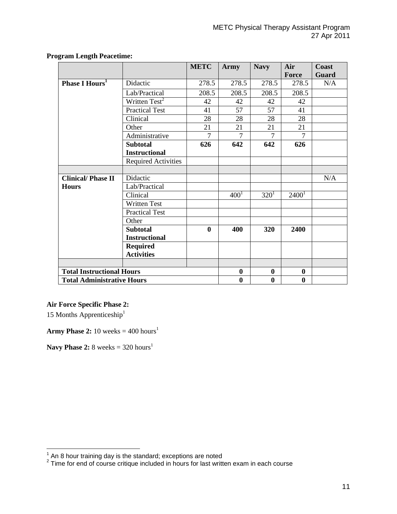|                                   |                                  | <b>METC</b>  | Army           | <b>Navy</b> | Air<br>Force   | Coast<br><b>Guard</b> |
|-----------------------------------|----------------------------------|--------------|----------------|-------------|----------------|-----------------------|
| Phase I Hours <sup>1</sup>        | Didactic                         | 278.5        | 278.5          | 278.5       | 278.5          | N/A                   |
|                                   | Lab/Practical                    | 208.5        | 208.5          | 208.5       | 208.5          |                       |
|                                   |                                  |              |                |             |                |                       |
|                                   | Written Test <sup>2</sup>        | 42           | 42             | 42          | 42             |                       |
|                                   | <b>Practical Test</b>            | 41           | 57             | 57          | 41             |                       |
|                                   | Clinical                         | 28           | 28             | 28          | 28             |                       |
|                                   | Other                            | 21           | 21             | 21          | 21             |                       |
|                                   | Administrative                   | 7            | $\overline{7}$ | $\tau$      | $\overline{7}$ |                       |
|                                   | <b>Subtotal</b>                  | 626          | 642            | 642         | 626            |                       |
|                                   | <b>Instructional</b>             |              |                |             |                |                       |
|                                   | <b>Required Activities</b>       |              |                |             |                |                       |
|                                   |                                  |              |                |             |                |                       |
| <b>Clinical/Phase II</b>          | Didactic                         |              |                |             |                | N/A                   |
| <b>Hours</b>                      | Lab/Practical                    |              |                |             |                |                       |
|                                   | Clinical                         |              | $400^{1}$      | $320^1$     | $2400^1$       |                       |
|                                   | <b>Written Test</b>              |              |                |             |                |                       |
|                                   | <b>Practical Test</b>            |              |                |             |                |                       |
|                                   | Other                            |              |                |             |                |                       |
|                                   | <b>Subtotal</b>                  | $\mathbf{0}$ | 400            | <b>320</b>  | 2400           |                       |
|                                   | <b>Instructional</b>             |              |                |             |                |                       |
|                                   | <b>Required</b>                  |              |                |             |                |                       |
|                                   | <b>Activities</b>                |              |                |             |                |                       |
|                                   |                                  |              |                |             |                |                       |
|                                   | <b>Total Instructional Hours</b> |              |                | $\bf{0}$    | $\bf{0}$       |                       |
| <b>Total Administrative Hours</b> |                                  |              | $\bf{0}$       | $\bf{0}$    | $\bf{0}$       |                       |

#### **Program Length Peacetime:**

# **Air Force Specific Phase 2:**

15 Months Apprenticeship<sup>1</sup>

**Army Phase 2:** 10 weeks =  $400$  hours<sup>1</sup>

**Navy Phase 2:** 8 weeks =  $320 \text{ hours}^1$ 

 1 An 8 hour training day is the standard; exceptions are noted 2 Time for end of course critique included in hours for last written exam in each course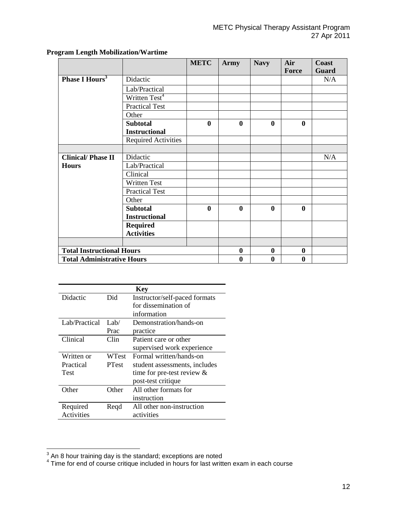|                                   |                            | <b>METC</b>  | <b>Army</b>  | <b>Navy</b>  | Air<br>Force | Coast<br><b>Guard</b> |
|-----------------------------------|----------------------------|--------------|--------------|--------------|--------------|-----------------------|
|                                   |                            |              |              |              |              |                       |
| <b>Phase I Hours<sup>3</sup></b>  | Didactic                   |              |              |              |              | N/A                   |
|                                   | Lab/Practical              |              |              |              |              |                       |
|                                   | Written Test <sup>4</sup>  |              |              |              |              |                       |
|                                   | <b>Practical Test</b>      |              |              |              |              |                       |
|                                   | Other                      |              |              |              |              |                       |
|                                   | <b>Subtotal</b>            | $\bf{0}$     | $\bf{0}$     | $\mathbf{0}$ | $\bf{0}$     |                       |
|                                   | <b>Instructional</b>       |              |              |              |              |                       |
|                                   | <b>Required Activities</b> |              |              |              |              |                       |
|                                   |                            |              |              |              |              |                       |
| <b>Clinical/Phase II</b>          | Didactic                   |              |              |              |              | N/A                   |
| <b>Hours</b>                      | Lab/Practical              |              |              |              |              |                       |
|                                   | Clinical                   |              |              |              |              |                       |
|                                   | <b>Written Test</b>        |              |              |              |              |                       |
|                                   | <b>Practical Test</b>      |              |              |              |              |                       |
|                                   | Other                      |              |              |              |              |                       |
|                                   | <b>Subtotal</b>            | $\mathbf{0}$ | $\mathbf{0}$ | $\mathbf{0}$ | $\mathbf{0}$ |                       |
|                                   | <b>Instructional</b>       |              |              |              |              |                       |
|                                   | <b>Required</b>            |              |              |              |              |                       |
|                                   | <b>Activities</b>          |              |              |              |              |                       |
|                                   |                            |              |              |              |              |                       |
| <b>Total Instructional Hours</b>  |                            |              | $\bf{0}$     | $\bf{0}$     | $\bf{0}$     |                       |
| <b>Total Administrative Hours</b> |                            |              | $\bf{0}$     | $\bf{0}$     | $\bf{0}$     |                       |

# **Program Length Mobilization/Wartime**

|               |              | <b>Key</b>                    |
|---------------|--------------|-------------------------------|
| Didactic      | Did          | Instructor/self-paced formats |
|               |              | for dissemination of          |
|               |              | information                   |
| Lab/Practical | Lab/         | Demonstration/hands-on        |
|               | Prac         | practice                      |
| Clinical      | Clin         | Patient care or other         |
|               |              | supervised work experience    |
| Written or    | WTest        | Formal written/hands-on       |
| Practical     | <b>PTest</b> | student assessments, includes |
| Test          |              | time for pre-test review $\&$ |
|               |              | post-test critique            |
| Other         | Other        | All other formats for         |
|               |              | instruction                   |
| Required      | Regd         | All other non-instruction     |
| Activities    |              | activities                    |

 $^3$  An 8 hour training day is the standard; exceptions are noted<br> $^4$  Time for end of course critique included in hours for last written exam in each course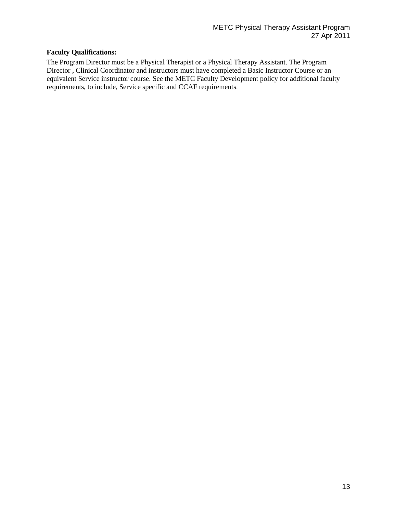# **Faculty Qualifications:**

The Program Director must be a Physical Therapist or a Physical Therapy Assistant. The Program Director , Clinical Coordinator and instructors must have completed a Basic Instructor Course or an equivalent Service instructor course. See the METC Faculty Development policy for additional faculty requirements, to include, Service specific and CCAF requirements.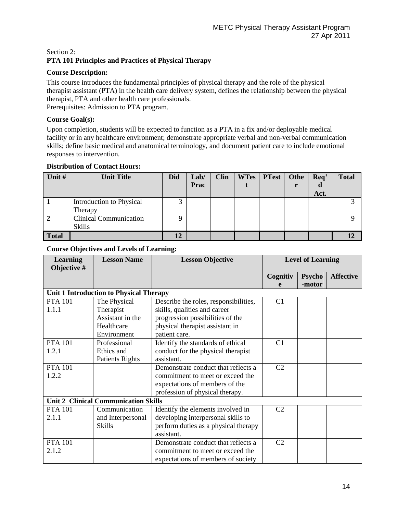# Section 2: **PTA 101 Principles and Practices of Physical Therapy**

# **Course Description:**

This course introduces the fundamental principles of physical therapy and the role of the physical therapist assistant (PTA) in the health care delivery system, defines the relationship between the physical therapist, PTA and other health care professionals. Prerequisites: Admission to PTA program.

# **Course Goal(s):**

Upon completion, students will be expected to function as a PTA in a fix and/or deployable medical facility or in any healthcare environment; demonstrate appropriate verbal and non-verbal communication skills; define basic medical and anatomical terminology, and document patient care to include emotional responses to intervention.

# **Distribution of Contact Hours:**

| Unit #       | <b>Unit Title</b>             | <b>Did</b> | Lab/ | <b>Clin</b> | <b>WTes</b> | <b>PTest</b> | Othe | Req' | <b>Total</b> |
|--------------|-------------------------------|------------|------|-------------|-------------|--------------|------|------|--------------|
|              |                               |            | Prac |             |             |              |      | α    |              |
|              |                               |            |      |             |             |              |      | Act. |              |
|              | Introduction to Physical      | 3<br>ر     |      |             |             |              |      |      |              |
|              | Therapy                       |            |      |             |             |              |      |      |              |
| 2            | <b>Clinical Communication</b> | Q          |      |             |             |              |      |      |              |
|              | <b>Skills</b>                 |            |      |             |             |              |      |      |              |
| <b>Total</b> |                               | 12         |      |             |             |              |      |      |              |

| <b>Learning</b><br>Objective # | <b>Lesson Name</b>                          | <b>Lesson Objective</b>               |                | <b>Level of Learning</b> |                  |
|--------------------------------|---------------------------------------------|---------------------------------------|----------------|--------------------------|------------------|
|                                |                                             |                                       | Cognitiv       | <b>Psycho</b>            | <b>Affective</b> |
|                                |                                             |                                       | e              | -motor                   |                  |
|                                | Unit 1 Introduction to Physical Therapy     |                                       |                |                          |                  |
| <b>PTA 101</b>                 | The Physical                                | Describe the roles, responsibilities, | C1             |                          |                  |
| 1.1.1                          | Therapist                                   | skills, qualities and career          |                |                          |                  |
|                                | Assistant in the                            | progression possibilities of the      |                |                          |                  |
|                                | Healthcare                                  | physical therapist assistant in       |                |                          |                  |
|                                | Environment                                 | patient care.                         |                |                          |                  |
| <b>PTA 101</b>                 | Professional                                | Identify the standards of ethical     | C1             |                          |                  |
| 1.2.1                          | Ethics and                                  | conduct for the physical therapist    |                |                          |                  |
|                                | <b>Patients Rights</b>                      | assistant.                            |                |                          |                  |
| <b>PTA 101</b>                 |                                             | Demonstrate conduct that reflects a   | C <sub>2</sub> |                          |                  |
| 1.2.2                          |                                             | commitment to meet or exceed the      |                |                          |                  |
|                                |                                             | expectations of members of the        |                |                          |                  |
|                                |                                             | profession of physical therapy.       |                |                          |                  |
|                                | <b>Unit 2 Clinical Communication Skills</b> |                                       |                |                          |                  |
| <b>PTA 101</b>                 | Communication                               | Identify the elements involved in     | C <sub>2</sub> |                          |                  |
| 2.1.1                          | and Interpersonal                           | developing interpersonal skills to    |                |                          |                  |
|                                | <b>Skills</b>                               | perform duties as a physical therapy  |                |                          |                  |
|                                |                                             | assistant.                            |                |                          |                  |
| <b>PTA 101</b>                 |                                             | Demonstrate conduct that reflects a   | C <sub>2</sub> |                          |                  |
| 2.1.2                          |                                             | commitment to meet or exceed the      |                |                          |                  |
|                                |                                             | expectations of members of society    |                |                          |                  |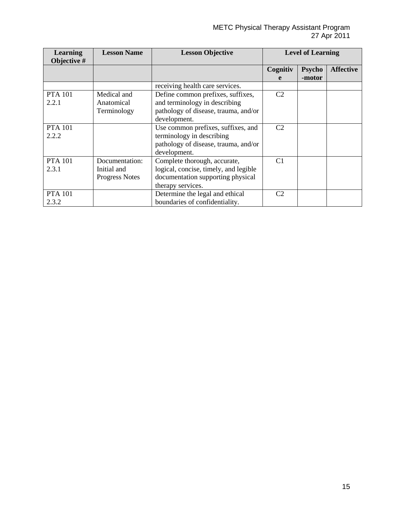| <b>Learning</b><br>Objective # | <b>Lesson Name</b>    | <b>Lesson Objective</b>               |                | <b>Level of Learning</b> |                  |
|--------------------------------|-----------------------|---------------------------------------|----------------|--------------------------|------------------|
|                                |                       |                                       | Cognitiv       | <b>Psycho</b>            | <b>Affective</b> |
|                                |                       |                                       | e              | -motor                   |                  |
|                                |                       | receiving health care services.       |                |                          |                  |
| <b>PTA 101</b>                 | Medical and           | Define common prefixes, suffixes,     | C <sub>2</sub> |                          |                  |
| 2.2.1                          | Anatomical            | and terminology in describing         |                |                          |                  |
|                                | Terminology           | pathology of disease, trauma, and/or  |                |                          |                  |
|                                |                       | development.                          |                |                          |                  |
| <b>PTA 101</b>                 |                       | Use common prefixes, suffixes, and    | C <sub>2</sub> |                          |                  |
| 2.2.2                          |                       | terminology in describing             |                |                          |                  |
|                                |                       | pathology of disease, trauma, and/or  |                |                          |                  |
|                                |                       | development.                          |                |                          |                  |
| <b>PTA 101</b>                 | Documentation:        | Complete thorough, accurate,          | C1             |                          |                  |
| 2.3.1                          | Initial and           | logical, concise, timely, and legible |                |                          |                  |
|                                | <b>Progress Notes</b> | documentation supporting physical     |                |                          |                  |
|                                |                       | therapy services.                     |                |                          |                  |
| <b>PTA 101</b>                 |                       | Determine the legal and ethical       | C <sub>2</sub> |                          |                  |
| 2.3.2                          |                       | boundaries of confidentiality.        |                |                          |                  |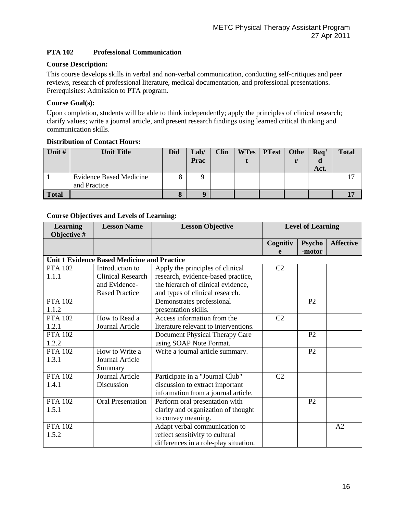# **PTA 102 Professional Communication**

### **Course Description:**

This course develops skills in verbal and non-verbal communication, conducting self-critiques and peer reviews, research of professional literature, medical documentation, and professional presentations. Prerequisites: Admission to PTA program.

#### **Course Goal(s):**

Upon completion, students will be able to think independently; apply the principles of clinical research; clarify values; write a journal article, and present research findings using learned critical thinking and communication skills.

# **Distribution of Contact Hours:**

| Unit $#$     | <b>Unit Title</b>                              | Did               | Lab/<br>Prac | <b>Clin</b> | WTes | <b>PTest</b> | Othe | Req'<br>Act. | <b>Total</b> |
|--------------|------------------------------------------------|-------------------|--------------|-------------|------|--------------|------|--------------|--------------|
|              | <b>Evidence Based Medicine</b><br>and Practice |                   | a            |             |      |              |      |              | 17           |
| <b>Total</b> |                                                | $\mathbf{o}$<br>O |              |             |      |              |      |              |              |

| <b>Learning</b><br>Objective # | <b>Lesson Name</b>                                 | <b>Lesson Objective</b>               |                | <b>Level of Learning</b> |                  |
|--------------------------------|----------------------------------------------------|---------------------------------------|----------------|--------------------------|------------------|
|                                |                                                    |                                       | Cognitiv       | <b>Psycho</b>            | <b>Affective</b> |
|                                |                                                    |                                       | e              | -motor                   |                  |
|                                | <b>Unit 1 Evidence Based Medicine and Practice</b> |                                       |                |                          |                  |
| <b>PTA 102</b>                 | Introduction to                                    | Apply the principles of clinical      | C <sub>2</sub> |                          |                  |
| 1.1.1                          | Clinical Research                                  | research, evidence-based practice,    |                |                          |                  |
|                                | and Evidence-                                      | the hierarch of clinical evidence,    |                |                          |                  |
|                                | <b>Based Practice</b>                              | and types of clinical research.       |                |                          |                  |
| <b>PTA 102</b>                 |                                                    | Demonstrates professional             |                | P <sub>2</sub>           |                  |
| 1.1.2                          |                                                    | presentation skills.                  |                |                          |                  |
| <b>PTA 102</b>                 | How to Read a                                      | Access information from the           | C <sub>2</sub> |                          |                  |
| 1.2.1                          | Journal Article                                    | literature relevant to interventions. |                |                          |                  |
| <b>PTA 102</b>                 |                                                    | Document Physical Therapy Care        |                | P <sub>2</sub>           |                  |
| 1.2.2                          |                                                    | using SOAP Note Format.               |                |                          |                  |
| <b>PTA 102</b>                 | How to Write a                                     | Write a journal article summary.      |                | P2                       |                  |
| 1.3.1                          | Journal Article                                    |                                       |                |                          |                  |
|                                | Summary                                            |                                       |                |                          |                  |
| <b>PTA 102</b>                 | Journal Article                                    | Participate in a "Journal Club"       | C <sub>2</sub> |                          |                  |
| 1.4.1                          | Discussion                                         | discussion to extract important       |                |                          |                  |
|                                |                                                    | information from a journal article.   |                |                          |                  |
| <b>PTA 102</b>                 | <b>Oral Presentation</b>                           | Perform oral presentation with        |                | P <sub>2</sub>           |                  |
| 1.5.1                          |                                                    | clarity and organization of thought   |                |                          |                  |
|                                |                                                    | to convey meaning.                    |                |                          |                  |
| <b>PTA 102</b>                 |                                                    | Adapt verbal communication to         |                |                          | A <sub>2</sub>   |
| 1.5.2                          |                                                    | reflect sensitivity to cultural       |                |                          |                  |
|                                |                                                    | differences in a role-play situation. |                |                          |                  |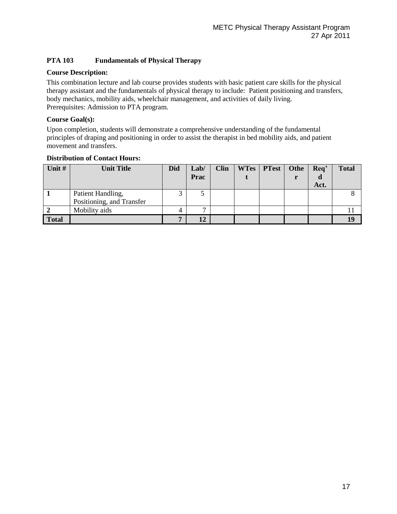# **PTA 103 Fundamentals of Physical Therapy**

#### **Course Description:**

This combination lecture and lab course provides students with basic patient care skills for the physical therapy assistant and the fundamentals of physical therapy to include: Patient positioning and transfers, body mechanics, mobility aids, wheelchair management, and activities of daily living. Prerequisites: Admission to PTA program.

#### **Course Goal(s):**

Upon completion, students will demonstrate a comprehensive understanding of the fundamental principles of draping and positioning in order to assist the therapist in bed mobility aids, and patient movement and transfers.

| Unit # | <b>Unit Title</b>         | <b>Did</b> | Lab/<br>Prac | <b>Clin</b> | WTes   PTest   Othe | Req'<br>Act. | <b>Total</b> |
|--------|---------------------------|------------|--------------|-------------|---------------------|--------------|--------------|
|        | Patient Handling,         | 2          |              |             |                     |              |              |
|        | Positioning, and Transfer |            |              |             |                     |              |              |
|        | Mobility aids             | 4          | ⇁            |             |                     |              |              |
| Total  |                           | −          | 12           |             |                     |              |              |

#### **Distribution of Contact Hours:**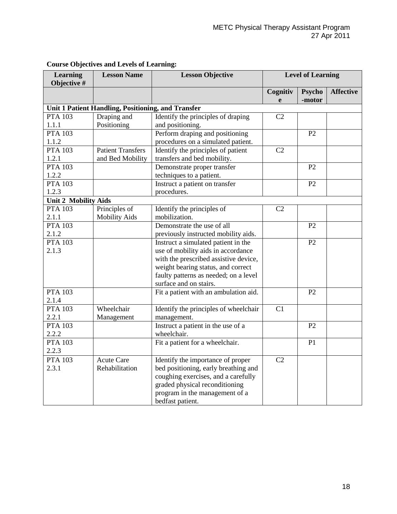| <b>Learning</b><br>Objective # | <b>Lesson Name</b>                                 | <b>Lesson Objective</b>               |                | <b>Level of Learning</b> |                  |
|--------------------------------|----------------------------------------------------|---------------------------------------|----------------|--------------------------|------------------|
|                                |                                                    |                                       | Cognitiv       | Psycho                   | <b>Affective</b> |
|                                |                                                    |                                       | e              | -motor                   |                  |
|                                | Unit 1 Patient Handling, Positioning, and Transfer |                                       |                |                          |                  |
| <b>PTA 103</b>                 | Draping and                                        | Identify the principles of draping    | C <sub>2</sub> |                          |                  |
| 1.1.1                          | Positioning                                        | and positioning.                      |                |                          |                  |
| <b>PTA 103</b>                 |                                                    | Perform draping and positioning       |                | P <sub>2</sub>           |                  |
| 1.1.2                          |                                                    | procedures on a simulated patient.    |                |                          |                  |
| <b>PTA 103</b>                 | <b>Patient Transfers</b>                           | Identify the principles of patient    | C2             |                          |                  |
| 1.2.1                          | and Bed Mobility                                   | transfers and bed mobility.           |                |                          |                  |
| <b>PTA 103</b>                 |                                                    | Demonstrate proper transfer           |                | P2                       |                  |
| 1.2.2                          |                                                    | techniques to a patient.              |                |                          |                  |
| <b>PTA 103</b>                 |                                                    | Instruct a patient on transfer        |                | P2                       |                  |
| 1.2.3                          |                                                    | procedures.                           |                |                          |                  |
| <b>Unit 2 Mobility Aids</b>    |                                                    |                                       |                |                          |                  |
| <b>PTA 103</b>                 | Principles of                                      | Identify the principles of            | C2             |                          |                  |
| 2.1.1                          | <b>Mobility Aids</b>                               | mobilization.                         |                |                          |                  |
| <b>PTA 103</b>                 |                                                    | Demonstrate the use of all            |                | P2                       |                  |
| 2.1.2                          |                                                    | previously instructed mobility aids.  |                |                          |                  |
| <b>PTA 103</b>                 |                                                    | Instruct a simulated patient in the   |                | P2                       |                  |
| 2.1.3                          |                                                    | use of mobility aids in accordance    |                |                          |                  |
|                                |                                                    | with the prescribed assistive device, |                |                          |                  |
|                                |                                                    | weight bearing status, and correct    |                |                          |                  |
|                                |                                                    | faulty patterns as needed; on a level |                |                          |                  |
|                                |                                                    | surface and on stairs.                |                |                          |                  |
| <b>PTA 103</b>                 |                                                    | Fit a patient with an ambulation aid. |                | P2                       |                  |
| 2.1.4                          |                                                    |                                       |                |                          |                  |
| <b>PTA 103</b>                 | Wheelchair                                         | Identify the principles of wheelchair | C1             |                          |                  |
| 2.2.1                          | Management                                         | management.                           |                |                          |                  |
| <b>PTA 103</b>                 |                                                    | Instruct a patient in the use of a    |                | P2                       |                  |
| 2.2.2                          |                                                    | wheelchair.                           |                |                          |                  |
| <b>PTA 103</b>                 |                                                    | Fit a patient for a wheelchair.       |                | P1                       |                  |
| 2.2.3                          |                                                    |                                       |                |                          |                  |
| <b>PTA 103</b>                 | <b>Acute Care</b>                                  | Identify the importance of proper     | C <sub>2</sub> |                          |                  |
| 2.3.1                          | Rehabilitation                                     | bed positioning, early breathing and  |                |                          |                  |
|                                |                                                    | coughing exercises, and a carefully   |                |                          |                  |
|                                |                                                    | graded physical reconditioning        |                |                          |                  |
|                                |                                                    | program in the management of a        |                |                          |                  |
|                                |                                                    | bedfast patient.                      |                |                          |                  |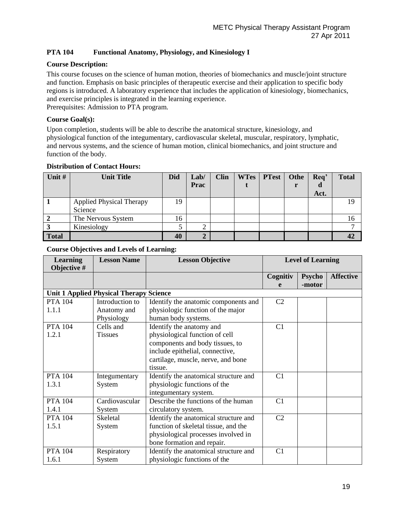# **PTA 104 Functional Anatomy, Physiology, and Kinesiology I**

#### **Course Description:**

This course focuses on the science of human motion, theories of biomechanics and muscle/joint structure and function. Emphasis on basic principles of therapeutic exercise and their application to specific body regions is introduced. A laboratory experience that includes the application of kinesiology, biomechanics, and exercise principles is integrated in the learning experience. Prerequisites: Admission to PTA program.

#### **Course Goal(s):**

Upon completion, students will be able to describe the anatomical structure, kinesiology, and physiological function of the integumentary, cardiovascular skeletal, muscular, respiratory, lymphatic, and nervous systems, and the science of human motion, clinical biomechanics, and joint structure and function of the body.

#### **Distribution of Contact Hours:**

| Unit #       | <b>Unit Title</b>               | <b>Did</b> | Lab/           | <b>Clin</b> | <b>WTes</b> | <b>PTest</b> | Othe | Req' | <b>Total</b> |
|--------------|---------------------------------|------------|----------------|-------------|-------------|--------------|------|------|--------------|
|              |                                 |            | Prac           |             |             |              |      | d    |              |
|              |                                 |            |                |             |             |              |      | Act. |              |
|              | <b>Applied Physical Therapy</b> | 19         |                |             |             |              |      |      | 19           |
|              | Science                         |            |                |             |             |              |      |      |              |
|              | The Nervous System              | 16         |                |             |             |              |      |      |              |
|              | Kinesiology                     |            | ⌒              |             |             |              |      |      |              |
| <b>Total</b> |                                 | 40         | $\overline{2}$ |             |             |              |      |      |              |

| <b>Learning</b><br>Objective # | <b>Lesson Name</b>                             | <b>Lesson Objective</b>               |                | <b>Level of Learning</b> |                  |
|--------------------------------|------------------------------------------------|---------------------------------------|----------------|--------------------------|------------------|
|                                |                                                |                                       | Cognitiv       | <b>Psycho</b>            | <b>Affective</b> |
|                                |                                                |                                       | e              | -motor                   |                  |
|                                | <b>Unit 1 Applied Physical Therapy Science</b> |                                       |                |                          |                  |
| <b>PTA 104</b>                 | Introduction to                                | Identify the anatomic components and  | C <sub>2</sub> |                          |                  |
| 1.1.1                          | Anatomy and                                    | physiologic function of the major     |                |                          |                  |
|                                | Physiology                                     | human body systems.                   |                |                          |                  |
| <b>PTA 104</b>                 | Cells and                                      | Identify the anatomy and              | C <sub>1</sub> |                          |                  |
| 1.2.1                          | <b>Tissues</b>                                 | physiological function of cell        |                |                          |                  |
|                                |                                                | components and body tissues, to       |                |                          |                  |
|                                |                                                | include epithelial, connective,       |                |                          |                  |
|                                |                                                | cartilage, muscle, nerve, and bone    |                |                          |                  |
|                                |                                                | tissue.                               |                |                          |                  |
| <b>PTA 104</b>                 | Integumentary                                  | Identify the anatomical structure and | C1             |                          |                  |
| 1.3.1                          | System                                         | physiologic functions of the          |                |                          |                  |
|                                |                                                | integumentary system.                 |                |                          |                  |
| <b>PTA 104</b>                 | Cardiovascular                                 | Describe the functions of the human   | C1             |                          |                  |
| 1.4.1                          | System                                         | circulatory system.                   |                |                          |                  |
| <b>PTA</b> 104                 | Skeletal                                       | Identify the anatomical structure and | C <sub>2</sub> |                          |                  |
| 1.5.1                          | System                                         | function of skeletal tissue, and the  |                |                          |                  |
|                                |                                                | physiological processes involved in   |                |                          |                  |
|                                |                                                | bone formation and repair.            |                |                          |                  |
| <b>PTA 104</b>                 | Respiratory                                    | Identify the anatomical structure and | C1             |                          |                  |
| 1.6.1                          | System                                         | physiologic functions of the          |                |                          |                  |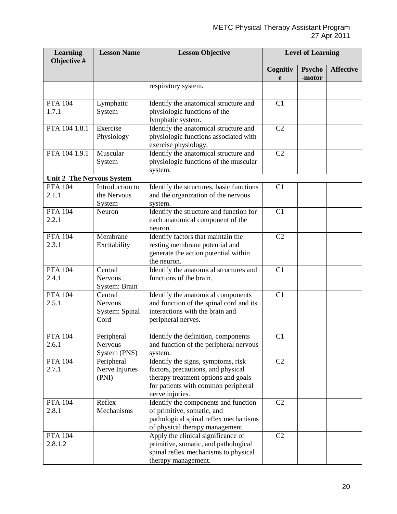| <b>Learning</b><br>Objective #   | <b>Lesson Name</b>                                  | <b>Lesson Objective</b>                                                                                                                                                   |                | <b>Level of Learning</b> |                  |
|----------------------------------|-----------------------------------------------------|---------------------------------------------------------------------------------------------------------------------------------------------------------------------------|----------------|--------------------------|------------------|
|                                  |                                                     |                                                                                                                                                                           | Cognitiv<br>e  | Psycho<br>-motor         | <b>Affective</b> |
|                                  |                                                     | respiratory system.                                                                                                                                                       |                |                          |                  |
| <b>PTA 104</b><br>1.7.1          | Lymphatic<br>System                                 | Identify the anatomical structure and<br>physiologic functions of the<br>lymphatic system.                                                                                | C1             |                          |                  |
| PTA 104 1.8.1                    | Exercise<br>Physiology                              | Identify the anatomical structure and<br>physiologic functions associated with<br>exercise physiology.                                                                    | C <sub>2</sub> |                          |                  |
| PTA 104 1.9.1                    | Muscular<br>System                                  | Identify the anatomical structure and<br>physiologic functions of the muscular<br>system.                                                                                 | C <sub>2</sub> |                          |                  |
| <b>Unit 2 The Nervous System</b> |                                                     |                                                                                                                                                                           |                |                          |                  |
| <b>PTA 104</b><br>2.1.1          | Introduction to<br>the Nervous<br>System            | Identify the structures, basic functions<br>and the organization of the nervous<br>system.                                                                                | C1             |                          |                  |
| <b>PTA 104</b><br>2.2.1          | Neuron                                              | Identify the structure and function for<br>each anatomical component of the<br>neuron.                                                                                    | C1             |                          |                  |
| <b>PTA 104</b><br>2.3.1          | Membrane<br>Excitability                            | Identify factors that maintain the<br>resting membrane potential and<br>generate the action potential within<br>the neuron.                                               | C <sub>2</sub> |                          |                  |
| <b>PTA 104</b><br>2.4.1          | Central<br><b>Nervous</b><br>System: Brain          | Identify the anatomical structures and<br>functions of the brain.                                                                                                         | C1             |                          |                  |
| <b>PTA 104</b><br>2.5.1          | Central<br><b>Nervous</b><br>System: Spinal<br>Cord | Identify the anatomical components<br>and function of the spinal cord and its<br>interactions with the brain and<br>peripheral nerves.                                    | C1             |                          |                  |
| <b>PTA 104</b><br>2.6.1          | Peripheral<br>Nervous<br>System (PNS)               | Identify the definition, components<br>and function of the peripheral nervous<br>system.                                                                                  | C1             |                          |                  |
| <b>PTA 104</b><br>2.7.1          | Peripheral<br>Nerve Injuries<br>(PNI)               | Identify the signs, symptoms, risk<br>factors, precautions, and physical<br>therapy treatment options and goals<br>for patients with common peripheral<br>nerve injuries. | C <sub>2</sub> |                          |                  |
| <b>PTA 104</b><br>2.8.1          | Reflex<br>Mechanisms                                | Identify the components and function<br>of primitive, somatic, and<br>pathological spinal reflex mechanisms<br>of physical therapy management.                            | C <sub>2</sub> |                          |                  |
| <b>PTA 104</b><br>2.8.1.2        |                                                     | Apply the clinical significance of<br>primitive, somatic, and pathological<br>spinal reflex mechanisms to physical<br>therapy management.                                 | C <sub>2</sub> |                          |                  |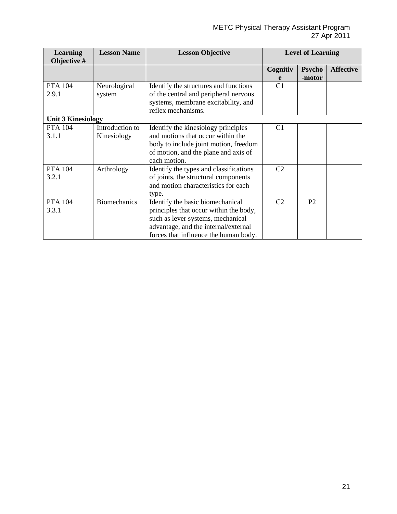| <b>Learning</b><br>Objective # | <b>Lesson Name</b>             | <b>Lesson Objective</b>                                                                                                                                                                          |                | <b>Level of Learning</b> |                  |
|--------------------------------|--------------------------------|--------------------------------------------------------------------------------------------------------------------------------------------------------------------------------------------------|----------------|--------------------------|------------------|
|                                |                                |                                                                                                                                                                                                  | Cognitiv<br>e  | <b>Psycho</b><br>-motor  | <b>Affective</b> |
| <b>PTA 104</b><br>2.9.1        | Neurological<br>system         | Identify the structures and functions<br>of the central and peripheral nervous<br>systems, membrane excitability, and<br>reflex mechanisms.                                                      | C1             |                          |                  |
| <b>Unit 3 Kinesiology</b>      |                                |                                                                                                                                                                                                  |                |                          |                  |
| <b>PTA 104</b><br>3.1.1        | Introduction to<br>Kinesiology | Identify the kinesiology principles<br>and motions that occur within the<br>body to include joint motion, freedom<br>of motion, and the plane and axis of<br>each motion.                        | C <sub>1</sub> |                          |                  |
| <b>PTA 104</b><br>3.2.1        | Arthrology                     | Identify the types and classifications<br>of joints, the structural components<br>and motion characteristics for each<br>type.                                                                   | C <sub>2</sub> |                          |                  |
| <b>PTA 104</b><br>3.3.1        | <b>Biomechanics</b>            | Identify the basic biomechanical<br>principles that occur within the body,<br>such as lever systems, mechanical<br>advantage, and the internal/external<br>forces that influence the human body. | C <sub>2</sub> | P <sub>2</sub>           |                  |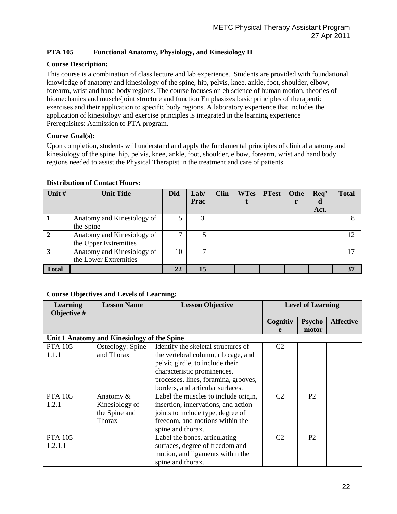# **PTA 105 Functional Anatomy, Physiology, and Kinesiology II**

# **Course Description:**

This course is a combination of class lecture and lab experience. Students are provided with foundational knowledge of anatomy and kinesiology of the spine, hip, pelvis, knee, ankle, foot, shoulder, elbow, forearm, wrist and hand body regions. The course focuses on eh science of human motion, theories of biomechanics and muscle/joint structure and function Emphasizes basic principles of therapeutic exercises and their application to specific body regions. A laboratory experience that includes the application of kinesiology and exercise principles is integrated in the learning experience Prerequisites: Admission to PTA program.

# **Course Goal(s):**

Upon completion, students will understand and apply the fundamental principles of clinical anatomy and kinesiology of the spine, hip, pelvis, knee, ankle, foot, shoulder, elbow, forearm, wrist and hand body regions needed to assist the Physical Therapist in the treatment and care of patients.

| Unit #       | <b>Unit Title</b>                                   | <b>Did</b> | Lab/<br><b>Prac</b> | <b>Clin</b> | <b>WTes</b> | <b>PTest</b> | Othe | Req'<br>đ | <b>Total</b> |
|--------------|-----------------------------------------------------|------------|---------------------|-------------|-------------|--------------|------|-----------|--------------|
|              |                                                     |            |                     |             |             |              |      | Act.      |              |
|              | Anatomy and Kinesiology of<br>the Spine             |            |                     |             |             |              |      |           |              |
|              | Anatomy and Kinesiology of<br>the Upper Extremities | ⇁          | 5                   |             |             |              |      |           |              |
| 3            | Anatomy and Kinesiology of<br>the Lower Extremities | 10         | ⇁                   |             |             |              |      |           |              |
| <b>Total</b> |                                                     | 22         | 15                  |             |             |              |      |           | 37           |

#### **Distribution of Contact Hours:**

| <b>Learning</b><br>Objective # | <b>Lesson Name</b>                          | <b>Lesson Objective</b>              |                | <b>Level of Learning</b> |                  |
|--------------------------------|---------------------------------------------|--------------------------------------|----------------|--------------------------|------------------|
|                                |                                             |                                      | Cognitiv       | <b>Psycho</b>            | <b>Affective</b> |
|                                |                                             |                                      | e              | -motor                   |                  |
|                                | Unit 1 Anatomy and Kinesiology of the Spine |                                      |                |                          |                  |
| <b>PTA 105</b>                 | Osteology: Spine                            | Identify the skeletal structures of  | C <sub>2</sub> |                          |                  |
| 1.1.1                          | and Thorax                                  | the vertebral column, rib cage, and  |                |                          |                  |
|                                |                                             | pelvic girdle, to include their      |                |                          |                  |
|                                |                                             | characteristic prominences,          |                |                          |                  |
|                                |                                             | processes, lines, foramina, grooves, |                |                          |                  |
|                                |                                             | borders, and articular surfaces.     |                |                          |                  |
| <b>PTA 105</b>                 | Anatomy $\&$                                | Label the muscles to include origin, | C <sub>2</sub> | P <sub>2</sub>           |                  |
| 1.2.1                          | Kinesiology of                              | insertion, innervations, and action  |                |                          |                  |
|                                | the Spine and                               | joints to include type, degree of    |                |                          |                  |
|                                | <b>Thorax</b>                               | freedom, and motions within the      |                |                          |                  |
|                                |                                             | spine and thorax.                    |                |                          |                  |
| <b>PTA 105</b>                 |                                             | Label the bones, articulating        | C <sub>2</sub> | P <sub>2</sub>           |                  |
| 1.2.1.1                        |                                             | surfaces, degree of freedom and      |                |                          |                  |
|                                |                                             | motion, and ligaments within the     |                |                          |                  |
|                                |                                             | spine and thorax.                    |                |                          |                  |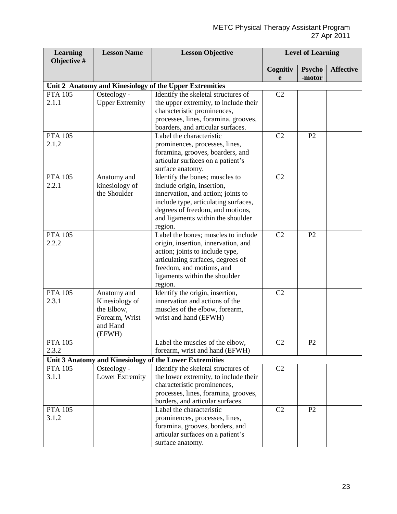| <b>Learning</b><br>Objective # | <b>Lesson Name</b>     | <b>Lesson Objective</b>                                 |                | <b>Level of Learning</b> |                  |
|--------------------------------|------------------------|---------------------------------------------------------|----------------|--------------------------|------------------|
|                                |                        |                                                         | Cognitiv<br>e  | <b>Psycho</b><br>-motor  | <b>Affective</b> |
|                                |                        | Unit 2 Anatomy and Kinesiology of the Upper Extremities |                |                          |                  |
| <b>PTA 105</b>                 | Osteology -            | Identify the skeletal structures of                     | C2             |                          |                  |
| 2.1.1                          | <b>Upper Extremity</b> | the upper extremity, to include their                   |                |                          |                  |
|                                |                        | characteristic prominences,                             |                |                          |                  |
|                                |                        | processes, lines, foramina, grooves,                    |                |                          |                  |
|                                |                        | boarders, and articular surfaces.                       |                |                          |                  |
| <b>PTA 105</b>                 |                        | Label the characteristic                                | C <sub>2</sub> | P <sub>2</sub>           |                  |
| 2.1.2                          |                        | prominences, processes, lines,                          |                |                          |                  |
|                                |                        | foramina, grooves, boarders, and                        |                |                          |                  |
|                                |                        | articular surfaces on a patient's                       |                |                          |                  |
|                                |                        | surface anatomy.                                        |                |                          |                  |
| <b>PTA 105</b>                 | Anatomy and            | Identify the bones; muscles to                          | C <sub>2</sub> |                          |                  |
| 2.2.1                          | kinesiology of         | include origin, insertion,                              |                |                          |                  |
|                                | the Shoulder           | innervation, and action; joints to                      |                |                          |                  |
|                                |                        | include type, articulating surfaces,                    |                |                          |                  |
|                                |                        | degrees of freedom, and motions,                        |                |                          |                  |
|                                |                        | and ligaments within the shoulder                       |                |                          |                  |
|                                |                        | region.                                                 |                |                          |                  |
| <b>PTA 105</b>                 |                        | Label the bones; muscles to include                     | C <sub>2</sub> | P <sub>2</sub>           |                  |
| 2.2.2                          |                        | origin, insertion, innervation, and                     |                |                          |                  |
|                                |                        | action; joints to include type,                         |                |                          |                  |
|                                |                        | articulating surfaces, degrees of                       |                |                          |                  |
|                                |                        | freedom, and motions, and                               |                |                          |                  |
|                                |                        | ligaments within the shoulder                           |                |                          |                  |
|                                |                        | region.                                                 |                |                          |                  |
| <b>PTA 105</b>                 | Anatomy and            | Identify the origin, insertion,                         | C <sub>2</sub> |                          |                  |
| 2.3.1                          | Kinesiology of         | innervation and actions of the                          |                |                          |                  |
|                                | the Elbow,             | muscles of the elbow, forearm,                          |                |                          |                  |
|                                | Forearm, Wrist         | wrist and hand (EFWH)                                   |                |                          |                  |
|                                | and Hand               |                                                         |                |                          |                  |
|                                | (EFWH)                 |                                                         |                |                          |                  |
| <b>PTA 105</b>                 |                        | Label the muscles of the elbow,                         | C <sub>2</sub> | P2                       |                  |
| 2.3.2                          |                        | forearm, wrist and hand (EFWH)                          |                |                          |                  |
|                                |                        | Unit 3 Anatomy and Kinesiology of the Lower Extremities |                |                          |                  |
| <b>PTA 105</b>                 | Osteology -            | Identify the skeletal structures of                     | C <sub>2</sub> |                          |                  |
| 3.1.1                          | Lower Extremity        | the lower extremity, to include their                   |                |                          |                  |
|                                |                        | characteristic prominences,                             |                |                          |                  |
|                                |                        | processes, lines, foramina, grooves,                    |                |                          |                  |
|                                |                        | borders, and articular surfaces.                        |                |                          |                  |
| <b>PTA 105</b>                 |                        | Label the characteristic                                | C2             | P2                       |                  |
| 3.1.2                          |                        | prominences, processes, lines,                          |                |                          |                  |
|                                |                        | foramina, grooves, borders, and                         |                |                          |                  |
|                                |                        | articular surfaces on a patient's                       |                |                          |                  |
|                                |                        | surface anatomy.                                        |                |                          |                  |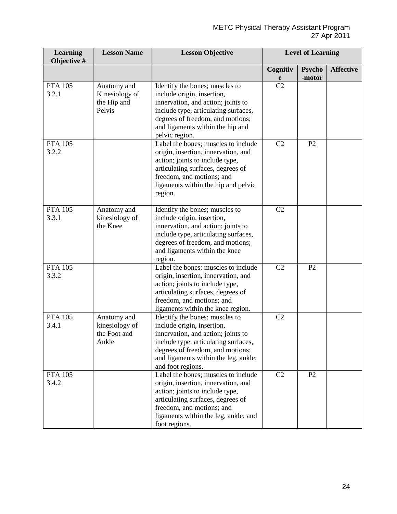| <b>Learning</b><br>Objective # | <b>Lesson Name</b>                                     | <b>Lesson Objective</b>                                                                                                                                                                                                                     |                | <b>Level of Learning</b> |                  |
|--------------------------------|--------------------------------------------------------|---------------------------------------------------------------------------------------------------------------------------------------------------------------------------------------------------------------------------------------------|----------------|--------------------------|------------------|
|                                |                                                        |                                                                                                                                                                                                                                             | Cognitiv<br>e  | <b>Psycho</b><br>-motor  | <b>Affective</b> |
| <b>PTA 105</b><br>3.2.1        | Anatomy and<br>Kinesiology of<br>the Hip and<br>Pelvis | Identify the bones; muscles to<br>include origin, insertion,<br>innervation, and action; joints to<br>include type, articulating surfaces,<br>degrees of freedom, and motions;<br>and ligaments within the hip and<br>pelvic region.        | C <sub>2</sub> |                          |                  |
| <b>PTA 105</b><br>3.2.2        |                                                        | Label the bones; muscles to include<br>origin, insertion, innervation, and<br>action; joints to include type,<br>articulating surfaces, degrees of<br>freedom, and motions; and<br>ligaments within the hip and pelvic<br>region.           | C <sub>2</sub> | P2                       |                  |
| <b>PTA 105</b><br>3.3.1        | Anatomy and<br>kinesiology of<br>the Knee              | Identify the bones; muscles to<br>include origin, insertion,<br>innervation, and action; joints to<br>include type, articulating surfaces,<br>degrees of freedom, and motions;<br>and ligaments within the knee<br>region.                  | C <sub>2</sub> |                          |                  |
| <b>PTA 105</b><br>3.3.2        |                                                        | Label the bones; muscles to include<br>origin, insertion, innervation, and<br>action; joints to include type,<br>articulating surfaces, degrees of<br>freedom, and motions; and<br>ligaments within the knee region.                        | C2             | P2                       |                  |
| <b>PTA 105</b><br>3.4.1        | Anatomy and<br>kinesiology of<br>the Foot and<br>Ankle | Identify the bones; muscles to<br>include origin, insertion,<br>innervation, and action; joints to<br>include type, articulating surfaces,<br>degrees of freedom, and motions;<br>and ligaments within the leg, ankle;<br>and foot regions. | C <sub>2</sub> |                          |                  |
| <b>PTA 105</b><br>3.4.2        |                                                        | Label the bones; muscles to include<br>origin, insertion, innervation, and<br>action; joints to include type,<br>articulating surfaces, degrees of<br>freedom, and motions; and<br>ligaments within the leg, ankle; and<br>foot regions.    | C2             | P2                       |                  |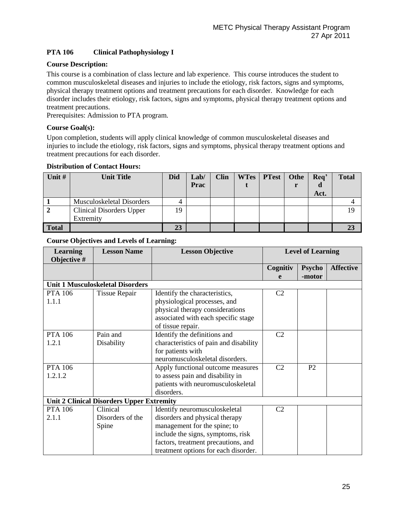# **PTA 106 Clinical Pathophysiology I**

# **Course Description:**

This course is a combination of class lecture and lab experience. This course introduces the student to common musculoskeletal diseases and injuries to include the etiology, risk factors, signs and symptoms, physical therapy treatment options and treatment precautions for each disorder. Knowledge for each disorder includes their etiology, risk factors, signs and symptoms, physical therapy treatment options and treatment precautions.

Prerequisites: Admission to PTA program.

### **Course Goal(s):**

Upon completion, students will apply clinical knowledge of common musculoskeletal diseases and injuries to include the etiology, risk factors, signs and symptoms, physical therapy treatment options and treatment precautions for each disorder.

#### **Distribution of Contact Hours:**

| Unit #       | <b>Unit Title</b>               | <b>Did</b> | Lab/ | <b>Clin</b> | <b>WTes</b> | <b>PTest</b> | Othe | Req' | <b>Total</b> |
|--------------|---------------------------------|------------|------|-------------|-------------|--------------|------|------|--------------|
|              |                                 |            | Prac |             |             |              |      | u    |              |
|              |                                 |            |      |             |             |              |      | Act. |              |
|              | Musculoskeletal Disorders       | 4          |      |             |             |              |      |      |              |
|              | <b>Clinical Disorders Upper</b> | 19         |      |             |             |              |      |      | 19           |
|              | Extremity                       |            |      |             |             |              |      |      |              |
| <b>Total</b> |                                 | 23         |      |             |             |              |      |      |              |

| <b>Learning</b><br>Objective # | <b>Lesson Name</b>                               | <b>Lesson Objective</b>                |                | <b>Level of Learning</b> |                  |
|--------------------------------|--------------------------------------------------|----------------------------------------|----------------|--------------------------|------------------|
|                                |                                                  |                                        | Cognitiv       | <b>Psycho</b>            | <b>Affective</b> |
|                                |                                                  |                                        | e              | -motor                   |                  |
|                                | <b>Unit 1 Musculoskeletal Disorders</b>          |                                        |                |                          |                  |
| <b>PTA 106</b>                 | <b>Tissue Repair</b>                             | Identify the characteristics,          | C <sub>2</sub> |                          |                  |
| 1.1.1                          |                                                  | physiological processes, and           |                |                          |                  |
|                                |                                                  | physical therapy considerations        |                |                          |                  |
|                                |                                                  | associated with each specific stage    |                |                          |                  |
|                                |                                                  | of tissue repair.                      |                |                          |                  |
| <b>PTA 106</b>                 | Pain and                                         | Identify the definitions and           | C <sub>2</sub> |                          |                  |
| 1.2.1                          | Disability                                       | characteristics of pain and disability |                |                          |                  |
|                                |                                                  | for patients with                      |                |                          |                  |
|                                |                                                  | neuromusculoskeletal disorders.        |                |                          |                  |
| <b>PTA 106</b>                 |                                                  | Apply functional outcome measures      | C <sub>2</sub> | P <sub>2</sub>           |                  |
| 1.2.1.2                        |                                                  | to assess pain and disability in       |                |                          |                  |
|                                |                                                  | patients with neuromusculoskeletal     |                |                          |                  |
|                                |                                                  | disorders.                             |                |                          |                  |
|                                | <b>Unit 2 Clinical Disorders Upper Extremity</b> |                                        |                |                          |                  |
| <b>PTA 106</b>                 | Clinical                                         | Identify neuromusculoskeletal          | C <sub>2</sub> |                          |                  |
| 2.1.1                          | Disorders of the                                 | disorders and physical therapy         |                |                          |                  |
|                                | Spine                                            | management for the spine; to           |                |                          |                  |
|                                |                                                  | include the signs, symptoms, risk      |                |                          |                  |
|                                |                                                  | factors, treatment precautions, and    |                |                          |                  |
|                                |                                                  | treatment options for each disorder.   |                |                          |                  |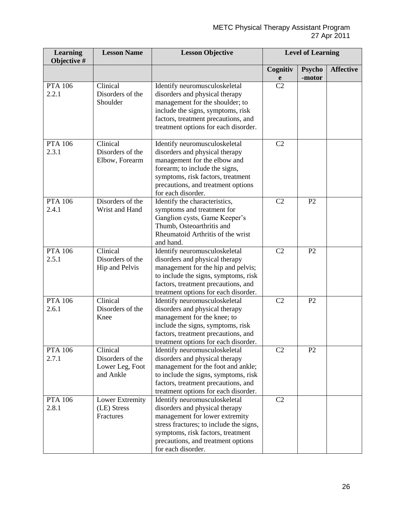| <b>Learning</b><br>Objective # | <b>Lesson Name</b>                                           | <b>Lesson Objective</b>                                                                                                                                                                                                                       |                         | <b>Level of Learning</b> |                  |
|--------------------------------|--------------------------------------------------------------|-----------------------------------------------------------------------------------------------------------------------------------------------------------------------------------------------------------------------------------------------|-------------------------|--------------------------|------------------|
|                                |                                                              |                                                                                                                                                                                                                                               | Cognitiv<br>$\mathbf e$ | <b>Psycho</b><br>-motor  | <b>Affective</b> |
| <b>PTA 106</b><br>2.2.1        | Clinical<br>Disorders of the<br>Shoulder                     | Identify neuromusculoskeletal<br>disorders and physical therapy<br>management for the shoulder; to<br>include the signs, symptoms, risk<br>factors, treatment precautions, and<br>treatment options for each disorder.                        | C <sub>2</sub>          |                          |                  |
| <b>PTA 106</b><br>2.3.1        | Clinical<br>Disorders of the<br>Elbow, Forearm               | Identify neuromusculoskeletal<br>disorders and physical therapy<br>management for the elbow and<br>forearm; to include the signs,<br>symptoms, risk factors, treatment<br>precautions, and treatment options<br>for each disorder.            | C2                      |                          |                  |
| <b>PTA 106</b><br>2.4.1        | Disorders of the<br>Wrist and Hand                           | Identify the characteristics,<br>symptoms and treatment for<br>Ganglion cysts, Game Keeper's<br>Thumb, Osteoarthritis and<br>Rheumatoid Arthritis of the wrist<br>and hand.                                                                   | C2                      | P2                       |                  |
| <b>PTA 106</b><br>2.5.1        | Clinical<br>Disorders of the<br>Hip and Pelvis               | Identify neuromusculoskeletal<br>disorders and physical therapy<br>management for the hip and pelvis;<br>to include the signs, symptoms, risk<br>factors, treatment precautions, and<br>treatment options for each disorder.                  | C2                      | P2                       |                  |
| <b>PTA 106</b><br>2.6.1        | Clinical<br>Disorders of the<br>Knee                         | Identify neuromusculoskeletal<br>disorders and physical therapy<br>management for the knee; to<br>include the signs, symptoms, risk<br>factors, treatment precautions, and<br>treatment options for each disorder.                            | C <sub>2</sub>          | P <sub>2</sub>           |                  |
| <b>PTA 106</b><br>2.7.1        | Clinical<br>Disorders of the<br>Lower Leg, Foot<br>and Ankle | Identify neuromusculoskeletal<br>disorders and physical therapy<br>management for the foot and ankle;<br>to include the signs, symptoms, risk<br>factors, treatment precautions, and<br>treatment options for each disorder.                  | C <sub>2</sub>          | P2                       |                  |
| <b>PTA 106</b><br>2.8.1        | Lower Extremity<br>(LE) Stress<br>Fractures                  | Identify neuromusculoskeletal<br>disorders and physical therapy<br>management for lower extremity<br>stress fractures; to include the signs,<br>symptoms, risk factors, treatment<br>precautions, and treatment options<br>for each disorder. | C2                      |                          |                  |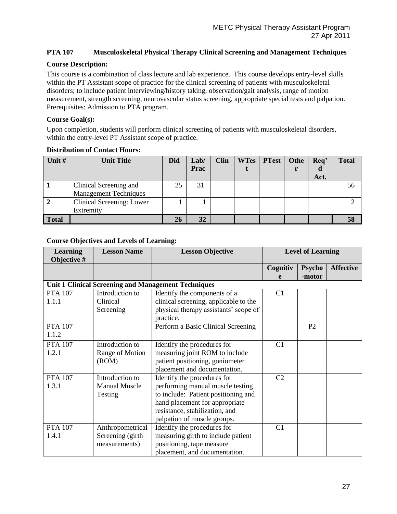# **PTA 107 Musculoskeletal Physical Therapy Clinical Screening and Management Techniques**

#### **Course Description:**

This course is a combination of class lecture and lab experience. This course develops entry-level skills within the PT Assistant scope of practice for the clinical screening of patients with musculoskeletal disorders; to include patient interviewing/history taking, observation/gait analysis, range of motion measurement, strength screening, neurovascular status screening, appropriate special tests and palpation. Prerequisites: Admission to PTA program.

#### **Course Goal(s):**

Upon completion, students will perform clinical screening of patients with musculoskeletal disorders, within the entry-level PT Assistant scope of practice.

| Unit #       | <b>Unit Title</b>            | <b>Did</b> | Lab/ | <b>Clin</b> | <b>WTes</b> | <b>PTest</b> | Othe | Req' | <b>Total</b> |
|--------------|------------------------------|------------|------|-------------|-------------|--------------|------|------|--------------|
|              |                              |            | Prac |             |             |              |      | a    |              |
|              |                              |            |      |             |             |              |      | Act. |              |
|              | Clinical Screening and       | 25         | 31   |             |             |              |      |      | 56           |
|              | <b>Management Techniques</b> |            |      |             |             |              |      |      |              |
|              | Clinical Screening: Lower    |            |      |             |             |              |      |      |              |
|              | Extremity                    |            |      |             |             |              |      |      |              |
| <b>Total</b> |                              | 26         | 32   |             |             |              |      |      |              |

# **Distribution of Contact Hours:**

| <b>Learning</b><br>Objective # | <b>Lesson Name</b>   | <b>Lesson Objective</b>                                    | <b>Level of Learning</b> |                         |                  |
|--------------------------------|----------------------|------------------------------------------------------------|--------------------------|-------------------------|------------------|
|                                |                      |                                                            | Cognitiv<br>e            | <b>Psycho</b><br>-motor | <b>Affective</b> |
|                                |                      | <b>Unit 1 Clinical Screening and Management Techniques</b> |                          |                         |                  |
| <b>PTA 107</b>                 | Introduction to      | Identify the components of a                               | C1                       |                         |                  |
| 1.1.1                          | Clinical             | clinical screening, applicable to the                      |                          |                         |                  |
|                                | Screening            | physical therapy assistants' scope of                      |                          |                         |                  |
|                                |                      | practice.                                                  |                          |                         |                  |
| <b>PTA 107</b>                 |                      | Perform a Basic Clinical Screening                         |                          | P <sub>2</sub>          |                  |
| 1.1.2                          |                      |                                                            |                          |                         |                  |
| <b>PTA 107</b>                 | Introduction to      | Identify the procedures for                                | C1                       |                         |                  |
| 1.2.1                          | Range of Motion      | measuring joint ROM to include                             |                          |                         |                  |
|                                | (ROM)                | patient positioning, goniometer                            |                          |                         |                  |
|                                |                      | placement and documentation.                               |                          |                         |                  |
| <b>PTA 107</b>                 | Introduction to      | Identify the procedures for                                | C <sub>2</sub>           |                         |                  |
| 1.3.1                          | <b>Manual Muscle</b> | performing manual muscle testing                           |                          |                         |                  |
|                                | Testing              | to include: Patient positioning and                        |                          |                         |                  |
|                                |                      | hand placement for appropriate                             |                          |                         |                  |
|                                |                      | resistance, stabilization, and                             |                          |                         |                  |
|                                |                      | palpation of muscle groups.                                |                          |                         |                  |
| <b>PTA 107</b>                 | Anthropometrical     | Identify the procedures for                                | C1                       |                         |                  |
| 1.4.1                          | Screening (girth     | measuring girth to include patient                         |                          |                         |                  |
|                                | measurements)        | positioning, tape measure                                  |                          |                         |                  |
|                                |                      | placement, and documentation.                              |                          |                         |                  |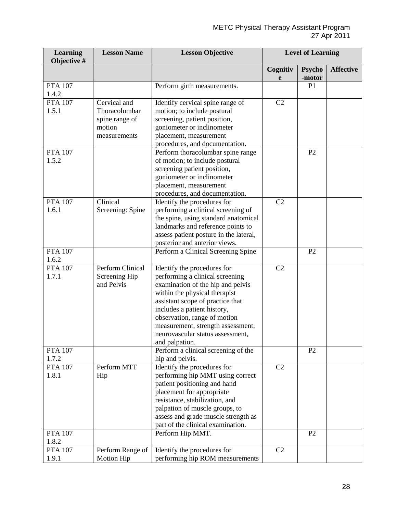| <b>Learning</b><br>Objective # | <b>Lesson Name</b>                                                        | <b>Lesson Objective</b>                                                                                                                                                                                                                                                                                                            |                | <b>Level of Learning</b> |                  |
|--------------------------------|---------------------------------------------------------------------------|------------------------------------------------------------------------------------------------------------------------------------------------------------------------------------------------------------------------------------------------------------------------------------------------------------------------------------|----------------|--------------------------|------------------|
|                                |                                                                           |                                                                                                                                                                                                                                                                                                                                    | Cognitiv<br>e  | <b>Psycho</b><br>-motor  | <b>Affective</b> |
| <b>PTA 107</b><br>1.4.2        |                                                                           | Perform girth measurements.                                                                                                                                                                                                                                                                                                        |                | P <sub>1</sub>           |                  |
| <b>PTA 107</b><br>1.5.1        | Cervical and<br>Thoracolumbar<br>spine range of<br>motion<br>measurements | Identify cervical spine range of<br>motion; to include postural<br>screening, patient position,<br>goniometer or inclinometer<br>placement, measurement<br>procedures, and documentation.                                                                                                                                          | C2             |                          |                  |
| <b>PTA 107</b><br>1.5.2        |                                                                           | Perform thoracolumbar spine range<br>of motion; to include postural<br>screening patient position,<br>goniometer or inclinometer<br>placement, measurement<br>procedures, and documentation.                                                                                                                                       |                | P <sub>2</sub>           |                  |
| <b>PTA 107</b><br>1.6.1        | Clinical<br>Screening: Spine                                              | Identify the procedures for<br>performing a clinical screening of<br>the spine, using standard anatomical<br>landmarks and reference points to<br>assess patient posture in the lateral,<br>posterior and anterior views.                                                                                                          | C <sub>2</sub> |                          |                  |
| <b>PTA 107</b><br>1.6.2        |                                                                           | Perform a Clinical Screening Spine                                                                                                                                                                                                                                                                                                 |                | P <sub>2</sub>           |                  |
| <b>PTA 107</b><br>1.7.1        | Perform Clinical<br>Screening Hip<br>and Pelvis                           | Identify the procedures for<br>performing a clinical screening<br>examination of the hip and pelvis<br>within the physical therapist<br>assistant scope of practice that<br>includes a patient history,<br>observation, range of motion<br>measurement, strength assessment,<br>neurovascular status assessment,<br>and palpation. | C <sub>2</sub> |                          |                  |
| <b>PTA 107</b><br>1.7.2        |                                                                           | Perform a clinical screening of the<br>hip and pelvis.                                                                                                                                                                                                                                                                             |                | P <sub>2</sub>           |                  |
| <b>PTA 107</b><br>1.8.1        | Perform MTT<br>Hip                                                        | Identify the procedures for<br>performing hip MMT using correct<br>patient positioning and hand<br>placement for appropriate<br>resistance, stabilization, and<br>palpation of muscle groups, to<br>assess and grade muscle strength as<br>part of the clinical examination.                                                       | C2             |                          |                  |
| <b>PTA 107</b><br>1.8.2        |                                                                           | Perform Hip MMT.                                                                                                                                                                                                                                                                                                                   |                | P <sub>2</sub>           |                  |
| <b>PTA 107</b><br>1.9.1        | Perform Range of<br>Motion Hip                                            | Identify the procedures for<br>performing hip ROM measurements                                                                                                                                                                                                                                                                     | C2             |                          |                  |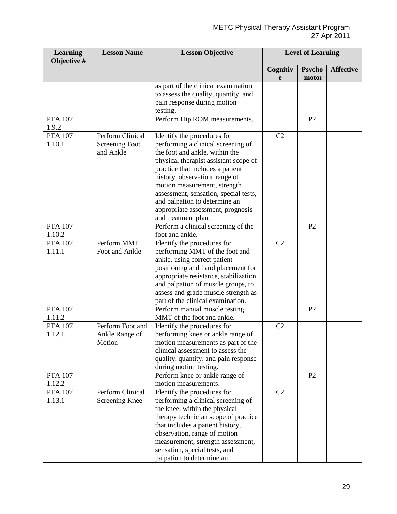| <b>Learning</b><br>Objective # | <b>Lesson Name</b>                              | <b>Lesson Objective</b>                                                                                                                                                                                                                                                                                                                                                                  |                | <b>Level of Learning</b> |                  |
|--------------------------------|-------------------------------------------------|------------------------------------------------------------------------------------------------------------------------------------------------------------------------------------------------------------------------------------------------------------------------------------------------------------------------------------------------------------------------------------------|----------------|--------------------------|------------------|
|                                |                                                 |                                                                                                                                                                                                                                                                                                                                                                                          | Cognitiv<br>e  | <b>Psycho</b><br>-motor  | <b>Affective</b> |
|                                |                                                 | as part of the clinical examination<br>to assess the quality, quantity, and<br>pain response during motion<br>testing.                                                                                                                                                                                                                                                                   |                |                          |                  |
| <b>PTA 107</b><br>1.9.2        |                                                 | Perform Hip ROM measurements.                                                                                                                                                                                                                                                                                                                                                            |                | P <sub>2</sub>           |                  |
| <b>PTA 107</b><br>1.10.1       | Perform Clinical<br>Screening Foot<br>and Ankle | Identify the procedures for<br>performing a clinical screening of<br>the foot and ankle, within the<br>physical therapist assistant scope of<br>practice that includes a patient<br>history, observation, range of<br>motion measurement, strength<br>assessment, sensation, special tests,<br>and palpation to determine an<br>appropriate assessment, prognosis<br>and treatment plan. | C2             |                          |                  |
| <b>PTA 107</b><br>1.10.2       |                                                 | Perform a clinical screening of the<br>foot and ankle.                                                                                                                                                                                                                                                                                                                                   |                | P <sub>2</sub>           |                  |
| <b>PTA 107</b><br>1.11.1       | Perform MMT<br>Foot and Ankle                   | Identify the procedures for<br>performing MMT of the foot and<br>ankle, using correct patient<br>positioning and hand placement for<br>appropriate resistance, stabilization,<br>and palpation of muscle groups, to<br>assess and grade muscle strength as<br>part of the clinical examination.                                                                                          | C <sub>2</sub> |                          |                  |
| <b>PTA 107</b><br>1.11.2       |                                                 | Perform manual muscle testing<br>MMT of the foot and ankle.                                                                                                                                                                                                                                                                                                                              |                | P2                       |                  |
| <b>PTA 107</b><br>1.12.1       | Perform Foot and<br>Ankle Range of<br>Motion    | Identify the procedures for<br>performing knee or ankle range of<br>motion measurements as part of the<br>clinical assessment to assess the<br>quality, quantity, and pain response<br>during motion testing.                                                                                                                                                                            | C2             |                          |                  |
| <b>PTA 107</b><br>1.12.2       |                                                 | Perform knee or ankle range of<br>motion measurements.                                                                                                                                                                                                                                                                                                                                   |                | P2                       |                  |
| <b>PTA 107</b><br>1.13.1       | Perform Clinical<br>Screening Knee              | Identify the procedures for<br>performing a clinical screening of<br>the knee, within the physical<br>therapy technician scope of practice<br>that includes a patient history,<br>observation, range of motion<br>measurement, strength assessment,<br>sensation, special tests, and<br>palpation to determine an                                                                        | C <sub>2</sub> |                          |                  |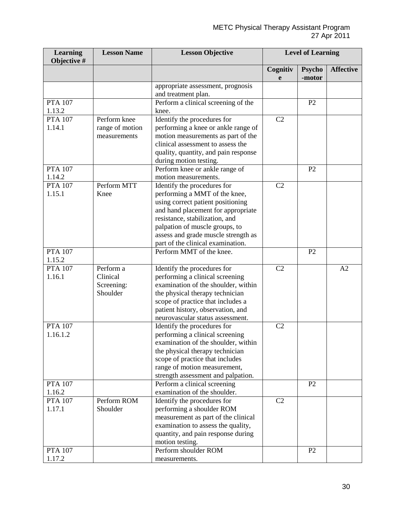| <b>Learning</b><br>Objective # | <b>Lesson Name</b>                              | <b>Lesson Objective</b>                                                                                                                                                                                                                                                                 |                | <b>Level of Learning</b> |                  |
|--------------------------------|-------------------------------------------------|-----------------------------------------------------------------------------------------------------------------------------------------------------------------------------------------------------------------------------------------------------------------------------------------|----------------|--------------------------|------------------|
|                                |                                                 |                                                                                                                                                                                                                                                                                         | Cognitiv<br>e  | <b>Psycho</b><br>-motor  | <b>Affective</b> |
|                                |                                                 | appropriate assessment, prognosis<br>and treatment plan.                                                                                                                                                                                                                                |                |                          |                  |
| <b>PTA 107</b><br>1.13.2       |                                                 | Perform a clinical screening of the<br>knee.                                                                                                                                                                                                                                            |                | P2                       |                  |
| <b>PTA 107</b><br>1.14.1       | Perform knee<br>range of motion<br>measurements | Identify the procedures for<br>performing a knee or ankle range of<br>motion measurements as part of the<br>clinical assessment to assess the<br>quality, quantity, and pain response<br>during motion testing.                                                                         | C2             |                          |                  |
| <b>PTA 107</b><br>1.14.2       |                                                 | Perform knee or ankle range of<br>motion measurements.                                                                                                                                                                                                                                  |                | P2                       |                  |
| <b>PTA 107</b><br>1.15.1       | Perform MTT<br>Knee                             | Identify the procedures for<br>performing a MMT of the knee,<br>using correct patient positioning<br>and hand placement for appropriate<br>resistance, stabilization, and<br>palpation of muscle groups, to<br>assess and grade muscle strength as<br>part of the clinical examination. | C2             |                          |                  |
| <b>PTA 107</b><br>1.15.2       |                                                 | Perform MMT of the knee.                                                                                                                                                                                                                                                                |                | P <sub>2</sub>           |                  |
| <b>PTA 107</b><br>1.16.1       | Perform a<br>Clinical<br>Screening:<br>Shoulder | Identify the procedures for<br>performing a clinical screening<br>examination of the shoulder, within<br>the physical therapy technician<br>scope of practice that includes a<br>patient history, observation, and<br>neurovascular status assessment.                                  | C <sub>2</sub> |                          | A2               |
| <b>PTA 107</b><br>1.16.1.2     |                                                 | Identify the procedures for<br>performing a clinical screening<br>examination of the shoulder, within<br>the physical therapy technician<br>scope of practice that includes<br>range of motion measurement,<br>strength assessment and palpation.                                       | C <sub>2</sub> |                          |                  |
| <b>PTA 107</b><br>1.16.2       |                                                 | Perform a clinical screening<br>examination of the shoulder.                                                                                                                                                                                                                            |                | P <sub>2</sub>           |                  |
| <b>PTA 107</b><br>1.17.1       | Perform ROM<br>Shoulder                         | Identify the procedures for<br>performing a shoulder ROM<br>measurement as part of the clinical<br>examination to assess the quality,<br>quantity, and pain response during<br>motion testing.                                                                                          | C <sub>2</sub> |                          |                  |
| <b>PTA 107</b><br>1.17.2       |                                                 | Perform shoulder ROM<br>measurements.                                                                                                                                                                                                                                                   |                | P <sub>2</sub>           |                  |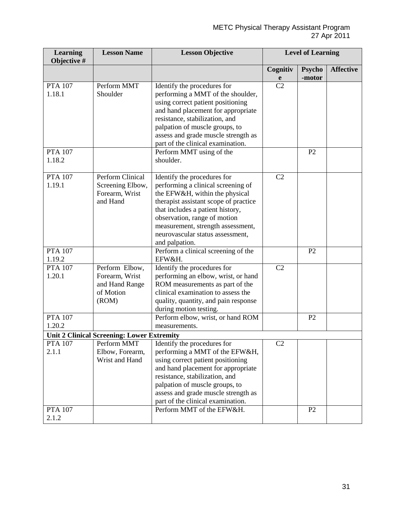| <b>Learning</b><br>Objective # | <b>Lesson Name</b>                                | <b>Lesson Objective</b>                                                | <b>Level of Learning</b> |                |                  |
|--------------------------------|---------------------------------------------------|------------------------------------------------------------------------|--------------------------|----------------|------------------|
|                                |                                                   |                                                                        | Cognitiv                 | <b>Psycho</b>  | <b>Affective</b> |
|                                |                                                   |                                                                        | e                        | -motor         |                  |
| <b>PTA 107</b>                 | Perform MMT                                       | Identify the procedures for                                            | $\overline{C2}$          |                |                  |
| 1.18.1                         | Shoulder                                          | performing a MMT of the shoulder,                                      |                          |                |                  |
|                                |                                                   | using correct patient positioning                                      |                          |                |                  |
|                                |                                                   | and hand placement for appropriate                                     |                          |                |                  |
|                                |                                                   | resistance, stabilization, and                                         |                          |                |                  |
|                                |                                                   | palpation of muscle groups, to                                         |                          |                |                  |
|                                |                                                   | assess and grade muscle strength as                                    |                          |                |                  |
|                                |                                                   | part of the clinical examination.                                      |                          |                |                  |
| <b>PTA 107</b>                 |                                                   | Perform MMT using of the                                               |                          | P <sub>2</sub> |                  |
| 1.18.2                         |                                                   | shoulder.                                                              |                          |                |                  |
|                                |                                                   |                                                                        |                          |                |                  |
| <b>PTA 107</b>                 | <b>Perform Clinical</b>                           | Identify the procedures for                                            | C <sub>2</sub>           |                |                  |
| 1.19.1                         | Screening Elbow,                                  | performing a clinical screening of                                     |                          |                |                  |
|                                | Forearm, Wrist                                    | the EFW&H, within the physical                                         |                          |                |                  |
|                                | and Hand                                          | therapist assistant scope of practice                                  |                          |                |                  |
|                                |                                                   | that includes a patient history,                                       |                          |                |                  |
|                                |                                                   | observation, range of motion                                           |                          |                |                  |
|                                |                                                   | measurement, strength assessment,                                      |                          |                |                  |
|                                |                                                   | neurovascular status assessment,                                       |                          |                |                  |
| <b>PTA 107</b>                 |                                                   | and palpation.                                                         |                          | P <sub>2</sub> |                  |
| 1.19.2                         |                                                   | Perform a clinical screening of the<br>EFW&H.                          |                          |                |                  |
| <b>PTA 107</b>                 | Perform Elbow,                                    | Identify the procedures for                                            | C2                       |                |                  |
| 1.20.1                         | Forearm, Wrist                                    |                                                                        |                          |                |                  |
|                                | and Hand Range                                    | performing an elbow, wrist, or hand<br>ROM measurements as part of the |                          |                |                  |
|                                | of Motion                                         | clinical examination to assess the                                     |                          |                |                  |
|                                | (ROM)                                             | quality, quantity, and pain response                                   |                          |                |                  |
|                                |                                                   | during motion testing.                                                 |                          |                |                  |
| <b>PTA 107</b>                 |                                                   | Perform elbow, wrist, or hand ROM                                      |                          | P <sub>2</sub> |                  |
| 1.20.2                         |                                                   | measurements.                                                          |                          |                |                  |
|                                | <b>Unit 2 Clinical Screening: Lower Extremity</b> |                                                                        |                          |                |                  |
| <b>PTA 107</b>                 | Perform MMT                                       | Identify the procedures for                                            | C <sub>2</sub>           |                |                  |
| 2.1.1                          | Elbow, Forearm,                                   | performing a MMT of the EFW&H,                                         |                          |                |                  |
|                                | Wrist and Hand                                    | using correct patient positioning                                      |                          |                |                  |
|                                |                                                   | and hand placement for appropriate                                     |                          |                |                  |
|                                |                                                   | resistance, stabilization, and                                         |                          |                |                  |
|                                |                                                   | palpation of muscle groups, to                                         |                          |                |                  |
|                                |                                                   | assess and grade muscle strength as                                    |                          |                |                  |
|                                |                                                   | part of the clinical examination.                                      |                          |                |                  |
| <b>PTA 107</b>                 |                                                   | Perform MMT of the EFW&H.                                              |                          | P2             |                  |
| 2.1.2                          |                                                   |                                                                        |                          |                |                  |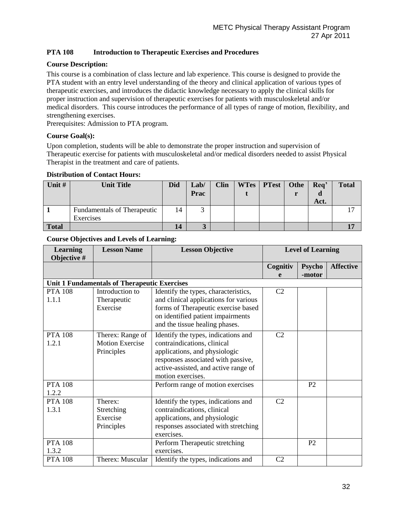# **PTA 108 Introduction to Therapeutic Exercises and Procedures**

#### **Course Description:**

This course is a combination of class lecture and lab experience. This course is designed to provide the PTA student with an entry level understanding of the theory and clinical application of various types of therapeutic exercises, and introduces the didactic knowledge necessary to apply the clinical skills for proper instruction and supervision of therapeutic exercises for patients with musculoskeletal and/or medical disorders. This course introduces the performance of all types of range of motion, flexibility, and strengthening exercises.

Prerequisites: Admission to PTA program.

#### **Course Goal(s):**

Upon completion, students will be able to demonstrate the proper instruction and supervision of Therapeutic exercise for patients with musculoskeletal and/or medical disorders needed to assist Physical Therapist in the treatment and care of patients.

#### **Distribution of Contact Hours:**

| Unit #       | <b>Unit Title</b>                               | <b>Did</b> | Lab/<br>Prac | <b>Clin</b> | WTes   PTest | Othe | Req'<br>Act. | <b>Total</b> |
|--------------|-------------------------------------------------|------------|--------------|-------------|--------------|------|--------------|--------------|
|              | <b>Fundamentals of Therapeutic</b><br>Exercises | 14         | . ,          |             |              |      |              |              |
| <b>Total</b> |                                                 | 14         |              |             |              |      |              |              |

| <b>Learning</b><br>Objective # | <b>Lesson Name</b>                                       | <b>Lesson Objective</b>                                                                                                                                                                                |                | <b>Level of Learning</b> |                  |  |
|--------------------------------|----------------------------------------------------------|--------------------------------------------------------------------------------------------------------------------------------------------------------------------------------------------------------|----------------|--------------------------|------------------|--|
|                                |                                                          |                                                                                                                                                                                                        | Cognitiv<br>e  | <b>Psycho</b><br>-motor  | <b>Affective</b> |  |
|                                | <b>Unit 1 Fundamentals of Therapeutic Exercises</b>      |                                                                                                                                                                                                        |                |                          |                  |  |
| <b>PTA 108</b><br>1.1.1        | Introduction to<br>Therapeutic<br>Exercise               | Identify the types, characteristics,<br>and clinical applications for various<br>forms of Therapeutic exercise based<br>on identified patient impairments<br>and the tissue healing phases.            | C <sub>2</sub> |                          |                  |  |
| <b>PTA 108</b><br>1.2.1        | Therex: Range of<br><b>Motion Exercise</b><br>Principles | Identify the types, indications and<br>contraindications, clinical<br>applications, and physiologic<br>responses associated with passive,<br>active-assisted, and active range of<br>motion exercises. | C <sub>2</sub> |                          |                  |  |
| <b>PTA 108</b><br>1.2.2        |                                                          | Perform range of motion exercises                                                                                                                                                                      |                | P <sub>2</sub>           |                  |  |
| <b>PTA 108</b><br>1.3.1        | Therex:<br>Stretching<br>Exercise<br>Principles          | Identify the types, indications and<br>contraindications, clinical<br>applications, and physiologic<br>responses associated with stretching<br>exercises.                                              | C <sub>2</sub> |                          |                  |  |
| <b>PTA 108</b><br>1.3.2        |                                                          | Perform Therapeutic stretching<br>exercises.                                                                                                                                                           |                | P <sub>2</sub>           |                  |  |
| <b>PTA 108</b>                 | Therex: Muscular                                         | Identify the types, indications and                                                                                                                                                                    | C <sub>2</sub> |                          |                  |  |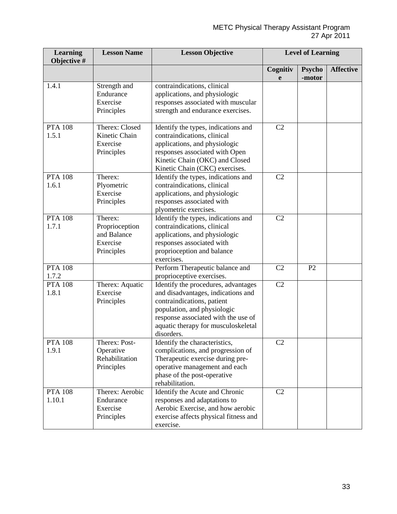| <b>Learning</b><br>Objective # | <b>Lesson Name</b>                                                 | <b>Lesson Objective</b>                                                                                                                                                                                                            |                | <b>Level of Learning</b> |                  |
|--------------------------------|--------------------------------------------------------------------|------------------------------------------------------------------------------------------------------------------------------------------------------------------------------------------------------------------------------------|----------------|--------------------------|------------------|
|                                |                                                                    |                                                                                                                                                                                                                                    | Cognitiv<br>e  | <b>Psycho</b><br>-motor  | <b>Affective</b> |
| 1.4.1                          | Strength and<br>Endurance<br>Exercise<br>Principles                | contraindications, clinical<br>applications, and physiologic<br>responses associated with muscular<br>strength and endurance exercises.                                                                                            |                |                          |                  |
| <b>PTA 108</b><br>1.5.1        | Therex: Closed<br>Kinetic Chain<br>Exercise<br>Principles          | Identify the types, indications and<br>contraindications, clinical<br>applications, and physiologic<br>responses associated with Open<br>Kinetic Chain (OKC) and Closed<br>Kinetic Chain (CKC) exercises.                          | C2             |                          |                  |
| <b>PTA 108</b><br>1.6.1        | Therex:<br>Plyometric<br>Exercise<br>Principles                    | Identify the types, indications and<br>contraindications, clinical<br>applications, and physiologic<br>responses associated with<br>plyometric exercises.                                                                          | C2             |                          |                  |
| <b>PTA 108</b><br>1.7.1        | Therex:<br>Proprioception<br>and Balance<br>Exercise<br>Principles | Identify the types, indications and<br>contraindications, clinical<br>applications, and physiologic<br>responses associated with<br>proprioception and balance<br>exercises.                                                       | C <sub>2</sub> |                          |                  |
| <b>PTA 108</b><br>1.7.2        |                                                                    | Perform Therapeutic balance and<br>proprioceptive exercises.                                                                                                                                                                       | C2             | P2                       |                  |
| <b>PTA 108</b><br>1.8.1        | Therex: Aquatic<br>Exercise<br>Principles                          | Identify the procedures, advantages<br>and disadvantages, indications and<br>contraindications, patient<br>population, and physiologic<br>response associated with the use of<br>aquatic therapy for musculoskeletal<br>disorders. | C2             |                          |                  |
| <b>PTA 108</b><br>1.9.1        | Therex: Post-<br>Operative<br>Rehabilitation<br>Principles         | Identify the characteristics,<br>complications, and progression of<br>Therapeutic exercise during pre-<br>operative management and each<br>phase of the post-operative<br>rehabilitation.                                          | C <sub>2</sub> |                          |                  |
| <b>PTA 108</b><br>1.10.1       | Therex: Aerobic<br>Endurance<br>Exercise<br>Principles             | Identify the Acute and Chronic<br>responses and adaptations to<br>Aerobic Exercise, and how aerobic<br>exercise affects physical fitness and<br>exercise.                                                                          | C2             |                          |                  |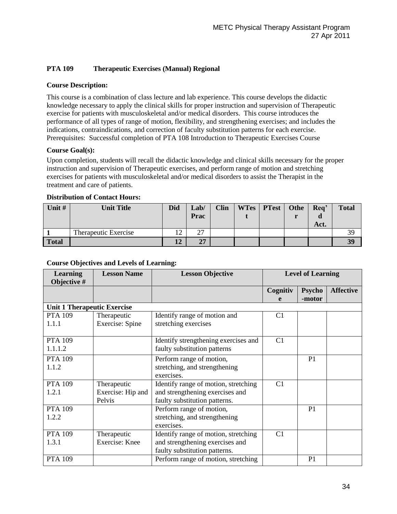# **PTA 109 Therapeutic Exercises (Manual) Regional**

### **Course Description:**

This course is a combination of class lecture and lab experience. This course develops the didactic knowledge necessary to apply the clinical skills for proper instruction and supervision of Therapeutic exercise for patients with musculoskeletal and/or medical disorders. This course introduces the performance of all types of range of motion, flexibility, and strengthening exercises; and includes the indications, contraindications, and correction of faculty substitution patterns for each exercise. Prerequisites: Successful completion of PTA 108 Introduction to Therapeutic Exercises Course

#### **Course Goal(s):**

Upon completion, students will recall the didactic knowledge and clinical skills necessary for the proper instruction and supervision of Therapeutic exercises, and perform range of motion and stretching exercises for patients with musculoskeletal and/or medical disorders to assist the Therapist in the treatment and care of patients.

| Unit # | <b>Unit Title</b>    | <b>Did</b> | Lab/<br>Prac  | <b>Clin</b> | WTes   PTest | Othe | Req'<br>Act. | <b>Total</b> |
|--------|----------------------|------------|---------------|-------------|--------------|------|--------------|--------------|
|        | Therapeutic Exercise | 12         | $\cap$<br>ا ک |             |              |      |              | 39           |
| Total  |                      | 12         | 27            |             |              |      |              | 39           |

#### **Distribution of Contact Hours:**

| <b>Learning</b><br>Objective #     | <b>Lesson Name</b> | <b>Lesson Objective</b>              |                | <b>Level of Learning</b> |                  |
|------------------------------------|--------------------|--------------------------------------|----------------|--------------------------|------------------|
|                                    |                    |                                      | Cognitiv       | <b>Psycho</b>            | <b>Affective</b> |
|                                    |                    |                                      | e              | -motor                   |                  |
| <b>Unit 1 Therapeutic Exercise</b> |                    |                                      |                |                          |                  |
| <b>PTA 109</b>                     | Therapeutic        | Identify range of motion and         | C1             |                          |                  |
| 1.1.1                              | Exercise: Spine    | stretching exercises                 |                |                          |                  |
|                                    |                    |                                      |                |                          |                  |
| <b>PTA 109</b>                     |                    | Identify strengthening exercises and | C1             |                          |                  |
| 1.1.1.2                            |                    | faulty substitution patterns         |                |                          |                  |
| <b>PTA 109</b>                     |                    | Perform range of motion,             |                | P <sub>1</sub>           |                  |
| 1.1.2                              |                    | stretching, and strengthening        |                |                          |                  |
|                                    |                    | exercises.                           |                |                          |                  |
| <b>PTA 109</b>                     | Therapeutic        | Identify range of motion, stretching | C1             |                          |                  |
| 1.2.1                              | Exercise: Hip and  | and strengthening exercises and      |                |                          |                  |
|                                    | Pelvis             | faulty substitution patterns.        |                |                          |                  |
| <b>PTA 109</b>                     |                    | Perform range of motion,             |                | P <sub>1</sub>           |                  |
| 1.2.2                              |                    | stretching, and strengthening        |                |                          |                  |
|                                    |                    | exercises.                           |                |                          |                  |
| <b>PTA 109</b>                     | Therapeutic        | Identify range of motion, stretching | C <sub>1</sub> |                          |                  |
| 1.3.1                              | Exercise: Knee     | and strengthening exercises and      |                |                          |                  |
|                                    |                    | faulty substitution patterns.        |                |                          |                  |
| <b>PTA 109</b>                     |                    | Perform range of motion, stretching  |                | P <sub>1</sub>           |                  |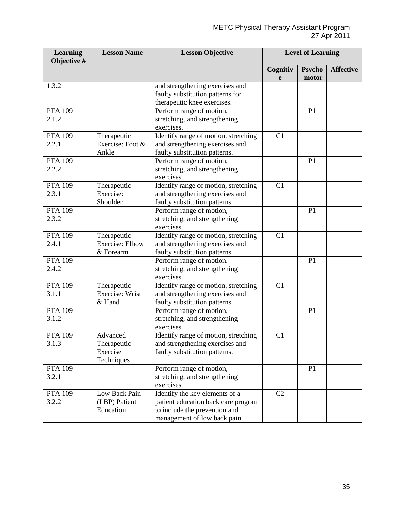| <b>Learning</b><br>Objective # | <b>Lesson Name</b>                                 | <b>Lesson Objective</b>                                                                                                                | <b>Level of Learning</b> |                         |                  |
|--------------------------------|----------------------------------------------------|----------------------------------------------------------------------------------------------------------------------------------------|--------------------------|-------------------------|------------------|
|                                |                                                    |                                                                                                                                        | Cognitiv<br>e            | <b>Psycho</b><br>-motor | <b>Affective</b> |
| 1.3.2                          |                                                    | and strengthening exercises and<br>faulty substitution patterns for<br>therapeutic knee exercises.                                     |                          |                         |                  |
| <b>PTA 109</b><br>2.1.2        |                                                    | Perform range of motion,<br>stretching, and strengthening<br>exercises.                                                                |                          | P1                      |                  |
| <b>PTA 109</b><br>2.2.1        | Therapeutic<br>Exercise: Foot &<br>Ankle           | Identify range of motion, stretching<br>and strengthening exercises and<br>faulty substitution patterns.                               | C1                       |                         |                  |
| <b>PTA 109</b><br>2.2.2        |                                                    | Perform range of motion,<br>stretching, and strengthening<br>exercises.                                                                |                          | P <sub>1</sub>          |                  |
| <b>PTA 109</b><br>2.3.1        | Therapeutic<br>Exercise:<br>Shoulder               | Identify range of motion, stretching<br>and strengthening exercises and<br>faulty substitution patterns.                               | C1                       |                         |                  |
| <b>PTA 109</b><br>2.3.2        |                                                    | Perform range of motion,<br>stretching, and strengthening<br>exercises.                                                                |                          | P1                      |                  |
| <b>PTA 109</b><br>2.4.1        | Therapeutic<br><b>Exercise: Elbow</b><br>& Forearm | Identify range of motion, stretching<br>and strengthening exercises and<br>faulty substitution patterns.                               | C1                       |                         |                  |
| <b>PTA 109</b><br>2.4.2        |                                                    | Perform range of motion,<br>stretching, and strengthening<br>exercises.                                                                |                          | P1                      |                  |
| <b>PTA 109</b><br>3.1.1        | Therapeutic<br>Exercise: Wrist<br>& Hand           | Identify range of motion, stretching<br>and strengthening exercises and<br>faulty substitution patterns.                               | C1                       |                         |                  |
| <b>PTA 109</b><br>3.1.2        |                                                    | Perform range of motion,<br>stretching, and strengthening<br>exercises.                                                                |                          | P <sub>1</sub>          |                  |
| <b>PTA 109</b><br>3.1.3        | Advanced<br>Therapeutic<br>Exercise<br>Techniques  | Identify range of motion, stretching<br>and strengthening exercises and<br>faulty substitution patterns.                               | C1                       |                         |                  |
| <b>PTA 109</b><br>3.2.1        |                                                    | Perform range of motion,<br>stretching, and strengthening<br>exercises.                                                                |                          | P <sub>1</sub>          |                  |
| <b>PTA 109</b><br>3.2.2        | Low Back Pain<br>(LBP) Patient<br>Education        | Identify the key elements of a<br>patient education back care program<br>to include the prevention and<br>management of low back pain. | C2                       |                         |                  |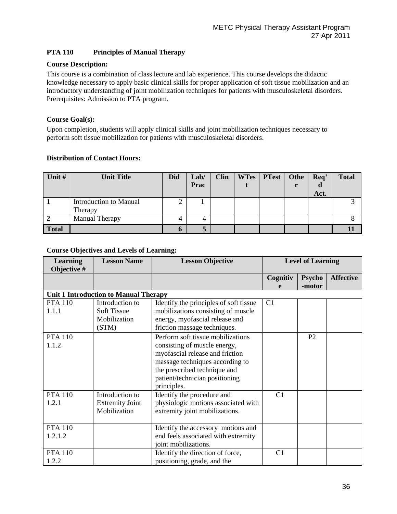# **PTA 110 Principles of Manual Therapy**

### **Course Description:**

This course is a combination of class lecture and lab experience. This course develops the didactic knowledge necessary to apply basic clinical skills for proper application of soft tissue mobilization and an introductory understanding of joint mobilization techniques for patients with musculoskeletal disorders. Prerequisites: Admission to PTA program.

#### **Course Goal(s):**

Upon completion, students will apply clinical skills and joint mobilization techniques necessary to perform soft tissue mobilization for patients with musculoskeletal disorders.

| Unit #       | <b>Unit Title</b>      | <b>Did</b> | Lab/ | <b>Clin</b> | <b>WTes</b> | <b>PTest</b> | Othe | Req' | <b>Total</b> |
|--------------|------------------------|------------|------|-------------|-------------|--------------|------|------|--------------|
|              |                        |            | Prac |             |             |              |      |      |              |
|              |                        |            |      |             |             |              |      | Act. |              |
|              | Introduction to Manual | ⌒<br>↩     |      |             |             |              |      |      |              |
|              | Therapy                |            |      |             |             |              |      |      |              |
|              | <b>Manual Therapy</b>  |            | 4    |             |             |              |      |      |              |
| <b>Total</b> |                        | O          | o    |             |             |              |      |      |              |

| <b>Learning</b><br>Objective # | <b>Lesson Name</b>                                             | <b>Lesson Objective</b>                                                                                                                                                                                                  |                | <b>Level of Learning</b> |                  |
|--------------------------------|----------------------------------------------------------------|--------------------------------------------------------------------------------------------------------------------------------------------------------------------------------------------------------------------------|----------------|--------------------------|------------------|
|                                |                                                                |                                                                                                                                                                                                                          | Cognitiv<br>e  | <b>Psycho</b><br>-motor  | <b>Affective</b> |
|                                | <b>Unit 1 Introduction to Manual Therapy</b>                   |                                                                                                                                                                                                                          |                |                          |                  |
| <b>PTA 110</b><br>1.1.1        | Introduction to<br><b>Soft Tissue</b><br>Mobilization<br>(STM) | Identify the principles of soft tissue<br>mobilizations consisting of muscle<br>energy, myofascial release and<br>friction massage techniques.                                                                           | C1             |                          |                  |
| <b>PTA 110</b><br>1.1.2        |                                                                | Perform soft tissue mobilizations<br>consisting of muscle energy,<br>myofascial release and friction<br>massage techniques according to<br>the prescribed technique and<br>patient/technician positioning<br>principles. |                | P2                       |                  |
| <b>PTA 110</b><br>1.2.1        | Introduction to<br><b>Extremity Joint</b><br>Mobilization      | Identify the procedure and<br>physiologic motions associated with<br>extremity joint mobilizations.                                                                                                                      | C1             |                          |                  |
| <b>PTA 110</b><br>1.2.1.2      |                                                                | Identify the accessory motions and<br>end feels associated with extremity<br>joint mobilizations.                                                                                                                        |                |                          |                  |
| <b>PTA 110</b><br>1.2.2        |                                                                | Identify the direction of force,<br>positioning, grade, and the                                                                                                                                                          | C <sub>1</sub> |                          |                  |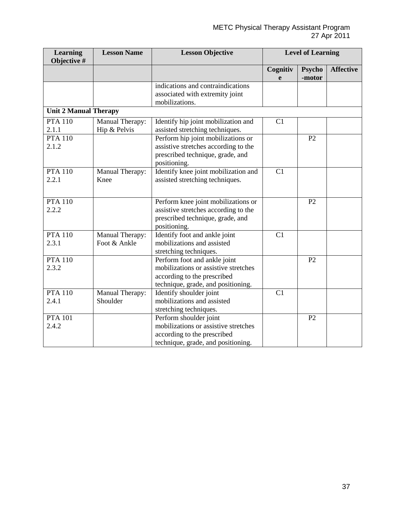| <b>Learning</b><br>Objective # | <b>Lesson Name</b>              | <b>Lesson Objective</b>                                                                                                                   |               | <b>Level of Learning</b> |                  |
|--------------------------------|---------------------------------|-------------------------------------------------------------------------------------------------------------------------------------------|---------------|--------------------------|------------------|
|                                |                                 |                                                                                                                                           | Cognitiv<br>e | <b>Psycho</b><br>-motor  | <b>Affective</b> |
|                                |                                 | indications and contraindications<br>associated with extremity joint<br>mobilizations.                                                    |               |                          |                  |
| <b>Unit 2 Manual Therapy</b>   |                                 |                                                                                                                                           |               |                          |                  |
| <b>PTA 110</b><br>2.1.1        | Manual Therapy:<br>Hip & Pelvis | Identify hip joint mobilization and<br>assisted stretching techniques.                                                                    | C1            |                          |                  |
| <b>PTA 110</b><br>2.1.2        |                                 | Perform hip joint mobilizations or<br>assistive stretches according to the<br>prescribed technique, grade, and<br>positioning.            |               | P <sub>2</sub>           |                  |
| <b>PTA 110</b><br>2.2.1        | Manual Therapy:<br>Knee         | Identify knee joint mobilization and<br>assisted stretching techniques.                                                                   | C1            |                          |                  |
| <b>PTA 110</b><br>2.2.2        |                                 | Perform knee joint mobilizations or<br>assistive stretches according to the<br>prescribed technique, grade, and<br>positioning.           |               | P <sub>2</sub>           |                  |
| <b>PTA 110</b><br>2.3.1        | Manual Therapy:<br>Foot & Ankle | Identify foot and ankle joint<br>mobilizations and assisted<br>stretching techniques.                                                     | C1            |                          |                  |
| <b>PTA 110</b><br>2.3.2        |                                 | Perform foot and ankle joint<br>mobilizations or assistive stretches<br>according to the prescribed<br>technique, grade, and positioning. |               | P2                       |                  |
| <b>PTA 110</b><br>2.4.1        | Manual Therapy:<br>Shoulder     | Identify shoulder joint<br>mobilizations and assisted<br>stretching techniques.                                                           | C1            |                          |                  |
| <b>PTA 101</b><br>2.4.2        |                                 | Perform shoulder joint<br>mobilizations or assistive stretches<br>according to the prescribed<br>technique, grade, and positioning.       |               | P <sub>2</sub>           |                  |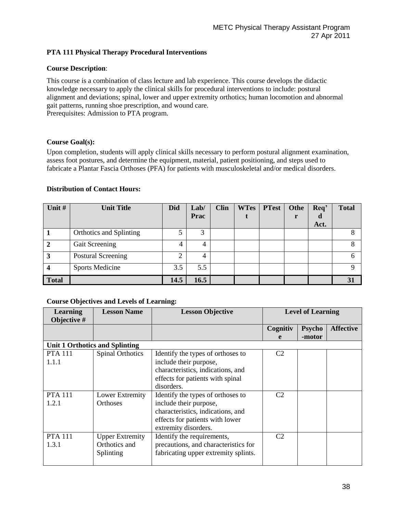# **PTA 111 Physical Therapy Procedural Interventions**

#### **Course Description**:

This course is a combination of class lecture and lab experience. This course develops the didactic knowledge necessary to apply the clinical skills for procedural interventions to include: postural alignment and deviations; spinal, lower and upper extremity orthotics; human locomotion and abnormal gait patterns, running shoe prescription, and wound care. Prerequisites: Admission to PTA program.

#### **Course Goal(s):**

Upon completion, students will apply clinical skills necessary to perform postural alignment examination, assess foot postures, and determine the equipment, material, patient positioning, and steps used to fabricate a Plantar Fascia Orthoses (PFA) for patients with musculoskeletal and/or medical disorders.

#### **Distribution of Contact Hours:**

| Unit #         | <b>Unit Title</b>         | <b>Did</b> | Lab/ | <b>Clin</b> | <b>WTes</b> | <b>PTest</b> | Othe | Req' | <b>Total</b> |
|----------------|---------------------------|------------|------|-------------|-------------|--------------|------|------|--------------|
|                |                           |            | Prac |             |             |              | r    | a    |              |
|                |                           |            |      |             |             |              |      | Act. |              |
|                | Orthotics and Splinting   |            | 3    |             |             |              |      |      |              |
| $\overline{2}$ | Gait Screening            |            | 4    |             |             |              |      |      | 8            |
| 3              | <b>Postural Screening</b> | 2          | 4    |             |             |              |      |      | 6            |
|                | <b>Sports Medicine</b>    | 3.5        | 5.5  |             |             |              |      |      | Q            |
| <b>Total</b>   |                           | 14.5       | 16.5 |             |             |              |      |      | 31           |

| <b>Learning</b><br>Objective # | <b>Lesson Name</b>             | <b>Lesson Objective</b>              |                | <b>Level of Learning</b> |                  |
|--------------------------------|--------------------------------|--------------------------------------|----------------|--------------------------|------------------|
|                                |                                |                                      | Cognitiv       | <b>Psycho</b>            | <b>Affective</b> |
|                                |                                |                                      | e              | -motor                   |                  |
|                                | Unit 1 Orthotics and Splinting |                                      |                |                          |                  |
| <b>PTA 111</b>                 | <b>Spinal Orthotics</b>        | Identify the types of orthoses to    | C2             |                          |                  |
| 1.1.1                          |                                | include their purpose,               |                |                          |                  |
|                                |                                | characteristics, indications, and    |                |                          |                  |
|                                |                                | effects for patients with spinal     |                |                          |                  |
|                                |                                | disorders.                           |                |                          |                  |
| <b>PTA 111</b>                 | Lower Extremity                | Identify the types of orthoses to    | C <sub>2</sub> |                          |                  |
| 1.2.1                          | <b>Orthoses</b>                | include their purpose,               |                |                          |                  |
|                                |                                | characteristics, indications, and    |                |                          |                  |
|                                |                                | effects for patients with lower      |                |                          |                  |
|                                |                                | extremity disorders.                 |                |                          |                  |
| <b>PTA 111</b>                 | <b>Upper Extremity</b>         | Identify the requirements,           | C <sub>2</sub> |                          |                  |
| 1.3.1                          | Orthotics and                  | precautions, and characteristics for |                |                          |                  |
|                                | Splinting                      | fabricating upper extremity splints. |                |                          |                  |
|                                |                                |                                      |                |                          |                  |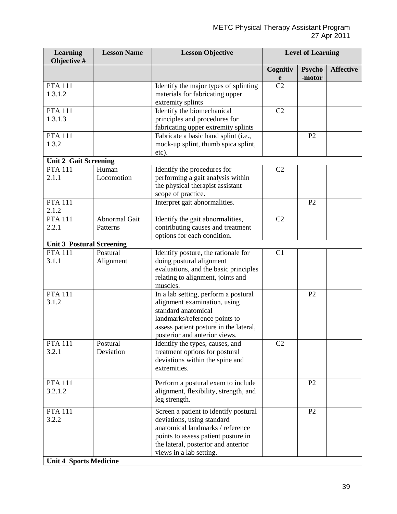| <b>Learning</b><br>Objective #                           | <b>Lesson Name</b>               | <b>Lesson Objective</b>                                                                                                                                                                                          | <b>Level of Learning</b> |                         |                  |
|----------------------------------------------------------|----------------------------------|------------------------------------------------------------------------------------------------------------------------------------------------------------------------------------------------------------------|--------------------------|-------------------------|------------------|
|                                                          |                                  |                                                                                                                                                                                                                  | Cognitiv<br>e            | <b>Psycho</b><br>-motor | <b>Affective</b> |
| <b>PTA 111</b><br>1.3.1.2                                |                                  | Identify the major types of splinting<br>materials for fabricating upper<br>extremity splints                                                                                                                    | C <sub>2</sub>           |                         |                  |
| <b>PTA 111</b><br>1.3.1.3                                |                                  | Identify the biomechanical<br>principles and procedures for<br>fabricating upper extremity splints                                                                                                               | C2                       |                         |                  |
| <b>PTA 111</b><br>1.3.2                                  |                                  | Fabricate a basic hand splint (i.e.,<br>mock-up splint, thumb spica splint,<br>etc).                                                                                                                             |                          | P2                      |                  |
| <b>Unit 2 Gait Screening</b>                             |                                  |                                                                                                                                                                                                                  |                          |                         |                  |
| <b>PTA 111</b><br>2.1.1                                  | Human<br>Locomotion              | Identify the procedures for<br>performing a gait analysis within<br>the physical therapist assistant<br>scope of practice.                                                                                       | C <sub>2</sub>           |                         |                  |
| <b>PTA 111</b><br>2.1.2                                  |                                  | Interpret gait abnormalities.                                                                                                                                                                                    |                          | P <sub>2</sub>          |                  |
| <b>PTA 111</b><br>2.2.1                                  | <b>Abnormal Gait</b><br>Patterns | Identify the gait abnormalities,<br>contributing causes and treatment<br>options for each condition.                                                                                                             | C2                       |                         |                  |
| <b>Unit 3 Postural Screening</b>                         |                                  |                                                                                                                                                                                                                  |                          |                         |                  |
| <b>PTA 111</b><br>3.1.1                                  | Postural<br>Alignment            | Identify posture, the rationale for<br>doing postural alignment<br>evaluations, and the basic principles<br>relating to alignment, joints and<br>muscles.                                                        | C1                       |                         |                  |
| <b>PTA 111</b><br>3.1.2                                  |                                  | In a lab setting, perform a postural<br>alignment examination, using<br>standard anatomical<br>landmarks/reference points to<br>assess patient posture in the lateral,<br>posterior and anterior views.          |                          | P <sub>2</sub>          |                  |
| <b>PTA 111</b><br>3.2.1                                  | Postural<br>Deviation            | Identify the types, causes, and<br>treatment options for postural<br>deviations within the spine and<br>extremities.                                                                                             | C <sub>2</sub>           |                         |                  |
| <b>PTA 111</b><br>3.2.1.2                                |                                  | Perform a postural exam to include<br>alignment, flexibility, strength, and<br>leg strength.                                                                                                                     |                          | P <sub>2</sub>          |                  |
| <b>PTA 111</b><br>3.2.2<br><b>Unit 4 Sports Medicine</b> |                                  | Screen a patient to identify postural<br>deviations, using standard<br>anatomical landmarks / reference<br>points to assess patient posture in<br>the lateral, posterior and anterior<br>views in a lab setting. |                          | P <sub>2</sub>          |                  |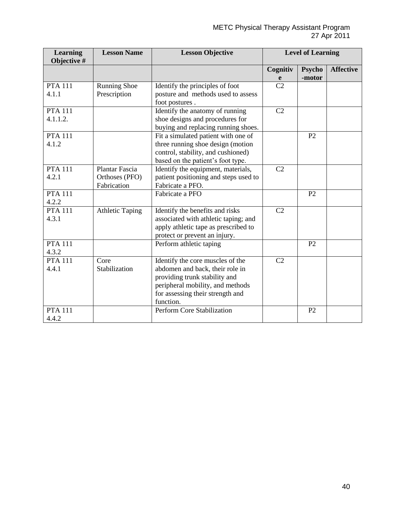| <b>Learning</b><br>Objective # | <b>Lesson Name</b>     | <b>Lesson Objective</b>               |                | <b>Level of Learning</b> |                  |
|--------------------------------|------------------------|---------------------------------------|----------------|--------------------------|------------------|
|                                |                        |                                       | Cognitiv       | <b>Psycho</b>            | <b>Affective</b> |
|                                |                        |                                       | e              | -motor                   |                  |
| <b>PTA 111</b>                 | <b>Running Shoe</b>    | Identify the principles of foot       | C <sub>2</sub> |                          |                  |
| 4.1.1                          | Prescription           | posture and methods used to assess    |                |                          |                  |
|                                |                        | foot postures.                        |                |                          |                  |
| <b>PTA 111</b>                 |                        | Identify the anatomy of running       | C2             |                          |                  |
| 4.1.1.2.                       |                        | shoe designs and procedures for       |                |                          |                  |
|                                |                        | buying and replacing running shoes.   |                |                          |                  |
| <b>PTA 111</b>                 |                        | Fit a simulated patient with one of   |                | P <sub>2</sub>           |                  |
| 4.1.2                          |                        | three running shoe design (motion     |                |                          |                  |
|                                |                        | control, stability, and cushioned)    |                |                          |                  |
|                                |                        | based on the patient's foot type.     |                |                          |                  |
| <b>PTA 111</b>                 | Plantar Fascia         | Identify the equipment, materials,    | C <sub>2</sub> |                          |                  |
| 4.2.1                          | Orthoses (PFO)         | patient positioning and steps used to |                |                          |                  |
|                                | Fabrication            | Fabricate a PFO.                      |                |                          |                  |
| <b>PTA 111</b>                 |                        | Fabricate a PFO                       |                | P2                       |                  |
| 4.2.2                          |                        |                                       |                |                          |                  |
| <b>PTA 111</b>                 | <b>Athletic Taping</b> | Identify the benefits and risks       | C <sub>2</sub> |                          |                  |
| 4.3.1                          |                        | associated with athletic taping; and  |                |                          |                  |
|                                |                        | apply athletic tape as prescribed to  |                |                          |                  |
|                                |                        | protect or prevent an injury.         |                |                          |                  |
| <b>PTA 111</b>                 |                        | Perform athletic taping               |                | P2                       |                  |
| 4.3.2                          |                        |                                       |                |                          |                  |
| <b>PTA 111</b>                 | Core                   | Identify the core muscles of the      | C <sub>2</sub> |                          |                  |
| 4.4.1                          | Stabilization          | abdomen and back, their role in       |                |                          |                  |
|                                |                        | providing trunk stability and         |                |                          |                  |
|                                |                        | peripheral mobility, and methods      |                |                          |                  |
|                                |                        | for assessing their strength and      |                |                          |                  |
|                                |                        | function.                             |                |                          |                  |
| <b>PTA 111</b>                 |                        | Perform Core Stabilization            |                | P2                       |                  |
| 4.4.2                          |                        |                                       |                |                          |                  |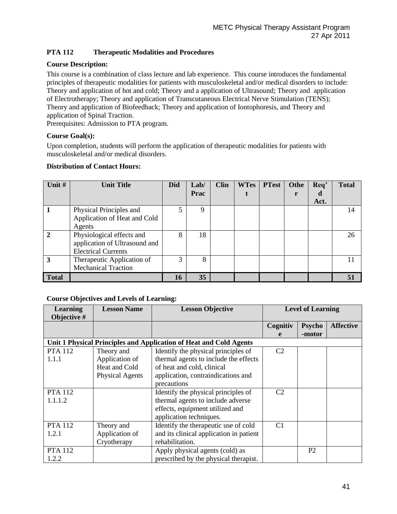# **PTA 112 Therapeutic Modalities and Procedures**

# **Course Description:**

This course is a combination of class lecture and lab experience. This course introduces the fundamental principles of therapeutic modalities for patients with musculoskeletal and/or medical disorders to include: Theory and application of hot and cold; Theory and a application of Ultrasound; Theory and application of Electrotherapy; Theory and application of Transcutaneous Electrical Nerve Stimulation (TENS); Theory and application of Biofeedback; Theory and application of Iontophoresis, and Theory and application of Spinal Traction.

Prerequisites: Admission to PTA program.

# **Course Goal(s):**

Upon completion, students will perform the application of therapeutic modalities for patients with musculoskeletal and/or medical disorders.

#### **Distribution of Contact Hours:**

| Unit #       | <b>Unit Title</b>             | Did | Lab/        | <b>Clin</b> | <b>WTes</b> | <b>PTest</b> | Othe | Req' | <b>Total</b> |
|--------------|-------------------------------|-----|-------------|-------------|-------------|--------------|------|------|--------------|
|              |                               |     | <b>Prac</b> |             |             |              |      | d    |              |
|              |                               |     |             |             |             |              |      | Act. |              |
|              | Physical Principles and       | 5   | 9           |             |             |              |      |      | 14           |
|              | Application of Heat and Cold  |     |             |             |             |              |      |      |              |
|              | Agents                        |     |             |             |             |              |      |      |              |
| $\mathbf{2}$ | Physiological effects and     | 8   | 18          |             |             |              |      |      | 26           |
|              | application of Ultrasound and |     |             |             |             |              |      |      |              |
|              | <b>Electrical Currents</b>    |     |             |             |             |              |      |      |              |
| 3            | Therapeutic Application of    | 3   | 8           |             |             |              |      |      |              |
|              | <b>Mechanical Traction</b>    |     |             |             |             |              |      |      |              |
| <b>Total</b> |                               | 16  | 35          |             |             |              |      |      |              |

| <b>Learning</b> | <b>Lesson Name</b>                                                 | <b>Lesson Objective</b>                 | <b>Level of Learning</b> |                |                  |
|-----------------|--------------------------------------------------------------------|-----------------------------------------|--------------------------|----------------|------------------|
| Objective #     |                                                                    |                                         |                          |                |                  |
|                 |                                                                    |                                         | Cognitiv                 | <b>Psycho</b>  | <b>Affective</b> |
|                 |                                                                    |                                         | e                        | -motor         |                  |
|                 | Unit 1 Physical Principles and Application of Heat and Cold Agents |                                         |                          |                |                  |
| <b>PTA 112</b>  | Theory and                                                         | Identify the physical principles of     | C <sub>2</sub>           |                |                  |
| 1.1.1           | Application of                                                     | thermal agents to include the effects   |                          |                |                  |
|                 | Heat and Cold                                                      | of heat and cold, clinical              |                          |                |                  |
|                 | <b>Physical Agents</b>                                             | application, contraindications and      |                          |                |                  |
|                 |                                                                    | precautions                             |                          |                |                  |
| <b>PTA 112</b>  |                                                                    | Identify the physical principles of     | C <sub>2</sub>           |                |                  |
| 1.1.1.2         |                                                                    | thermal agents to include adverse       |                          |                |                  |
|                 |                                                                    | effects, equipment utilized and         |                          |                |                  |
|                 |                                                                    | application techniques.                 |                          |                |                  |
| <b>PTA 112</b>  | Theory and                                                         | Identify the therapeutic use of cold    | C <sub>1</sub>           |                |                  |
| 1.2.1           | Application of                                                     | and its clinical application in patient |                          |                |                  |
|                 | Cryotherapy                                                        | rehabilitation.                         |                          |                |                  |
| <b>PTA 112</b>  |                                                                    | Apply physical agents (cold) as         |                          | P <sub>2</sub> |                  |
| 1.2.2           |                                                                    | prescribed by the physical therapist.   |                          |                |                  |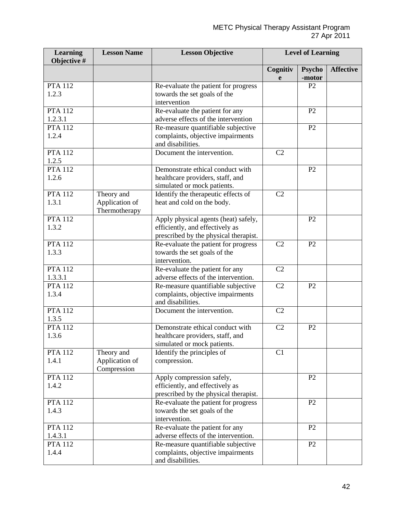| <b>Learning</b><br>Objective # | <b>Lesson Name</b>                            | <b>Lesson Objective</b>                                                                                          | <b>Level of Learning</b> |                         |                  |
|--------------------------------|-----------------------------------------------|------------------------------------------------------------------------------------------------------------------|--------------------------|-------------------------|------------------|
|                                |                                               |                                                                                                                  | Cognitiv<br>e            | <b>Psycho</b><br>-motor | <b>Affective</b> |
| <b>PTA 112</b><br>1.2.3        |                                               | Re-evaluate the patient for progress<br>towards the set goals of the<br>intervention                             |                          | P <sub>2</sub>          |                  |
| <b>PTA 112</b><br>1.2.3.1      |                                               | Re-evaluate the patient for any<br>adverse effects of the intervention                                           |                          | P2                      |                  |
| <b>PTA 112</b><br>1.2.4        |                                               | Re-measure quantifiable subjective<br>complaints, objective impairments<br>and disabilities.                     |                          | P <sub>2</sub>          |                  |
| <b>PTA 112</b><br>1.2.5        |                                               | Document the intervention.                                                                                       | C2                       |                         |                  |
| <b>PTA 112</b><br>1.2.6        |                                               | Demonstrate ethical conduct with<br>healthcare providers, staff, and<br>simulated or mock patients.              |                          | P2                      |                  |
| <b>PTA 112</b><br>1.3.1        | Theory and<br>Application of<br>Thermotherapy | Identify the therapeutic effects of<br>heat and cold on the body.                                                | C2                       |                         |                  |
| <b>PTA 112</b><br>1.3.2        |                                               | Apply physical agents (heat) safely,<br>efficiently, and effectively as<br>prescribed by the physical therapist. |                          | P <sub>2</sub>          |                  |
| <b>PTA 112</b><br>1.3.3        |                                               | Re-evaluate the patient for progress<br>towards the set goals of the<br>intervention.                            | C <sub>2</sub>           | P2                      |                  |
| <b>PTA 112</b><br>1.3.3.1      |                                               | Re-evaluate the patient for any<br>adverse effects of the intervention.                                          | C2                       |                         |                  |
| <b>PTA 112</b><br>1.3.4        |                                               | Re-measure quantifiable subjective<br>complaints, objective impairments<br>and disabilities.                     | C <sub>2</sub>           | P2                      |                  |
| <b>PTA 112</b><br>1.3.5        |                                               | Document the intervention.                                                                                       | C2                       |                         |                  |
| <b>PTA 112</b><br>1.3.6        |                                               | Demonstrate ethical conduct with<br>healthcare providers, staff, and<br>simulated or mock patients.              | C2                       | P <sub>2</sub>          |                  |
| <b>PTA 112</b><br>1.4.1        | Theory and<br>Application of<br>Compression   | Identify the principles of<br>compression.                                                                       | C1                       |                         |                  |
| <b>PTA 112</b><br>1.4.2        |                                               | Apply compression safely,<br>efficiently, and effectively as<br>prescribed by the physical therapist.            |                          | P <sub>2</sub>          |                  |
| <b>PTA 112</b><br>1.4.3        |                                               | Re-evaluate the patient for progress<br>towards the set goals of the<br>intervention.                            |                          | P2                      |                  |
| <b>PTA 112</b><br>1.4.3.1      |                                               | Re-evaluate the patient for any<br>adverse effects of the intervention.                                          |                          | P2                      |                  |
| <b>PTA 112</b><br>1.4.4        |                                               | Re-measure quantifiable subjective<br>complaints, objective impairments<br>and disabilities.                     |                          | P2                      |                  |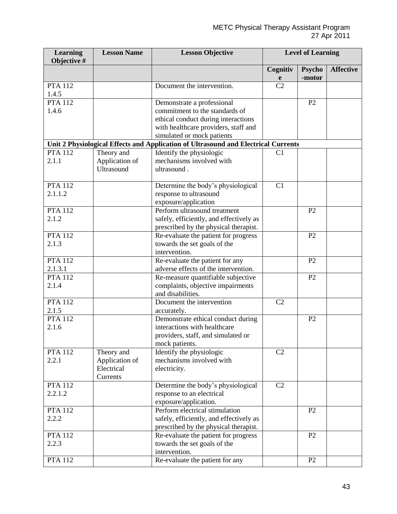| <b>Learning</b><br>Objective # | <b>Lesson Name</b> | <b>Lesson Objective</b>                                                            |                | <b>Level of Learning</b> |                  |
|--------------------------------|--------------------|------------------------------------------------------------------------------------|----------------|--------------------------|------------------|
|                                |                    |                                                                                    | Cognitiv<br>e  | <b>Psycho</b><br>-motor  | <b>Affective</b> |
| <b>PTA 112</b><br>1.4.5        |                    | Document the intervention.                                                         | C <sub>2</sub> |                          |                  |
| <b>PTA 112</b>                 |                    | Demonstrate a professional                                                         |                | P2                       |                  |
| 1.4.6                          |                    | commitment to the standards of                                                     |                |                          |                  |
|                                |                    | ethical conduct during interactions                                                |                |                          |                  |
|                                |                    | with healthcare providers, staff and                                               |                |                          |                  |
|                                |                    | simulated or mock patients                                                         |                |                          |                  |
|                                |                    | Unit 2 Physiological Effects and Application of Ultrasound and Electrical Currents |                |                          |                  |
| <b>PTA 112</b>                 | Theory and         | Identify the physiologic                                                           | C <sub>1</sub> |                          |                  |
| 2.1.1                          | Application of     | mechanisms involved with                                                           |                |                          |                  |
|                                | Ultrasound         | ultrasound.                                                                        |                |                          |                  |
|                                |                    |                                                                                    |                |                          |                  |
| <b>PTA 112</b>                 |                    | Determine the body's physiological                                                 | C1             |                          |                  |
| 2.1.1.2                        |                    | response to ultrasound                                                             |                |                          |                  |
|                                |                    | exposure/application                                                               |                |                          |                  |
| <b>PTA 112</b>                 |                    | Perform ultrasound treatment                                                       |                | P <sub>2</sub>           |                  |
| 2.1.2                          |                    | safely, efficiently, and effectively as                                            |                |                          |                  |
|                                |                    | prescribed by the physical therapist.                                              |                |                          |                  |
| <b>PTA 112</b>                 |                    | Re-evaluate the patient for progress                                               |                | P2                       |                  |
| 2.1.3                          |                    | towards the set goals of the                                                       |                |                          |                  |
|                                |                    | intervention.                                                                      |                |                          |                  |
| <b>PTA 112</b>                 |                    | Re-evaluate the patient for any                                                    |                | P2                       |                  |
| 2.1.3.1                        |                    | adverse effects of the intervention.                                               |                |                          |                  |
| <b>PTA 112</b>                 |                    | Re-measure quantifiable subjective                                                 |                | P2                       |                  |
| 2.1.4                          |                    | complaints, objective impairments<br>and disabilities.                             |                |                          |                  |
| <b>PTA 112</b>                 |                    | Document the intervention                                                          | C <sub>2</sub> |                          |                  |
| 2.1.5                          |                    |                                                                                    |                |                          |                  |
| <b>PTA 112</b>                 |                    | accurately.<br>Demonstrate ethical conduct during                                  |                | P <sub>2</sub>           |                  |
| 2.1.6                          |                    | interactions with healthcare                                                       |                |                          |                  |
|                                |                    | providers, staff, and simulated or                                                 |                |                          |                  |
|                                |                    | mock patients.                                                                     |                |                          |                  |
| <b>PTA 112</b>                 | Theory and         | Identify the physiologic                                                           | C <sub>2</sub> |                          |                  |
| 2.2.1                          | Application of     | mechanisms involved with                                                           |                |                          |                  |
|                                | Electrical         | electricity.                                                                       |                |                          |                  |
|                                | Currents           |                                                                                    |                |                          |                  |
| <b>PTA 112</b>                 |                    | Determine the body's physiological                                                 | C2             |                          |                  |
| 2.2.1.2                        |                    | response to an electrical                                                          |                |                          |                  |
|                                |                    | exposure/application.                                                              |                |                          |                  |
| <b>PTA 112</b>                 |                    | Perform electrical stimulation                                                     |                | P2                       |                  |
| 2.2.2                          |                    | safely, efficiently, and effectively as                                            |                |                          |                  |
|                                |                    | prescribed by the physical therapist.                                              |                |                          |                  |
| <b>PTA 112</b>                 |                    | Re-evaluate the patient for progress                                               |                | P <sub>2</sub>           |                  |
| 2.2.3                          |                    | towards the set goals of the                                                       |                |                          |                  |
|                                |                    | intervention.                                                                      |                |                          |                  |
| <b>PTA 112</b>                 |                    | Re-evaluate the patient for any                                                    |                | P2                       |                  |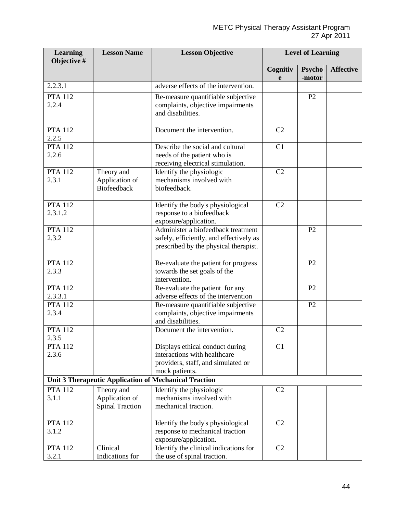| <b>Learning</b><br>Objective # | <b>Lesson Name</b>                       | <b>Lesson Objective</b>                                                                      | <b>Level of Learning</b> |                         |                  |
|--------------------------------|------------------------------------------|----------------------------------------------------------------------------------------------|--------------------------|-------------------------|------------------|
|                                |                                          |                                                                                              | Cognitiv<br>e            | <b>Psycho</b><br>-motor | <b>Affective</b> |
| 2.2.3.1                        |                                          | adverse effects of the intervention.                                                         |                          |                         |                  |
| <b>PTA 112</b>                 |                                          | Re-measure quantifiable subjective                                                           |                          | P2                      |                  |
| 2.2.4                          |                                          | complaints, objective impairments<br>and disabilities.                                       |                          |                         |                  |
| <b>PTA 112</b><br>2.2.5        |                                          | Document the intervention.                                                                   | C <sub>2</sub>           |                         |                  |
| <b>PTA 112</b>                 |                                          | Describe the social and cultural                                                             | C1                       |                         |                  |
| 2.2.6                          |                                          | needs of the patient who is<br>receiving electrical stimulation.                             |                          |                         |                  |
| <b>PTA 112</b>                 | Theory and                               | Identify the physiologic                                                                     | C <sub>2</sub>           |                         |                  |
| 2.3.1                          | Application of<br><b>Biofeedback</b>     | mechanisms involved with<br>biofeedback.                                                     |                          |                         |                  |
| <b>PTA 112</b>                 |                                          | Identify the body's physiological                                                            | C2                       |                         |                  |
| 2.3.1.2                        |                                          | response to a biofeedback<br>exposure/application.                                           |                          |                         |                  |
| <b>PTA 112</b>                 |                                          | Administer a biofeedback treatment                                                           |                          | P <sub>2</sub>          |                  |
| 2.3.2                          |                                          | safely, efficiently, and effectively as<br>prescribed by the physical therapist.             |                          |                         |                  |
| <b>PTA 112</b>                 |                                          | Re-evaluate the patient for progress                                                         |                          | P2                      |                  |
| 2.3.3                          |                                          | towards the set goals of the<br>intervention.                                                |                          |                         |                  |
| <b>PTA 112</b>                 |                                          | Re-evaluate the patient for any                                                              |                          | P2                      |                  |
| 2.3.3.1                        |                                          | adverse effects of the intervention                                                          |                          |                         |                  |
| <b>PTA 112</b><br>2.3.4        |                                          | Re-measure quantifiable subjective<br>complaints, objective impairments<br>and disabilities. |                          | P <sub>2</sub>          |                  |
| <b>PTA 112</b><br>2.3.5        |                                          | Document the intervention.                                                                   | C <sub>2</sub>           |                         |                  |
| <b>PTA 112</b>                 |                                          | Displays ethical conduct during                                                              | C1                       |                         |                  |
| 2.3.6                          |                                          | interactions with healthcare                                                                 |                          |                         |                  |
|                                |                                          | providers, staff, and simulated or                                                           |                          |                         |                  |
|                                |                                          | mock patients.                                                                               |                          |                         |                  |
|                                |                                          | Unit 3 Therapeutic Application of Mechanical Traction                                        |                          |                         |                  |
| <b>PTA 112</b>                 | Theory and                               | Identify the physiologic<br>mechanisms involved with                                         | C2                       |                         |                  |
| 3.1.1                          | Application of<br><b>Spinal Traction</b> | mechanical traction.                                                                         |                          |                         |                  |
| <b>PTA 112</b>                 |                                          | Identify the body's physiological                                                            | C <sub>2</sub>           |                         |                  |
| 3.1.2                          |                                          | response to mechanical traction                                                              |                          |                         |                  |
|                                |                                          | exposure/application.                                                                        |                          |                         |                  |
| <b>PTA 112</b>                 | Clinical                                 | Identify the clinical indications for                                                        | C2                       |                         |                  |
| 3.2.1                          | Indications for                          | the use of spinal traction.                                                                  |                          |                         |                  |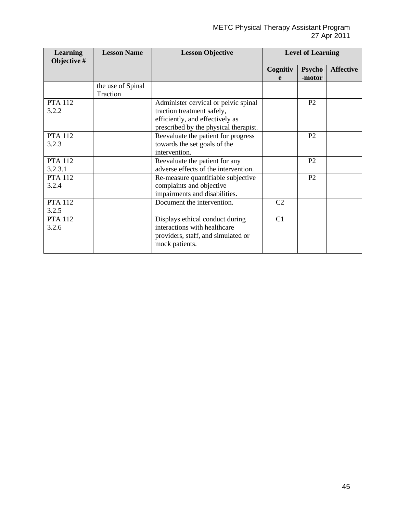| <b>Learning</b><br>Objective # | <b>Lesson Name</b>            | <b>Lesson Objective</b>                                                                                                                        |                | <b>Level of Learning</b> |                  |
|--------------------------------|-------------------------------|------------------------------------------------------------------------------------------------------------------------------------------------|----------------|--------------------------|------------------|
|                                |                               |                                                                                                                                                | Cognitiv<br>e  | <b>Psycho</b><br>-motor  | <b>Affective</b> |
|                                | the use of Spinal<br>Traction |                                                                                                                                                |                |                          |                  |
| <b>PTA 112</b><br>3.2.2        |                               | Administer cervical or pelvic spinal<br>traction treatment safely,<br>efficiently, and effectively as<br>prescribed by the physical therapist. |                | P <sub>2</sub>           |                  |
| <b>PTA 112</b><br>3.2.3        |                               | Reevaluate the patient for progress<br>towards the set goals of the<br>intervention.                                                           |                | P <sub>2</sub>           |                  |
| <b>PTA 112</b><br>3.2.3.1      |                               | Reevaluate the patient for any<br>adverse effects of the intervention.                                                                         |                | P <sub>2</sub>           |                  |
| <b>PTA 112</b><br>3.2.4        |                               | Re-measure quantifiable subjective<br>complaints and objective<br>impairments and disabilities.                                                |                | P <sub>2</sub>           |                  |
| <b>PTA 112</b><br>3.2.5        |                               | Document the intervention.                                                                                                                     | C <sub>2</sub> |                          |                  |
| <b>PTA 112</b><br>3.2.6        |                               | Displays ethical conduct during<br>interactions with healthcare<br>providers, staff, and simulated or<br>mock patients.                        | C1             |                          |                  |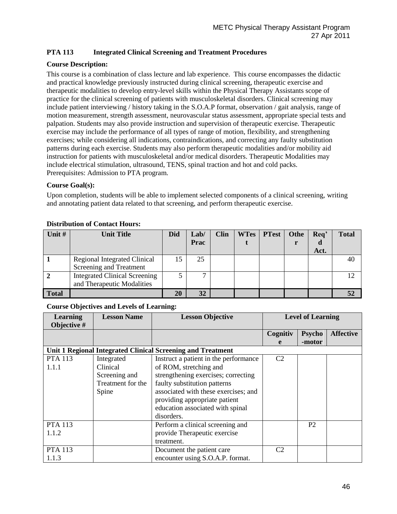# **PTA 113 Integrated Clinical Screening and Treatment Procedures**

### **Course Description:**

This course is a combination of class lecture and lab experience. This course encompasses the didactic and practical knowledge previously instructed during clinical screening, therapeutic exercise and therapeutic modalities to develop entry-level skills within the Physical Therapy Assistants scope of practice for the clinical screening of patients with musculoskeletal disorders. Clinical screening may include patient interviewing / history taking in the S.O.A.P format, observation / gait analysis, range of motion measurement, strength assessment, neurovascular status assessment, appropriate special tests and palpation. Students may also provide instruction and supervision of therapeutic exercise. Therapeutic exercise may include the performance of all types of range of motion, flexibility, and strengthening exercises; while considering all indications, contraindications, and correcting any faulty substitution patterns during each exercise. Students may also perform therapeutic modalities and/or mobility aid instruction for patients with musculoskeletal and/or medical disorders. Therapeutic Modalities may include electrical stimulation, ultrasound, TENS, spinal traction and hot and cold packs. Prerequisites: Admission to PTA program.

#### **Course Goal(s):**

Upon completion, students will be able to implement selected components of a clinical screening, writing and annotating patient data related to that screening, and perform therapeutic exercise.

| Unit #       | <b>Unit Title</b>                    | <b>Did</b> | Lab/ | <b>Clin</b> | <b>WTes</b> | <b>PTest</b> | Othe | Req' | <b>Total</b> |
|--------------|--------------------------------------|------------|------|-------------|-------------|--------------|------|------|--------------|
|              |                                      |            | Prac |             |             |              |      |      |              |
|              |                                      |            |      |             |             |              |      | Act. |              |
|              | <b>Regional Integrated Clinical</b>  | 15         | 25   |             |             |              |      |      | 40           |
|              | Screening and Treatment              |            |      |             |             |              |      |      |              |
|              | <b>Integrated Clinical Screening</b> |            |      |             |             |              |      |      | 12           |
|              | and Therapeutic Modalities           |            |      |             |             |              |      |      |              |
| <b>Total</b> |                                      | 20         | 32   |             |             |              |      |      |              |

#### **Distribution of Contact Hours:**

| <b>Learning</b>                                             | <b>Lesson Name</b> | <b>Lesson Objective</b>               | <b>Level of Learning</b> |                  |  |  |
|-------------------------------------------------------------|--------------------|---------------------------------------|--------------------------|------------------|--|--|
| Objective #                                                 |                    |                                       |                          |                  |  |  |
|                                                             |                    |                                       | Cognitiv                 | <b>Affective</b> |  |  |
|                                                             |                    |                                       | e                        | -motor           |  |  |
| Unit 1 Regional Integrated Clinical Screening and Treatment |                    |                                       |                          |                  |  |  |
| <b>PTA 113</b>                                              | Integrated         | Instruct a patient in the performance | C <sub>2</sub>           |                  |  |  |
| 1.1.1                                                       | Clinical           | of ROM, stretching and                |                          |                  |  |  |
|                                                             | Screening and      | strengthening exercises; correcting   |                          |                  |  |  |
|                                                             | Treatment for the  | faulty substitution patterns          |                          |                  |  |  |
|                                                             | Spine              | associated with these exercises; and  |                          |                  |  |  |
|                                                             |                    | providing appropriate patient         |                          |                  |  |  |
|                                                             |                    | education associated with spinal      |                          |                  |  |  |
|                                                             |                    | disorders.                            |                          |                  |  |  |
| <b>PTA 113</b>                                              |                    | Perform a clinical screening and      |                          | P <sub>2</sub>   |  |  |
| 1.1.2                                                       |                    | provide Therapeutic exercise          |                          |                  |  |  |
|                                                             |                    | treatment.                            |                          |                  |  |  |
| <b>PTA 113</b>                                              |                    | Document the patient care             | C2                       |                  |  |  |
| 1.1.3                                                       |                    | encounter using S.O.A.P. format.      |                          |                  |  |  |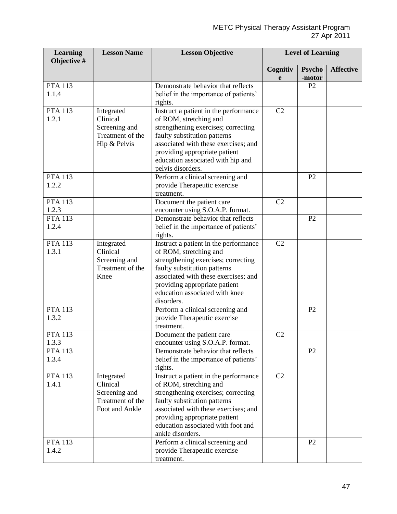| <b>Learning</b><br>Objective # | <b>Lesson Name</b>                                                            | <b>Lesson Objective</b>                                                                                                                                                                                                                                                   | <b>Level of Learning</b> |                         |                  |
|--------------------------------|-------------------------------------------------------------------------------|---------------------------------------------------------------------------------------------------------------------------------------------------------------------------------------------------------------------------------------------------------------------------|--------------------------|-------------------------|------------------|
|                                |                                                                               |                                                                                                                                                                                                                                                                           | Cognitiv<br>e            | <b>Psycho</b><br>-motor | <b>Affective</b> |
| <b>PTA 113</b><br>1.1.4        |                                                                               | Demonstrate behavior that reflects<br>belief in the importance of patients'<br>rights.                                                                                                                                                                                    |                          | P <sub>2</sub>          |                  |
| <b>PTA 113</b><br>1.2.1        | Integrated<br>Clinical<br>Screening and<br>Treatment of the<br>Hip & Pelvis   | Instruct a patient in the performance<br>of ROM, stretching and<br>strengthening exercises; correcting<br>faulty substitution patterns<br>associated with these exercises; and<br>providing appropriate patient<br>education associated with hip and<br>pelvis disorders. | C <sub>2</sub>           |                         |                  |
| <b>PTA 113</b><br>1.2.2        |                                                                               | Perform a clinical screening and<br>provide Therapeutic exercise<br>treatment.                                                                                                                                                                                            |                          | P <sub>2</sub>          |                  |
| <b>PTA 113</b><br>1.2.3        |                                                                               | Document the patient care<br>encounter using S.O.A.P. format.                                                                                                                                                                                                             | C2                       |                         |                  |
| <b>PTA 113</b><br>1.2.4        |                                                                               | Demonstrate behavior that reflects<br>belief in the importance of patients'<br>rights.                                                                                                                                                                                    |                          | P <sub>2</sub>          |                  |
| <b>PTA 113</b><br>1.3.1        | Integrated<br>Clinical<br>Screening and<br>Treatment of the<br>Knee           | Instruct a patient in the performance<br>of ROM, stretching and<br>strengthening exercises; correcting<br>faulty substitution patterns<br>associated with these exercises; and<br>providing appropriate patient<br>education associated with knee<br>disorders.           | C2                       |                         |                  |
| <b>PTA 113</b><br>1.3.2        |                                                                               | Perform a clinical screening and<br>provide Therapeutic exercise<br>treatment.                                                                                                                                                                                            |                          | P <sub>2</sub>          |                  |
| <b>PTA 113</b><br>1.3.3        |                                                                               | Document the patient care<br>encounter using S.O.A.P. format.                                                                                                                                                                                                             | C2                       |                         |                  |
| <b>PTA 113</b><br>1.3.4        |                                                                               | Demonstrate behavior that reflects<br>belief in the importance of patients'<br>rights.                                                                                                                                                                                    |                          | P <sub>2</sub>          |                  |
| <b>PTA 113</b><br>1.4.1        | Integrated<br>Clinical<br>Screening and<br>Treatment of the<br>Foot and Ankle | Instruct a patient in the performance<br>of ROM, stretching and<br>strengthening exercises; correcting<br>faulty substitution patterns<br>associated with these exercises; and<br>providing appropriate patient<br>education associated with foot and<br>ankle disorders. | C <sub>2</sub>           |                         |                  |
| <b>PTA 113</b><br>1.4.2        |                                                                               | Perform a clinical screening and<br>provide Therapeutic exercise<br>treatment.                                                                                                                                                                                            |                          | P <sub>2</sub>          |                  |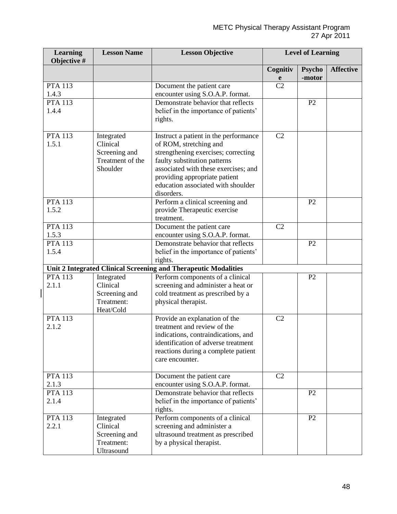| <b>Learning</b><br>Objective # | <b>Lesson Name</b>                                                      | <b>Lesson Objective</b>                                                                                                                                                                                                                                             |                | <b>Level of Learning</b> |                  |
|--------------------------------|-------------------------------------------------------------------------|---------------------------------------------------------------------------------------------------------------------------------------------------------------------------------------------------------------------------------------------------------------------|----------------|--------------------------|------------------|
|                                |                                                                         |                                                                                                                                                                                                                                                                     | Cognitiv<br>e  | <b>Psycho</b><br>-motor  | <b>Affective</b> |
| <b>PTA 113</b><br>1.4.3        |                                                                         | Document the patient care<br>encounter using S.O.A.P. format.                                                                                                                                                                                                       | C <sub>2</sub> |                          |                  |
| <b>PTA 113</b><br>1.4.4        |                                                                         | Demonstrate behavior that reflects<br>belief in the importance of patients'<br>rights.                                                                                                                                                                              |                | P2                       |                  |
| <b>PTA 113</b><br>1.5.1        | Integrated<br>Clinical<br>Screening and<br>Treatment of the<br>Shoulder | Instruct a patient in the performance<br>of ROM, stretching and<br>strengthening exercises; correcting<br>faulty substitution patterns<br>associated with these exercises; and<br>providing appropriate patient<br>education associated with shoulder<br>disorders. | C <sub>2</sub> |                          |                  |
| <b>PTA 113</b><br>1.5.2        |                                                                         | Perform a clinical screening and<br>provide Therapeutic exercise<br>treatment.                                                                                                                                                                                      |                | P2                       |                  |
| <b>PTA 113</b><br>1.5.3        |                                                                         | Document the patient care<br>encounter using S.O.A.P. format.                                                                                                                                                                                                       | C2             |                          |                  |
| <b>PTA 113</b><br>1.5.4        |                                                                         | Demonstrate behavior that reflects<br>belief in the importance of patients'<br>rights.                                                                                                                                                                              |                | P2                       |                  |
|                                |                                                                         | Unit 2 Integrated Clinical Screening and Therapeutic Modalities                                                                                                                                                                                                     |                |                          |                  |
| <b>PTA 113</b><br>2.1.1        | Integrated<br>Clinical<br>Screening and<br>Treatment:<br>Heat/Cold      | Perform components of a clinical<br>screening and administer a heat or<br>cold treatment as prescribed by a<br>physical therapist.                                                                                                                                  |                | P <sub>2</sub>           |                  |
| <b>PTA 113</b><br>2.1.2        |                                                                         | Provide an explanation of the<br>treatment and review of the<br>indications, contraindications, and<br>identification of adverse treatment<br>reactions during a complete patient<br>care encounter.                                                                | C <sub>2</sub> |                          |                  |
| <b>PTA 113</b><br>2.1.3        |                                                                         | Document the patient care<br>encounter using S.O.A.P. format.                                                                                                                                                                                                       | C <sub>2</sub> |                          |                  |
| <b>PTA 113</b><br>2.1.4        |                                                                         | Demonstrate behavior that reflects<br>belief in the importance of patients'<br>rights.                                                                                                                                                                              |                | P <sub>2</sub>           |                  |
| <b>PTA 113</b><br>2.2.1        | Integrated<br>Clinical<br>Screening and<br>Treatment:<br>Ultrasound     | Perform components of a clinical<br>screening and administer a<br>ultrasound treatment as prescribed<br>by a physical therapist.                                                                                                                                    |                | P2                       |                  |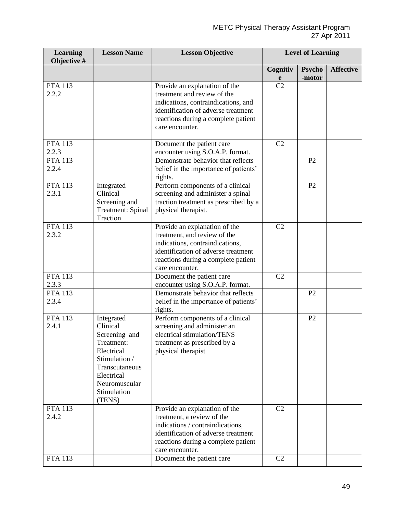| <b>Learning</b><br>Objective # | <b>Lesson Name</b>                                                                                                                                             | <b>Lesson Objective</b>                                                                                                                                                                              | <b>Level of Learning</b> |                         |                  |
|--------------------------------|----------------------------------------------------------------------------------------------------------------------------------------------------------------|------------------------------------------------------------------------------------------------------------------------------------------------------------------------------------------------------|--------------------------|-------------------------|------------------|
|                                |                                                                                                                                                                |                                                                                                                                                                                                      | Cognitiv<br>e            | <b>Psycho</b><br>-motor | <b>Affective</b> |
| <b>PTA 113</b><br>2.2.2        |                                                                                                                                                                | Provide an explanation of the<br>treatment and review of the<br>indications, contraindications, and<br>identification of adverse treatment<br>reactions during a complete patient<br>care encounter. | C <sub>2</sub>           |                         |                  |
| <b>PTA 113</b><br>2.2.3        |                                                                                                                                                                | Document the patient care<br>encounter using S.O.A.P. format.                                                                                                                                        | C2                       |                         |                  |
| <b>PTA 113</b><br>2.2.4        |                                                                                                                                                                | Demonstrate behavior that reflects<br>belief in the importance of patients'<br>rights.                                                                                                               |                          | P <sub>2</sub>          |                  |
| <b>PTA 113</b><br>2.3.1        | Integrated<br>Clinical<br>Screening and<br><b>Treatment: Spinal</b><br>Traction                                                                                | Perform components of a clinical<br>screening and administer a spinal<br>traction treatment as prescribed by a<br>physical therapist.                                                                |                          | P2                      |                  |
| <b>PTA 113</b><br>2.3.2        |                                                                                                                                                                | Provide an explanation of the<br>treatment, and review of the<br>indications, contraindications,<br>identification of adverse treatment<br>reactions during a complete patient<br>care encounter.    | C <sub>2</sub>           |                         |                  |
| <b>PTA 113</b><br>2.3.3        |                                                                                                                                                                | Document the patient care<br>encounter using S.O.A.P. format.                                                                                                                                        | C <sub>2</sub>           |                         |                  |
| <b>PTA 113</b><br>2.3.4        |                                                                                                                                                                | Demonstrate behavior that reflects<br>belief in the importance of patients'<br>rights.                                                                                                               |                          | P2                      |                  |
| <b>PTA 113</b><br>2.4.1        | Integrated<br>Clinical<br>Screening and<br>Treatment:<br>Electrical<br>Stimulation /<br>Transcutaneous<br>Electrical<br>Neuromuscular<br>Stimulation<br>(TENS) | Perform components of a clinical<br>screening and administer an<br>electrical stimulation/TENS<br>treatment as prescribed by a<br>physical therapist                                                 |                          | P2                      |                  |
| <b>PTA 113</b><br>2.4.2        |                                                                                                                                                                | Provide an explanation of the<br>treatment, a review of the<br>indications / contraindications,<br>identification of adverse treatment<br>reactions during a complete patient<br>care encounter.     | C <sub>2</sub>           |                         |                  |
| <b>PTA 113</b>                 |                                                                                                                                                                | Document the patient care                                                                                                                                                                            | C <sub>2</sub>           |                         |                  |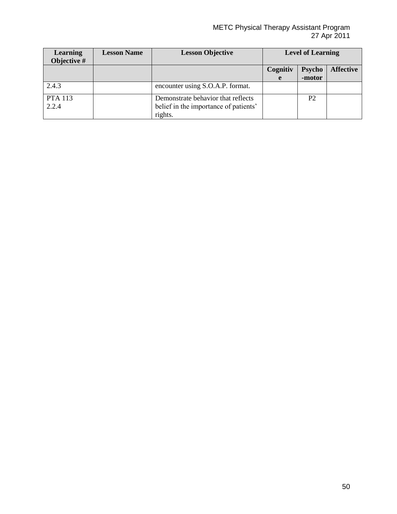#### METC Physical Therapy Assistant Program 27 Apr 2011

| <b>Learning</b><br>Objective # | <b>Lesson Name</b> | <b>Lesson Objective</b>                                                                | <b>Level of Learning</b>  |                |                  |
|--------------------------------|--------------------|----------------------------------------------------------------------------------------|---------------------------|----------------|------------------|
|                                |                    |                                                                                        | <b>Psycho</b><br>Cognitiv |                | <b>Affective</b> |
|                                |                    |                                                                                        | e                         | -motor         |                  |
| 2.4.3                          |                    | encounter using S.O.A.P. format.                                                       |                           |                |                  |
| <b>PTA</b> 113<br>2.2.4        |                    | Demonstrate behavior that reflects<br>belief in the importance of patients'<br>rights. |                           | P <sub>2</sub> |                  |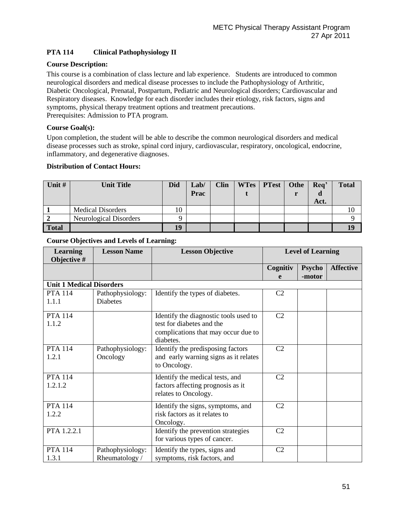# **PTA 114 Clinical Pathophysiology II**

# **Course Description:**

This course is a combination of class lecture and lab experience. Students are introduced to common neurological disorders and medical disease processes to include the Pathophysiology of Arthritic, Diabetic Oncological, Prenatal, Postpartum, Pediatric and Neurological disorders; Cardiovascular and Respiratory diseases. Knowledge for each disorder includes their etiology, risk factors, signs and symptoms, physical therapy treatment options and treatment precautions. Prerequisites: Admission to PTA program.

# **Course Goal(s):**

Upon completion, the student will be able to describe the common neurological disorders and medical disease processes such as stroke, spinal cord injury, cardiovascular, respiratory, oncological, endocrine, inflammatory, and degenerative diagnoses.

# **Distribution of Contact Hours:**

| Unit #       | <b>Unit Title</b>        | <b>Did</b> | Lab/<br>Prac | <b>Clin</b> | WTes   PTest | Othe | $\overline{A}$ Req'<br>u<br>Act. | <b>Total</b> |
|--------------|--------------------------|------------|--------------|-------------|--------------|------|----------------------------------|--------------|
|              | <b>Medical Disorders</b> | 10         |              |             |              |      |                                  |              |
|              | Neurological Disorders   | Q          |              |             |              |      |                                  |              |
| <b>Total</b> |                          | 19         |              |             |              |      |                                  |              |

| <b>Learning</b><br>Objective #  | <b>Lesson Name</b> | <b>Lesson Objective</b>               |                | <b>Level of Learning</b> |                  |
|---------------------------------|--------------------|---------------------------------------|----------------|--------------------------|------------------|
|                                 |                    |                                       | Cognitiv       | <b>Psycho</b>            | <b>Affective</b> |
|                                 |                    |                                       | e              | -motor                   |                  |
| <b>Unit 1 Medical Disorders</b> |                    |                                       |                |                          |                  |
| <b>PTA 114</b>                  | Pathophysiology:   | Identify the types of diabetes.       | C <sub>2</sub> |                          |                  |
| 1.1.1                           | <b>Diabetes</b>    |                                       |                |                          |                  |
| <b>PTA 114</b>                  |                    | Identify the diagnostic tools used to | C <sub>2</sub> |                          |                  |
| 1.1.2                           |                    | test for diabetes and the             |                |                          |                  |
|                                 |                    | complications that may occur due to   |                |                          |                  |
|                                 |                    | diabetes.                             |                |                          |                  |
| <b>PTA 114</b>                  | Pathophysiology:   | Identify the predisposing factors     | C <sub>2</sub> |                          |                  |
| 1.2.1                           | Oncology           | and early warning signs as it relates |                |                          |                  |
|                                 |                    | to Oncology.                          |                |                          |                  |
| <b>PTA 114</b>                  |                    | Identify the medical tests, and       | C <sub>2</sub> |                          |                  |
| 1.2.1.2                         |                    | factors affecting prognosis as it     |                |                          |                  |
|                                 |                    | relates to Oncology.                  |                |                          |                  |
| <b>PTA 114</b>                  |                    | Identify the signs, symptoms, and     | C <sub>2</sub> |                          |                  |
| 1.2.2                           |                    | risk factors as it relates to         |                |                          |                  |
|                                 |                    | Oncology.                             |                |                          |                  |
| PTA 1.2.2.1                     |                    | Identify the prevention strategies    | C <sub>2</sub> |                          |                  |
|                                 |                    | for various types of cancer.          |                |                          |                  |
| <b>PTA 114</b>                  | Pathophysiology:   | Identify the types, signs and         | C <sub>2</sub> |                          |                  |
| 1.3.1                           | Rheumatology /     | symptoms, risk factors, and           |                |                          |                  |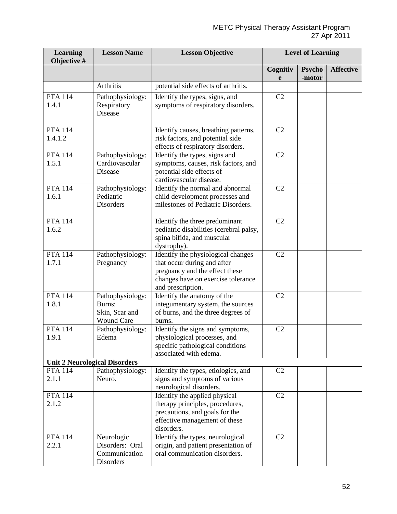| <b>Learning</b><br>Objective # | <b>Lesson Name</b>                                                | <b>Lesson Objective</b>                                                                                                                                        | <b>Level of Learning</b> |                         |                  |
|--------------------------------|-------------------------------------------------------------------|----------------------------------------------------------------------------------------------------------------------------------------------------------------|--------------------------|-------------------------|------------------|
|                                |                                                                   |                                                                                                                                                                | Cognitiv<br>e            | <b>Psycho</b><br>-motor | <b>Affective</b> |
|                                | Arthritis                                                         | potential side effects of arthritis.                                                                                                                           |                          |                         |                  |
| <b>PTA 114</b><br>1.4.1        | Pathophysiology:<br>Respiratory<br><b>Disease</b>                 | Identify the types, signs, and<br>symptoms of respiratory disorders.                                                                                           | C2                       |                         |                  |
| <b>PTA 114</b><br>1.4.1.2      |                                                                   | Identify causes, breathing patterns,<br>risk factors, and potential side<br>effects of respiratory disorders.                                                  | C2                       |                         |                  |
| <b>PTA 114</b><br>1.5.1        | Pathophysiology:<br>Cardiovascular<br>Disease                     | Identify the types, signs and<br>symptoms, causes, risk factors, and<br>potential side effects of<br>cardiovascular disease.                                   | C2                       |                         |                  |
| <b>PTA 114</b><br>1.6.1        | Pathophysiology:<br>Pediatric<br><b>Disorders</b>                 | Identify the normal and abnormal<br>child development processes and<br>milestones of Pediatric Disorders.                                                      | C2                       |                         |                  |
| <b>PTA 114</b><br>1.6.2        |                                                                   | Identify the three predominant<br>pediatric disabilities (cerebral palsy,<br>spina bifida, and muscular<br>dystrophy).                                         | C2                       |                         |                  |
| <b>PTA 114</b><br>1.7.1        | Pathophysiology:<br>Pregnancy                                     | Identify the physiological changes<br>that occur during and after<br>pregnancy and the effect these<br>changes have on exercise tolerance<br>and prescription. | C <sub>2</sub>           |                         |                  |
| <b>PTA 114</b><br>1.8.1        | Pathophysiology:<br>Burns:<br>Skin, Scar and<br><b>Wound Care</b> | Identify the anatomy of the<br>integumentary system, the sources<br>of burns, and the three degrees of<br>burns.                                               | C <sub>2</sub>           |                         |                  |
| <b>PTA 114</b><br>1.9.1        | Pathophysiology:<br>Edema                                         | Identify the signs and symptoms,<br>physiological processes, and<br>specific pathological conditions<br>associated with edema.                                 | C <sub>2</sub>           |                         |                  |
|                                | <b>Unit 2 Neurological Disorders</b>                              |                                                                                                                                                                |                          |                         |                  |
| <b>PTA 114</b><br>2.1.1        | Pathophysiology:<br>Neuro.                                        | Identify the types, etiologies, and<br>signs and symptoms of various<br>neurological disorders.                                                                | C <sub>2</sub>           |                         |                  |
| <b>PTA 114</b><br>2.1.2        |                                                                   | Identify the applied physical<br>therapy principles, procedures,<br>precautions, and goals for the<br>effective management of these<br>disorders.              | C2                       |                         |                  |
| <b>PTA 114</b><br>2.2.1        | Neurologic<br>Disorders: Oral<br>Communication<br>Disorders       | Identify the types, neurological<br>origin, and patient presentation of<br>oral communication disorders.                                                       | C2                       |                         |                  |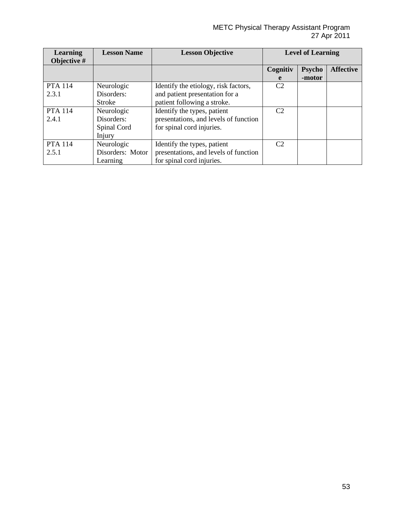#### METC Physical Therapy Assistant Program 27 Apr 2011

| <b>Learning</b><br>Objective # | <b>Lesson Name</b> | <b>Lesson Objective</b>               | <b>Level of Learning</b> |               |                  |
|--------------------------------|--------------------|---------------------------------------|--------------------------|---------------|------------------|
|                                |                    |                                       | Cognitiv                 | <b>Psycho</b> | <b>Affective</b> |
|                                |                    |                                       | e                        | -motor        |                  |
| <b>PTA</b> 114                 | Neurologic         | Identify the etiology, risk factors,  | C <sub>2</sub>           |               |                  |
| 2.3.1                          | Disorders:         | and patient presentation for a        |                          |               |                  |
|                                | <b>Stroke</b>      | patient following a stroke.           |                          |               |                  |
| <b>PTA</b> 114                 | Neurologic         | Identify the types, patient           | C2                       |               |                  |
| 2.4.1                          | Disorders:         | presentations, and levels of function |                          |               |                  |
|                                | Spinal Cord        | for spinal cord injuries.             |                          |               |                  |
|                                | Injury             |                                       |                          |               |                  |
| <b>PTA</b> 114                 | Neurologic         | Identify the types, patient           | C <sub>2</sub>           |               |                  |
| 2.5.1                          | Disorders: Motor   | presentations, and levels of function |                          |               |                  |
|                                | Learning           | for spinal cord injuries.             |                          |               |                  |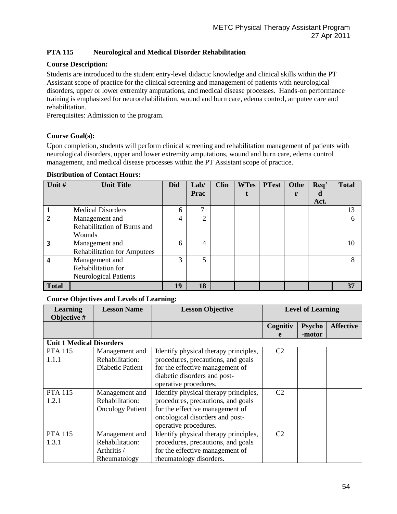# **PTA 115 Neurological and Medical Disorder Rehabilitation**

# **Course Description:**

Students are introduced to the student entry-level didactic knowledge and clinical skills within the PT Assistant scope of practice for the clinical screening and management of patients with neurological disorders, upper or lower extremity amputations, and medical disease processes. Hands-on performance training is emphasized for neurorehabilitation, wound and burn care, edema control, amputee care and rehabilitation.

Prerequisites: Admission to the program.

# **Course Goal(s):**

Upon completion, students will perform clinical screening and rehabilitation management of patients with neurological disorders, upper and lower extremity amputations, wound and burn care, edema control management, and medical disease processes within the PT Assistant scope of practice.

| Unit #       | <b>Unit Title</b>                  | <b>Did</b> | Lab/           | <b>Clin</b> | <b>WTes</b> | <b>PTest</b> | Othe | Req' | <b>Total</b> |
|--------------|------------------------------------|------------|----------------|-------------|-------------|--------------|------|------|--------------|
|              |                                    |            | <b>Prac</b>    |             |             |              | r    | d    |              |
|              |                                    |            |                |             |             |              |      | Act. |              |
|              | <b>Medical Disorders</b>           | 6          | ⇁              |             |             |              |      |      | 13           |
| $\mathbf 2$  | Management and                     | 4          | $\overline{2}$ |             |             |              |      |      | 6            |
|              | Rehabilitation of Burns and        |            |                |             |             |              |      |      |              |
|              | Wounds                             |            |                |             |             |              |      |      |              |
| 3            | Management and                     | 6          | 4              |             |             |              |      |      | 10           |
|              | <b>Rehabilitation for Amputees</b> |            |                |             |             |              |      |      |              |
| 4            | Management and                     | 3          | 5              |             |             |              |      |      | 8            |
|              | Rehabilitation for                 |            |                |             |             |              |      |      |              |
|              | <b>Neurological Patients</b>       |            |                |             |             |              |      |      |              |
| <b>Total</b> |                                    | 19         | 18             |             |             |              |      |      | 37           |

#### **Distribution of Contact Hours:**

| <b>Learning</b><br>Objective #  | <b>Lesson Name</b>      | <b>Lesson Objective</b>               | <b>Level of Learning</b> |               |                  |
|---------------------------------|-------------------------|---------------------------------------|--------------------------|---------------|------------------|
|                                 |                         |                                       | Cognitiv                 | <b>Psycho</b> | <b>Affective</b> |
|                                 |                         |                                       | e                        | -motor        |                  |
| <b>Unit 1 Medical Disorders</b> |                         |                                       |                          |               |                  |
| <b>PTA 115</b>                  | Management and          | Identify physical therapy principles, | C <sub>2</sub>           |               |                  |
| 1.1.1                           | Rehabilitation:         | procedures, precautions, and goals    |                          |               |                  |
|                                 | Diabetic Patient        | for the effective management of       |                          |               |                  |
|                                 |                         | diabetic disorders and post-          |                          |               |                  |
|                                 |                         | operative procedures.                 |                          |               |                  |
| <b>PTA 115</b>                  | Management and          | Identify physical therapy principles, | C <sub>2</sub>           |               |                  |
| 1.2.1                           | Rehabilitation:         | procedures, precautions, and goals    |                          |               |                  |
|                                 | <b>Oncology Patient</b> | for the effective management of       |                          |               |                  |
|                                 |                         | oncological disorders and post-       |                          |               |                  |
|                                 |                         | operative procedures.                 |                          |               |                  |
| <b>PTA 115</b>                  | Management and          | Identify physical therapy principles, | C <sub>2</sub>           |               |                  |
| 1.3.1                           | Rehabilitation:         | procedures, precautions, and goals    |                          |               |                  |
|                                 | Arthritis /             | for the effective management of       |                          |               |                  |
|                                 | Rheumatology            | rheumatology disorders.               |                          |               |                  |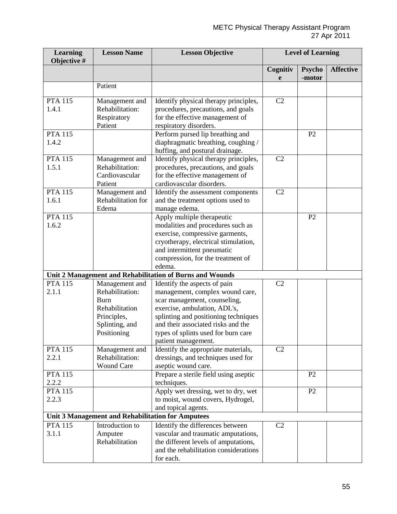| <b>Learning</b><br>Objective # | <b>Lesson Name</b>                                                                                                 | <b>Lesson Objective</b>                                                                                                                                                                                                                                                     | <b>Level of Learning</b> |                         |                  |
|--------------------------------|--------------------------------------------------------------------------------------------------------------------|-----------------------------------------------------------------------------------------------------------------------------------------------------------------------------------------------------------------------------------------------------------------------------|--------------------------|-------------------------|------------------|
|                                |                                                                                                                    |                                                                                                                                                                                                                                                                             | Cognitiv<br>e            | <b>Psycho</b><br>-motor | <b>Affective</b> |
|                                | Patient                                                                                                            |                                                                                                                                                                                                                                                                             |                          |                         |                  |
| <b>PTA 115</b><br>1.4.1        | Management and<br>Rehabilitation:<br>Respiratory<br>Patient                                                        | Identify physical therapy principles,<br>procedures, precautions, and goals<br>for the effective management of<br>respiratory disorders.                                                                                                                                    | C <sub>2</sub>           |                         |                  |
| <b>PTA 115</b><br>1.4.2        |                                                                                                                    | Perform pursed lip breathing and<br>diaphragmatic breathing, coughing /<br>huffing, and postural drainage.                                                                                                                                                                  |                          | P <sub>2</sub>          |                  |
| <b>PTA 115</b><br>1.5.1        | Management and<br>Rehabilitation:<br>Cardiovascular<br>Patient                                                     | Identify physical therapy principles,<br>procedures, precautions, and goals<br>for the effective management of<br>cardiovascular disorders.                                                                                                                                 | C2                       |                         |                  |
| <b>PTA 115</b><br>1.6.1        | Management and<br>Rehabilitation for<br>Edema                                                                      | Identify the assessment components<br>and the treatment options used to<br>manage edema.                                                                                                                                                                                    | C <sub>2</sub>           |                         |                  |
| <b>PTA 115</b><br>1.6.2        |                                                                                                                    | Apply multiple therapeutic<br>modalities and procedures such as<br>exercise, compressive garments,<br>cryotherapy, electrical stimulation,<br>and intermittent pneumatic<br>compression, for the treatment of<br>edema.                                                     |                          | P2                      |                  |
|                                |                                                                                                                    | Unit 2 Management and Rehabilitation of Burns and Wounds                                                                                                                                                                                                                    |                          |                         |                  |
| <b>PTA 115</b><br>2.1.1        | Management and<br>Rehabilitation:<br><b>Burn</b><br>Rehabilitation<br>Principles,<br>Splinting, and<br>Positioning | Identify the aspects of pain<br>management, complex wound care,<br>scar management, counseling,<br>exercise, ambulation, ADL's,<br>splinting and positioning techniques<br>and their associated risks and the<br>types of splints used for burn care<br>patient management. | C <sub>2</sub>           |                         |                  |
| <b>PTA 115</b><br>2.2.1        | Management and<br>Rehabilitation:<br><b>Wound Care</b>                                                             | Identify the appropriate materials,<br>dressings, and techniques used for<br>aseptic wound care.                                                                                                                                                                            | C <sub>2</sub>           |                         |                  |
| <b>PTA 115</b><br>2.2.2        |                                                                                                                    | Prepare a sterile field using aseptic<br>techniques.                                                                                                                                                                                                                        |                          | P2                      |                  |
| <b>PTA 115</b><br>2.2.3        |                                                                                                                    | Apply wet dressing, wet to dry, wet<br>to moist, wound covers, Hydrogel,<br>and topical agents.                                                                                                                                                                             |                          | P <sub>2</sub>          |                  |
|                                |                                                                                                                    | Unit 3 Management and Rehabilitation for Amputees                                                                                                                                                                                                                           |                          |                         |                  |
| <b>PTA 115</b><br>3.1.1        | Introduction to<br>Amputee<br>Rehabilitation                                                                       | Identify the differences between<br>vascular and traumatic amputations,<br>the different levels of amputations,<br>and the rehabilitation considerations<br>for each.                                                                                                       | C <sub>2</sub>           |                         |                  |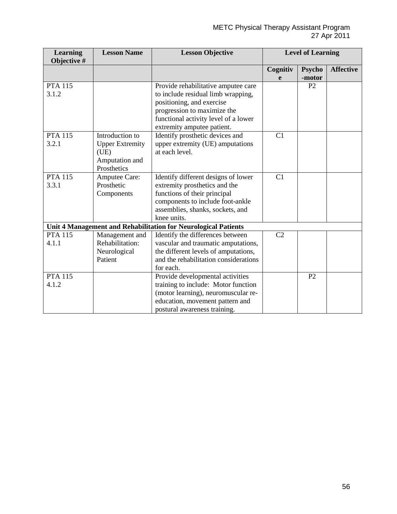| <b>Learning</b> | <b>Lesson Name</b>     | <b>Lesson Objective</b>                                        | <b>Level of Learning</b> |                |                  |
|-----------------|------------------------|----------------------------------------------------------------|--------------------------|----------------|------------------|
| Objective #     |                        |                                                                |                          |                |                  |
|                 |                        |                                                                | Cognitiv                 | <b>Psycho</b>  | <b>Affective</b> |
|                 |                        |                                                                | e                        | -motor         |                  |
| <b>PTA 115</b>  |                        | Provide rehabilitative amputee care                            |                          | P2             |                  |
| 3.1.2           |                        | to include residual limb wrapping,                             |                          |                |                  |
|                 |                        | positioning, and exercise                                      |                          |                |                  |
|                 |                        | progression to maximize the                                    |                          |                |                  |
|                 |                        | functional activity level of a lower                           |                          |                |                  |
|                 |                        | extremity amputee patient.                                     |                          |                |                  |
| <b>PTA 115</b>  | Introduction to        | Identify prosthetic devices and                                | C1                       |                |                  |
| 3.2.1           | <b>Upper Extremity</b> | upper extremity (UE) amputations                               |                          |                |                  |
|                 | (UE)                   | at each level.                                                 |                          |                |                  |
|                 | Amputation and         |                                                                |                          |                |                  |
|                 | Prosthetics            |                                                                |                          |                |                  |
| <b>PTA 115</b>  | Amputee Care:          | Identify different designs of lower                            | C1                       |                |                  |
| 3.3.1           | Prosthetic             | extremity prosthetics and the                                  |                          |                |                  |
|                 | Components             | functions of their principal                                   |                          |                |                  |
|                 |                        | components to include foot-ankle                               |                          |                |                  |
|                 |                        | assemblies, shanks, sockets, and                               |                          |                |                  |
|                 |                        | knee units.                                                    |                          |                |                  |
|                 |                        | Unit 4 Management and Rehabilitation for Neurological Patients |                          |                |                  |
| <b>PTA 115</b>  | Management and         | Identify the differences between                               | C <sub>2</sub>           |                |                  |
| 4.1.1           | Rehabilitation:        | vascular and traumatic amputations,                            |                          |                |                  |
|                 | Neurological           | the different levels of amputations,                           |                          |                |                  |
|                 | Patient                | and the rehabilitation considerations                          |                          |                |                  |
|                 |                        | for each.                                                      |                          |                |                  |
| <b>PTA 115</b>  |                        | Provide developmental activities                               |                          | P <sub>2</sub> |                  |
| 4.1.2           |                        | training to include: Motor function                            |                          |                |                  |
|                 |                        | (motor learning), neuromuscular re-                            |                          |                |                  |
|                 |                        | education, movement pattern and                                |                          |                |                  |
|                 |                        | postural awareness training.                                   |                          |                |                  |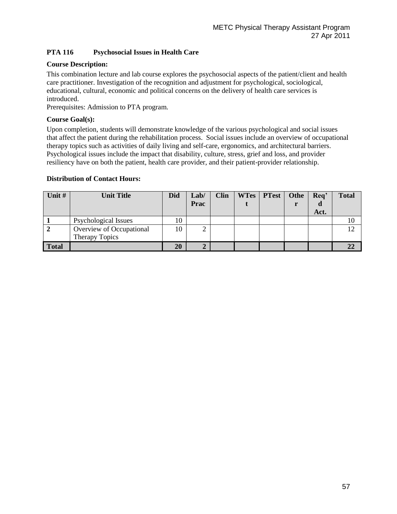# **PTA 116 Psychosocial Issues in Health Care**

# **Course Description:**

This combination lecture and lab course explores the psychosocial aspects of the patient/client and health care practitioner. Investigation of the recognition and adjustment for psychological, sociological, educational, cultural, economic and political concerns on the delivery of health care services is introduced.

Prerequisites: Admission to PTA program.

# **Course Goal(s):**

Upon completion, students will demonstrate knowledge of the various psychological and social issues that affect the patient during the rehabilitation process. Social issues include an overview of occupational therapy topics such as activities of daily living and self-care, ergonomics, and architectural barriers. Psychological issues include the impact that disability, culture, stress, grief and loss, and provider resiliency have on both the patient, health care provider, and their patient-provider relationship.

# **Distribution of Contact Hours:**

| Unit #       | <b>Unit Title</b>        | <b>Did</b> | Lab/           | <b>Clin</b> | WTes   PTest | Othe | Req' | <b>Total</b> |
|--------------|--------------------------|------------|----------------|-------------|--------------|------|------|--------------|
|              |                          |            | Prac           |             |              |      | a    |              |
|              |                          |            |                |             |              |      | Act. |              |
|              | Psychological Issues     | 10         |                |             |              |      |      |              |
|              | Overview of Occupational | 10         | ∠              |             |              |      |      | $1 \cap$     |
|              | <b>Therapy Topics</b>    |            |                |             |              |      |      |              |
| <b>Total</b> |                          | 20         | $\overline{2}$ |             |              |      |      |              |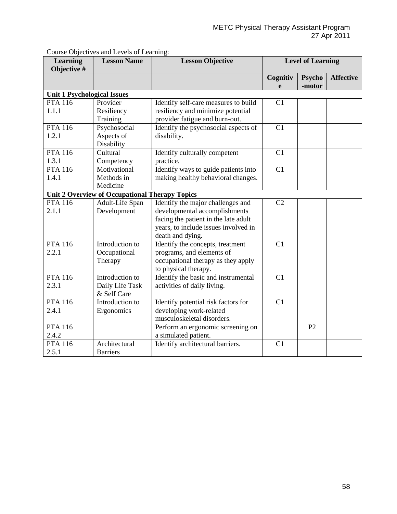| <b>Learning</b><br>Objective #     | <b>Lesson Name</b>                             | <b>Lesson Objective</b>              | <b>Level of Learning</b> |        |                  |
|------------------------------------|------------------------------------------------|--------------------------------------|--------------------------|--------|------------------|
|                                    |                                                |                                      | Cognitiv                 | Psycho | <b>Affective</b> |
|                                    |                                                |                                      | e                        | -motor |                  |
| <b>Unit 1 Psychological Issues</b> |                                                |                                      |                          |        |                  |
| <b>PTA 116</b>                     | Provider                                       | Identify self-care measures to build | C1                       |        |                  |
| 1.1.1                              | Resiliency                                     | resiliency and minimize potential    |                          |        |                  |
|                                    | Training                                       | provider fatigue and burn-out.       |                          |        |                  |
| <b>PTA 116</b>                     | Psychosocial                                   | Identify the psychosocial aspects of | C1                       |        |                  |
| 1.2.1                              | Aspects of                                     | disability.                          |                          |        |                  |
|                                    | Disability                                     |                                      |                          |        |                  |
| <b>PTA 116</b>                     | Cultural                                       | Identify culturally competent        | C1                       |        |                  |
| 1.3.1                              | Competency                                     | practice.                            |                          |        |                  |
| <b>PTA 116</b>                     | Motivational                                   | Identify ways to guide patients into | C1                       |        |                  |
| 1.4.1                              | Methods in                                     | making healthy behavioral changes.   |                          |        |                  |
|                                    | Medicine                                       |                                      |                          |        |                  |
|                                    | Unit 2 Overview of Occupational Therapy Topics |                                      |                          |        |                  |
| <b>PTA 116</b>                     | Adult-Life Span                                | Identify the major challenges and    | C <sub>2</sub>           |        |                  |
| 2.1.1                              | Development                                    | developmental accomplishments        |                          |        |                  |
|                                    |                                                | facing the patient in the late adult |                          |        |                  |
|                                    |                                                | years, to include issues involved in |                          |        |                  |
|                                    |                                                | death and dying.                     |                          |        |                  |
| <b>PTA 116</b>                     | Introduction to                                | Identify the concepts, treatment     | C <sub>1</sub>           |        |                  |
| 2.2.1                              | Occupational                                   | programs, and elements of            |                          |        |                  |
|                                    | Therapy                                        | occupational therapy as they apply   |                          |        |                  |
|                                    |                                                | to physical therapy.                 |                          |        |                  |
| <b>PTA 116</b>                     | Introduction to                                | Identify the basic and instrumental  | C <sub>1</sub>           |        |                  |
| 2.3.1                              | Daily Life Task                                | activities of daily living.          |                          |        |                  |
|                                    | & Self Care                                    |                                      |                          |        |                  |
| <b>PTA 116</b>                     | Introduction to                                | Identify potential risk factors for  | C1                       |        |                  |
| 2.4.1                              | Ergonomics                                     | developing work-related              |                          |        |                  |
|                                    |                                                | musculoskeletal disorders.           |                          |        |                  |
| <b>PTA 116</b>                     |                                                | Perform an ergonomic screening on    |                          | P2     |                  |
| 2.4.2                              |                                                | a simulated patient.                 |                          |        |                  |
| <b>PTA 116</b>                     | Architectural                                  | Identify architectural barriers.     | C <sub>1</sub>           |        |                  |
| 2.5.1                              | <b>Barriers</b>                                |                                      |                          |        |                  |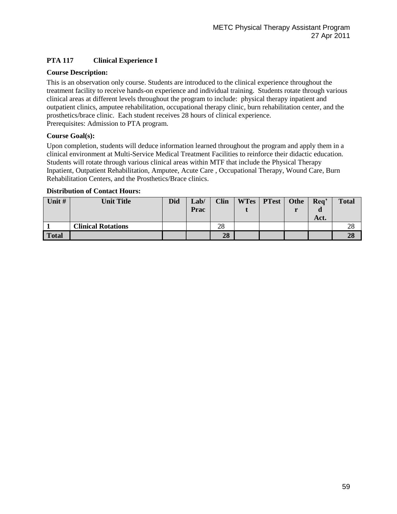# **PTA 117 Clinical Experience I**

# **Course Description:**

This is an observation only course. Students are introduced to the clinical experience throughout the treatment facility to receive hands-on experience and individual training. Students rotate through various clinical areas at different levels throughout the program to include: physical therapy inpatient and outpatient clinics, amputee rehabilitation, occupational therapy clinic, burn rehabilitation center, and the prosthetics/brace clinic. Each student receives 28 hours of clinical experience. Prerequisites: Admission to PTA program.

# **Course Goal(s):**

Upon completion, students will deduce information learned throughout the program and apply them in a clinical environment at Multi-Service Medical Treatment Facilities to reinforce their didactic education. Students will rotate through various clinical areas within MTF that include the Physical Therapy Inpatient, Outpatient Rehabilitation, Amputee, Acute Care , Occupational Therapy, Wound Care, Burn Rehabilitation Centers, and the Prosthetics/Brace clinics.

# **Distribution of Contact Hours:**

| Unit $#$     | <b>Unit Title</b>         | <b>Did</b> | Lab/<br>Prac | <b>Clin</b> | WTes   PTest | Othe | Req' | <b>Total</b> |
|--------------|---------------------------|------------|--------------|-------------|--------------|------|------|--------------|
|              |                           |            |              |             |              |      | Act. |              |
|              | <b>Clinical Rotations</b> |            |              | 28          |              |      |      | 28           |
| <b>Total</b> |                           |            |              | 28          |              |      |      | 28           |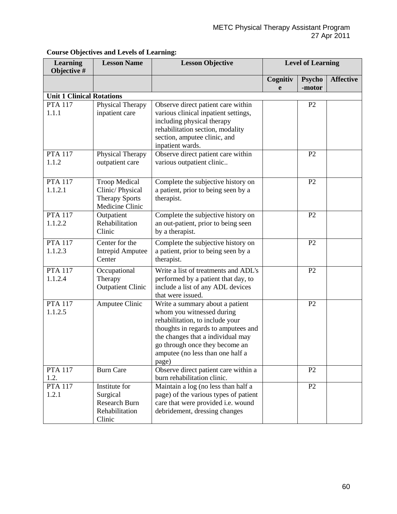| <b>Learning</b><br>Objective #   | <b>Lesson Name</b>                                                                  | <b>Lesson Objective</b>                                                                                                                                                                                                                                    | <b>Level of Learning</b> |                         |                  |
|----------------------------------|-------------------------------------------------------------------------------------|------------------------------------------------------------------------------------------------------------------------------------------------------------------------------------------------------------------------------------------------------------|--------------------------|-------------------------|------------------|
|                                  |                                                                                     |                                                                                                                                                                                                                                                            | Cognitiv<br>e            | <b>Psycho</b><br>-motor | <b>Affective</b> |
| <b>Unit 1 Clinical Rotations</b> |                                                                                     |                                                                                                                                                                                                                                                            |                          |                         |                  |
| <b>PTA 117</b><br>1.1.1          | Physical Therapy<br>inpatient care                                                  | Observe direct patient care within<br>various clinical inpatient settings,<br>including physical therapy<br>rehabilitation section, modality<br>section, amputee clinic, and<br>inpatient wards.                                                           |                          | P <sub>2</sub>          |                  |
| <b>PTA 117</b><br>1.1.2          | Physical Therapy<br>outpatient care                                                 | Observe direct patient care within<br>various outpatient clinic                                                                                                                                                                                            |                          | P <sub>2</sub>          |                  |
| <b>PTA 117</b><br>1.1.2.1        | <b>Troop Medical</b><br>Clinic/Physical<br><b>Therapy Sports</b><br>Medicine Clinic | Complete the subjective history on<br>a patient, prior to being seen by a<br>therapist.                                                                                                                                                                    |                          | P <sub>2</sub>          |                  |
| <b>PTA 117</b><br>1.1.2.2        | Outpatient<br>Rehabilitation<br>Clinic                                              | Complete the subjective history on<br>an out-patient, prior to being seen<br>by a therapist.                                                                                                                                                               |                          | P <sub>2</sub>          |                  |
| <b>PTA 117</b><br>1.1.2.3        | Center for the<br><b>Intrepid Amputee</b><br>Center                                 | Complete the subjective history on<br>a patient, prior to being seen by a<br>therapist.                                                                                                                                                                    |                          | P <sub>2</sub>          |                  |
| <b>PTA 117</b><br>1.1.2.4        | Occupational<br>Therapy<br><b>Outpatient Clinic</b>                                 | Write a list of treatments and ADL's<br>performed by a patient that day, to<br>include a list of any ADL devices<br>that were issued.                                                                                                                      |                          | P <sub>2</sub>          |                  |
| <b>PTA 117</b><br>1.1.2.5        | Amputee Clinic                                                                      | Write a summary about a patient<br>whom you witnessed during<br>rehabilitation, to include your<br>thoughts in regards to amputees and<br>the changes that a individual may<br>go through once they become an<br>amputee (no less than one half a<br>page) |                          | P <sub>2</sub>          |                  |
| <b>PTA 117</b><br>1.2.           | <b>Burn Care</b>                                                                    | Observe direct patient care within a<br>burn rehabilitation clinic.                                                                                                                                                                                        |                          | P <sub>2</sub>          |                  |
| <b>PTA 117</b><br>1.2.1          | Institute for<br>Surgical<br>Research Burn<br>Rehabilitation<br>Clinic              | Maintain a log (no less than half a<br>page) of the various types of patient<br>care that were provided i.e. wound<br>debridement, dressing changes                                                                                                        |                          | P2                      |                  |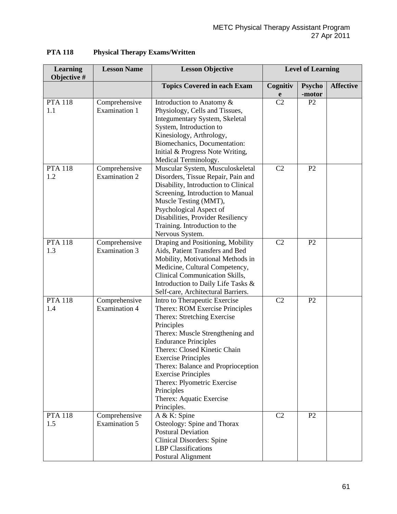| <b>Learning</b><br>Objective # | <b>Lesson Name</b>                    | <b>Lesson Objective</b>                                                                                                                                                                                                                                                                                                                                                                                    | <b>Level of Learning</b> |                |                  |
|--------------------------------|---------------------------------------|------------------------------------------------------------------------------------------------------------------------------------------------------------------------------------------------------------------------------------------------------------------------------------------------------------------------------------------------------------------------------------------------------------|--------------------------|----------------|------------------|
|                                |                                       | <b>Topics Covered in each Exam</b>                                                                                                                                                                                                                                                                                                                                                                         | Cognitiv                 | <b>Psycho</b>  | <b>Affective</b> |
|                                |                                       |                                                                                                                                                                                                                                                                                                                                                                                                            | e                        | -motor         |                  |
| <b>PTA 118</b><br>1.1          | Comprehensive<br>Examination 1        | Introduction to Anatomy &<br>Physiology, Cells and Tissues,<br>Integumentary System, Skeletal<br>System, Introduction to<br>Kinesiology, Arthrology,<br>Biomechanics, Documentation:<br>Initial & Progress Note Writing,<br>Medical Terminology.                                                                                                                                                           | C <sub>2</sub>           | P <sub>2</sub> |                  |
| <b>PTA 118</b><br>1.2          | Comprehensive<br><b>Examination 2</b> | Muscular System, Musculoskeletal<br>Disorders, Tissue Repair, Pain and<br>Disability, Introduction to Clinical<br>Screening, Introduction to Manual<br>Muscle Testing (MMT),<br>Psychological Aspect of<br>Disabilities, Provider Resiliency<br>Training. Introduction to the<br>Nervous System.                                                                                                           | C <sub>2</sub>           | P2             |                  |
| <b>PTA 118</b><br>1.3          | Comprehensive<br><b>Examination 3</b> | Draping and Positioning, Mobility<br>Aids, Patient Transfers and Bed<br>Mobility, Motivational Methods in<br>Medicine, Cultural Competency,<br>Clinical Communication Skills,<br>Introduction to Daily Life Tasks &<br>Self-care, Architectural Barriers.                                                                                                                                                  | C2                       | P2             |                  |
| <b>PTA 118</b><br>1.4          | Comprehensive<br><b>Examination 4</b> | Intro to Therapeutic Exercise<br>Therex: ROM Exercise Principles<br>Therex: Stretching Exercise<br>Principles<br>Therex: Muscle Strengthening and<br><b>Endurance Principles</b><br>Therex: Closed Kinetic Chain<br><b>Exercise Principles</b><br>Therex: Balance and Proprioception<br><b>Exercise Principles</b><br>Therex: Plyometric Exercise<br>Principles<br>Therex: Aquatic Exercise<br>Principles. | C <sub>2</sub>           | P2             |                  |
| <b>PTA 118</b><br>1.5          | Comprehensive<br><b>Examination 5</b> | A & K: Spine<br>Osteology: Spine and Thorax<br><b>Postural Deviation</b><br><b>Clinical Disorders: Spine</b><br><b>LBP</b> Classifications<br>Postural Alignment                                                                                                                                                                                                                                           | C2                       | P2             |                  |

# **PTA 118 Physical Therapy Exams/Written**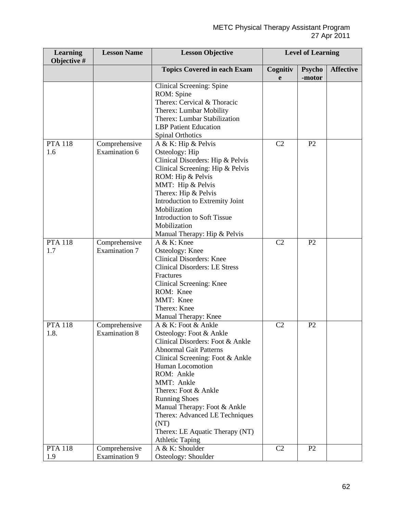| <b>Learning</b><br>Objective # | <b>Lesson Name</b>                    | <b>Lesson Objective</b>                                                                                                                                                                                                                                                                                                                                                                        | <b>Level of Learning</b> |                |                  |
|--------------------------------|---------------------------------------|------------------------------------------------------------------------------------------------------------------------------------------------------------------------------------------------------------------------------------------------------------------------------------------------------------------------------------------------------------------------------------------------|--------------------------|----------------|------------------|
|                                |                                       | <b>Topics Covered in each Exam</b>                                                                                                                                                                                                                                                                                                                                                             | Cognitiv                 | <b>Psycho</b>  | <b>Affective</b> |
|                                |                                       |                                                                                                                                                                                                                                                                                                                                                                                                | e                        | -motor         |                  |
|                                |                                       | Clinical Screening: Spine<br>ROM: Spine<br>Therex: Cervical & Thoracic<br>Therex: Lumbar Mobility<br>Therex: Lumbar Stabilization<br><b>LBP</b> Patient Education<br><b>Spinal Orthotics</b>                                                                                                                                                                                                   |                          |                |                  |
| <b>PTA 118</b>                 | Comprehensive                         | A & K: Hip & Pelvis                                                                                                                                                                                                                                                                                                                                                                            | C <sub>2</sub>           | P2             |                  |
| 1.6                            | Examination 6                         | Osteology: Hip<br>Clinical Disorders: Hip & Pelvis<br>Clinical Screening: Hip & Pelvis<br>ROM: Hip & Pelvis<br>MMT: Hip & Pelvis<br>Therex: Hip & Pelvis<br>Introduction to Extremity Joint<br>Mobilization<br><b>Introduction to Soft Tissue</b><br>Mobilization<br>Manual Therapy: Hip & Pelvis                                                                                              |                          |                |                  |
| <b>PTA 118</b>                 | Comprehensive                         | A & K: Knee                                                                                                                                                                                                                                                                                                                                                                                    | C2                       | P2             |                  |
| 1.7                            | <b>Examination 7</b>                  | Osteology: Knee<br><b>Clinical Disorders: Knee</b><br><b>Clinical Disorders: LE Stress</b><br>Fractures<br>Clinical Screening: Knee<br>ROM: Knee<br>MMT: Knee<br>Therex: Knee<br>Manual Therapy: Knee                                                                                                                                                                                          |                          |                |                  |
| <b>PTA 118</b><br>1.8.         | Comprehensive<br><b>Examination 8</b> | A & K: Foot & Ankle<br>Osteology: Foot & Ankle<br>Clinical Disorders: Foot & Ankle<br><b>Abnormal Gait Patterns</b><br>Clinical Screening: Foot & Ankle<br>Human Locomotion<br>ROM: Ankle<br>MMT: Ankle<br>Therex: Foot & Ankle<br><b>Running Shoes</b><br>Manual Therapy: Foot & Ankle<br>Therex: Advanced LE Techniques<br>(NT)<br>Therex: LE Aquatic Therapy (NT)<br><b>Athletic Taping</b> | C <sub>2</sub>           | P <sub>2</sub> |                  |
| <b>PTA 118</b>                 | Comprehensive                         | A & K: Shoulder                                                                                                                                                                                                                                                                                                                                                                                | C <sub>2</sub>           | P <sub>2</sub> |                  |
| 1.9                            | Examination 9                         | Osteology: Shoulder                                                                                                                                                                                                                                                                                                                                                                            |                          |                |                  |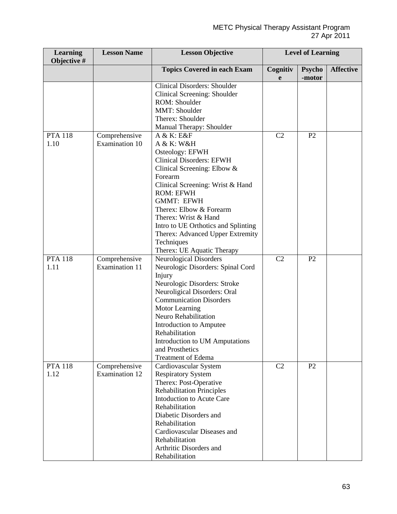| <b>Learning</b><br>Objective # | <b>Lesson Name</b>                     | <b>Lesson Objective</b>                                     | <b>Level of Learning</b> |                |                  |
|--------------------------------|----------------------------------------|-------------------------------------------------------------|--------------------------|----------------|------------------|
|                                |                                        | <b>Topics Covered in each Exam</b>                          | Cognitiv                 | <b>Psycho</b>  | <b>Affective</b> |
|                                |                                        |                                                             | e                        | -motor         |                  |
|                                |                                        | <b>Clinical Disorders: Shoulder</b>                         |                          |                |                  |
|                                |                                        | Clinical Screening: Shoulder                                |                          |                |                  |
|                                |                                        | ROM: Shoulder                                               |                          |                |                  |
|                                |                                        | MMT: Shoulder                                               |                          |                |                  |
|                                |                                        | Therex: Shoulder                                            |                          |                |                  |
|                                |                                        | Manual Therapy: Shoulder                                    |                          |                |                  |
| <b>PTA 118</b>                 | Comprehensive                          | A & K: E&F                                                  | C2                       | P <sub>2</sub> |                  |
| 1.10                           | Examination 10                         | A & K: W&H                                                  |                          |                |                  |
|                                |                                        | Osteology: EFWH                                             |                          |                |                  |
|                                |                                        | <b>Clinical Disorders: EFWH</b>                             |                          |                |                  |
|                                |                                        | Clinical Screening: Elbow &                                 |                          |                |                  |
|                                |                                        | Forearm                                                     |                          |                |                  |
|                                |                                        | Clinical Screening: Wrist & Hand                            |                          |                |                  |
|                                |                                        | <b>ROM: EFWH</b>                                            |                          |                |                  |
|                                |                                        | <b>GMMT: EFWH</b>                                           |                          |                |                  |
|                                |                                        | Therex: Elbow & Forearm                                     |                          |                |                  |
|                                |                                        | Therex: Wrist & Hand                                        |                          |                |                  |
|                                |                                        | Intro to UE Orthotics and Splinting                         |                          |                |                  |
|                                |                                        | Therex: Advanced Upper Extremity                            |                          |                |                  |
|                                |                                        | Techniques                                                  |                          |                |                  |
| <b>PTA 118</b>                 |                                        | Therex: UE Aquatic Therapy<br><b>Neurological Disorders</b> | C2                       | P <sub>2</sub> |                  |
| 1.11                           | Comprehensive<br><b>Examination 11</b> | Neurologic Disorders: Spinal Cord                           |                          |                |                  |
|                                |                                        | Injury                                                      |                          |                |                  |
|                                |                                        | Neurologic Disorders: Stroke                                |                          |                |                  |
|                                |                                        | Neuroligical Disorders: Oral                                |                          |                |                  |
|                                |                                        | <b>Communication Disorders</b>                              |                          |                |                  |
|                                |                                        | <b>Motor Learning</b>                                       |                          |                |                  |
|                                |                                        | Neuro Rehabilitation                                        |                          |                |                  |
|                                |                                        | Introduction to Amputee                                     |                          |                |                  |
|                                |                                        | Rehabilitation                                              |                          |                |                  |
|                                |                                        | Introduction to UM Amputations                              |                          |                |                  |
|                                |                                        | and Prosthetics                                             |                          |                |                  |
|                                |                                        | <b>Treatment of Edema</b>                                   |                          |                |                  |
| <b>PTA 118</b>                 | Comprehensive                          | Cardiovascular System                                       | C2                       | P2             |                  |
| 1.12                           | <b>Examination 12</b>                  | <b>Respiratory System</b>                                   |                          |                |                  |
|                                |                                        | Therex: Post-Operative                                      |                          |                |                  |
|                                |                                        | <b>Rehabilitation Principles</b>                            |                          |                |                  |
|                                |                                        | Intoduction to Acute Care                                   |                          |                |                  |
|                                |                                        | Rehabilitation                                              |                          |                |                  |
|                                |                                        | Diabetic Disorders and                                      |                          |                |                  |
|                                |                                        | Rehabilitation                                              |                          |                |                  |
|                                |                                        | Cardiovascular Diseases and                                 |                          |                |                  |
|                                |                                        | Rehabilitation                                              |                          |                |                  |
|                                |                                        | Arthritic Disorders and                                     |                          |                |                  |
|                                |                                        | Rehabilitation                                              |                          |                |                  |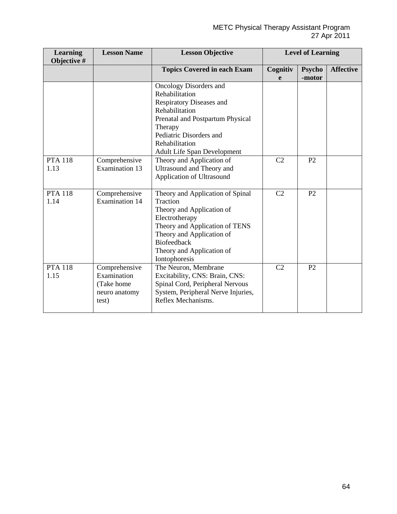| <b>Learning</b><br>Objective # | <b>Lesson Name</b>                                                   | <b>Lesson Objective</b>                                                                                                                                                                                                                                      | <b>Level of Learning</b> |                         |                  |
|--------------------------------|----------------------------------------------------------------------|--------------------------------------------------------------------------------------------------------------------------------------------------------------------------------------------------------------------------------------------------------------|--------------------------|-------------------------|------------------|
|                                |                                                                      | <b>Topics Covered in each Exam</b>                                                                                                                                                                                                                           | Cognitiv<br>e            | <b>Psycho</b><br>-motor | <b>Affective</b> |
| <b>PTA 118</b>                 | Comprehensive                                                        | <b>Oncology Disorders and</b><br>Rehabilitation<br><b>Respiratory Diseases and</b><br>Rehabilitation<br>Prenatal and Postpartum Physical<br>Therapy<br>Pediatric Disorders and<br>Rehabilitation<br>Adult Life Span Development<br>Theory and Application of | C <sub>2</sub>           | P2                      |                  |
| 1.13                           | <b>Examination 13</b>                                                | Ultrasound and Theory and<br>Application of Ultrasound                                                                                                                                                                                                       |                          |                         |                  |
| <b>PTA 118</b><br>1.14         | Comprehensive<br><b>Examination 14</b>                               | Theory and Application of Spinal<br>Traction<br>Theory and Application of<br>Electrotherapy<br>Theory and Application of TENS<br>Theory and Application of<br><b>Biofeedback</b><br>Theory and Application of<br>Iontophoresis                               | C <sub>2</sub>           | P <sub>2</sub>          |                  |
| <b>PTA 118</b><br>1.15         | Comprehensive<br>Examination<br>(Take home<br>neuro anatomy<br>test) | The Neuron, Membrane<br>Excitability, CNS: Brain, CNS:<br>Spinal Cord, Peripheral Nervous<br>System, Peripheral Nerve Injuries,<br>Reflex Mechanisms.                                                                                                        | C2                       | P <sub>2</sub>          |                  |